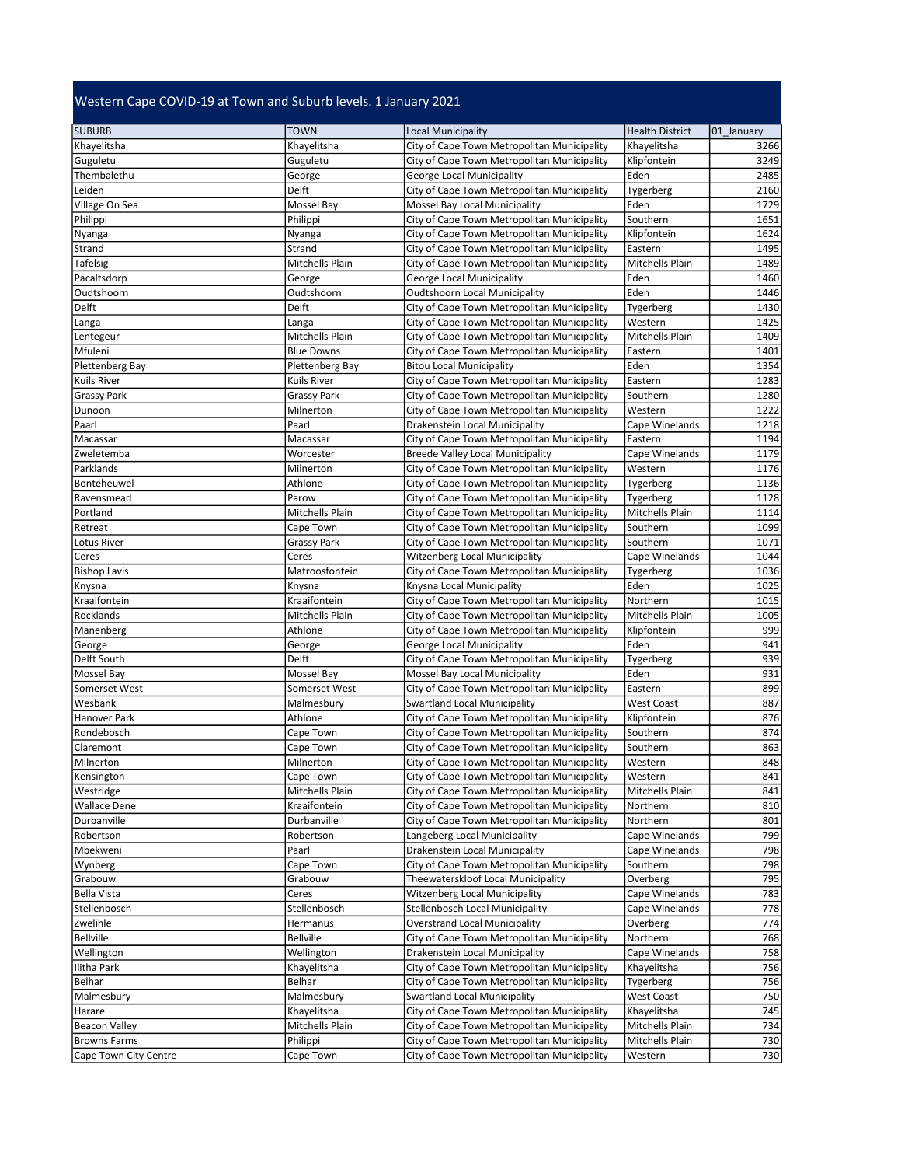## Western Cape COVID-19 at Town and Suburb levels. 1 January 2021

| <b>SUBURB</b>         | <b>TOWN</b>        | Local Municipality                          | <b>Health District</b> | 01 January |
|-----------------------|--------------------|---------------------------------------------|------------------------|------------|
| Khayelitsha           | Khayelitsha        | City of Cape Town Metropolitan Municipality | Khayelitsha            | 3266       |
| Guguletu              | Guguletu           | City of Cape Town Metropolitan Municipality | Klipfontein            | 3249       |
| Thembalethu           | George             | George Local Municipality                   | Eden                   | 2485       |
| Leiden                | Delft              | City of Cape Town Metropolitan Municipality | Tygerberg              | 2160       |
| Village On Sea        | Mossel Bay         | Mossel Bay Local Municipality               | Eden                   | 1729       |
| Philippi              | Philippi           | City of Cape Town Metropolitan Municipality | Southern               | 1651       |
| Nyanga                | Nyanga             | City of Cape Town Metropolitan Municipality | Klipfontein            | 1624       |
| Strand                | Strand             | City of Cape Town Metropolitan Municipality | Eastern                | 1495       |
| Tafelsig              | Mitchells Plain    | City of Cape Town Metropolitan Municipality | Mitchells Plain        | 1489       |
| Pacaltsdorp           | George             | George Local Municipality                   | Eden                   | 1460       |
| Oudtshoorn            | Oudtshoorn         | <b>Oudtshoorn Local Municipality</b>        | Eden                   | 1446       |
| Delft                 | Delft              | City of Cape Town Metropolitan Municipality | Tygerberg              | 1430       |
| Langa                 | Langa              | City of Cape Town Metropolitan Municipality | Western                | 1425       |
| Lentegeur             | Mitchells Plain    | City of Cape Town Metropolitan Municipality | Mitchells Plain        | 1409       |
| Mfuleni               | <b>Blue Downs</b>  | City of Cape Town Metropolitan Municipality | Eastern                | 1401       |
| Plettenberg Bay       | Plettenberg Bay    | <b>Bitou Local Municipality</b>             | Eden                   | 1354       |
| Kuils River           | Kuils River        | City of Cape Town Metropolitan Municipality | Eastern                | 1283       |
| <b>Grassy Park</b>    | <b>Grassy Park</b> | City of Cape Town Metropolitan Municipality | Southern               | 1280       |
| Dunoon                | Milnerton          | City of Cape Town Metropolitan Municipality | Western                | 1222       |
| Paarl                 | Paarl              | Drakenstein Local Municipality              | Cape Winelands         | 1218       |
| Macassar              | Macassar           | City of Cape Town Metropolitan Municipality | Eastern                | 1194       |
| Zweletemba            | Worcester          | <b>Breede Valley Local Municipality</b>     | Cape Winelands         | 1179       |
| Parklands             | Milnerton          | City of Cape Town Metropolitan Municipality | Western                | 1176       |
| Bonteheuwel           | Athlone            | City of Cape Town Metropolitan Municipality | Tygerberg              | 1136       |
| Ravensmead            | Parow              | City of Cape Town Metropolitan Municipality | Tygerberg              | 1128       |
| Portland              | Mitchells Plain    | City of Cape Town Metropolitan Municipality | Mitchells Plain        | 1114       |
| Retreat               | Cape Town          | City of Cape Town Metropolitan Municipality | Southern               | 1099       |
| Lotus River           | Grassy Park        | City of Cape Town Metropolitan Municipality | Southern               | 1071       |
| Ceres                 | Ceres              | <b>Witzenberg Local Municipality</b>        | Cape Winelands         | 1044       |
| <b>Bishop Lavis</b>   | Matroosfontein     | City of Cape Town Metropolitan Municipality | Tygerberg              | 1036       |
| Knysna                | Knysna             | Knysna Local Municipality                   | Eden                   | 1025       |
| Kraaifontein          | Kraaifontein       | City of Cape Town Metropolitan Municipality | Northern               | 1015       |
| Rocklands             | Mitchells Plain    | City of Cape Town Metropolitan Municipality | Mitchells Plain        | 1005       |
| Manenberg             | Athlone            | City of Cape Town Metropolitan Municipality | Klipfontein            | 999        |
| George                | George             | George Local Municipality                   | Eden                   | 941        |
| Delft South           | Delft              | City of Cape Town Metropolitan Municipality | Tygerberg              | 939        |
| Mossel Bay            | Mossel Bay         | Mossel Bay Local Municipality               | Eden                   | 931        |
| Somerset West         | Somerset West      | City of Cape Town Metropolitan Municipality | Eastern                | 899        |
| Wesbank               | Malmesbury         | Swartland Local Municipality                | <b>West Coast</b>      | 887        |
| Hanover Park          | Athlone            | City of Cape Town Metropolitan Municipality | Klipfontein            | 876        |
| Rondebosch            | Cape Town          | City of Cape Town Metropolitan Municipality | Southern               | 874        |
| Claremont             | Cape Town          | City of Cape Town Metropolitan Municipality | Southern               | 863        |
| Milnerton             | Milnerton          | City of Cape Town Metropolitan Municipality | Western                | 848        |
| Kensington            | Cape Town          | City of Cape Town Metropolitan Municipality | Western                | 841        |
| Westridge             | Mitchells Plain    | City of Cape Town Metropolitan Municipality | Mitchells Plain        | 841        |
| <b>Wallace Dene</b>   | Kraaifontein       | City of Cape Town Metropolitan Municipality | Northern               | 810        |
| Durbanville           | Durbanville        | City of Cape Town Metropolitan Municipality | Northern               | 801        |
| Robertson             | Robertson          | Langeberg Local Municipality                | Cape Winelands         | 799        |
| Mbekweni              | Paarl              | Drakenstein Local Municipality              | Cape Winelands         | 798        |
| Wynberg               | Cape Town          | City of Cape Town Metropolitan Municipality | Southern               | 798        |
| Grabouw               | Grabouw            | Theewaterskloof Local Municipality          | Overberg               | 795        |
| <b>Bella Vista</b>    | Ceres              | <b>Witzenberg Local Municipality</b>        | Cape Winelands         | 783        |
| Stellenbosch          | Stellenbosch       | Stellenbosch Local Municipality             | Cape Winelands         | 778        |
| Zwelihle              | Hermanus           | <b>Overstrand Local Municipality</b>        | Overberg               | 774        |
| <b>Bellville</b>      | Bellville          | City of Cape Town Metropolitan Municipality | Northern               | 768        |
| Wellington            | Wellington         | Drakenstein Local Municipality              | Cape Winelands         | 758        |
| Ilitha Park           | Khayelitsha        | City of Cape Town Metropolitan Municipality | Khayelitsha            | 756        |
| Belhar                | Belhar             | City of Cape Town Metropolitan Municipality | Tygerberg              | 756        |
| Malmesbury            | Malmesbury         | <b>Swartland Local Municipality</b>         | <b>West Coast</b>      | 750        |
| Harare                | Khayelitsha        | City of Cape Town Metropolitan Municipality | Khayelitsha            | 745        |
| <b>Beacon Valley</b>  | Mitchells Plain    | City of Cape Town Metropolitan Municipality | Mitchells Plain        | 734        |
| <b>Browns Farms</b>   | Philippi           | City of Cape Town Metropolitan Municipality | Mitchells Plain        | 730        |
| Cape Town City Centre | Cape Town          | City of Cape Town Metropolitan Municipality | Western                | 730        |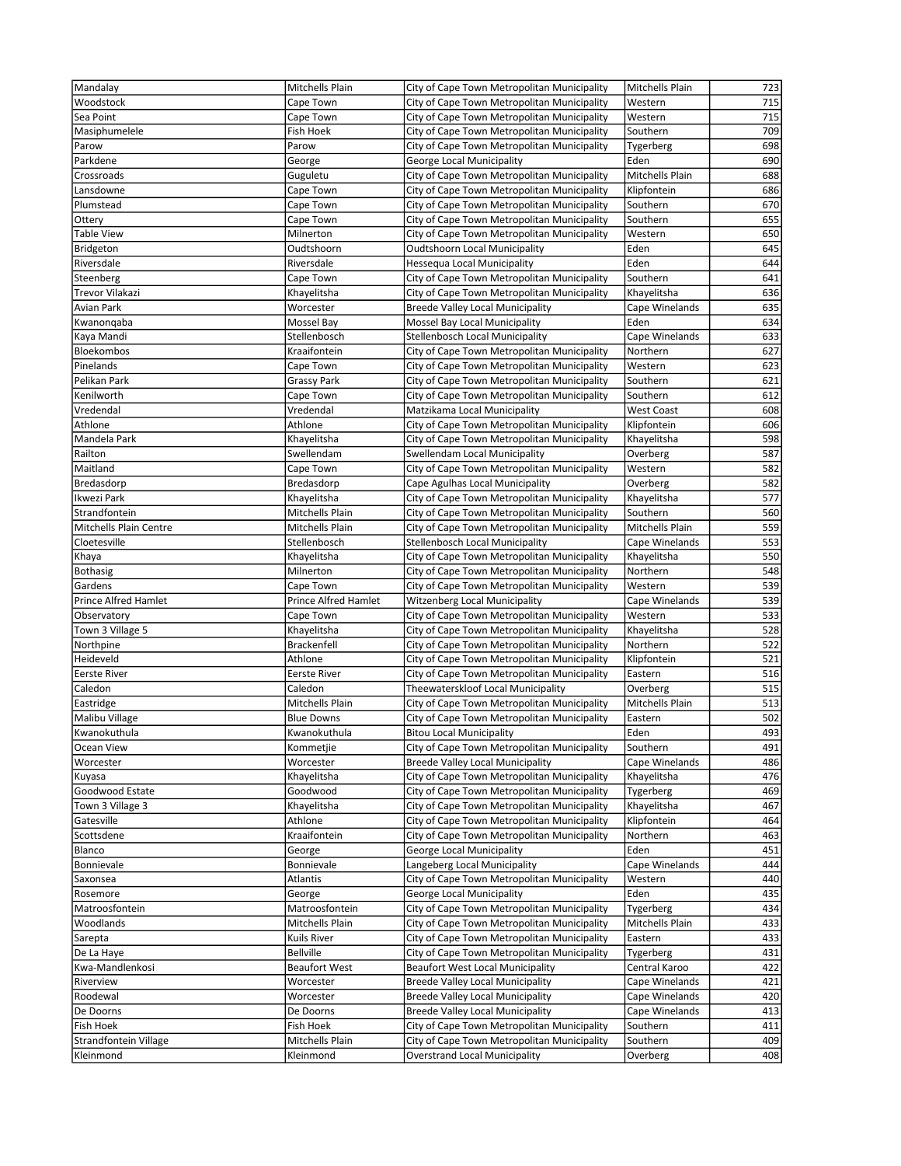| Mandalay                        | Mitchells Plain               | City of Cape Town Metropolitan Municipality                              | Mitchells Plain           | 723        |
|---------------------------------|-------------------------------|--------------------------------------------------------------------------|---------------------------|------------|
| Woodstock                       | Cape Town                     | City of Cape Town Metropolitan Municipality                              | Western                   | 715        |
| Sea Point                       | Cape Town                     | City of Cape Town Metropolitan Municipality                              | Western                   | 715        |
| Masiphumelele                   | Fish Hoek                     | City of Cape Town Metropolitan Municipality                              | Southern                  | 709        |
| Parow                           | Parow                         | City of Cape Town Metropolitan Municipality                              | Tygerberg                 | 698        |
| Parkdene                        | George                        | George Local Municipality                                                | Eden                      | 690        |
| Crossroads                      | Guguletu                      | City of Cape Town Metropolitan Municipality                              | Mitchells Plain           | 688        |
| Lansdowne                       | Cape Town                     | City of Cape Town Metropolitan Municipality                              | Klipfontein               | 686        |
| Plumstead                       | Cape Town                     | City of Cape Town Metropolitan Municipality                              | Southern                  | 670        |
| Ottery                          | Cape Town                     | City of Cape Town Metropolitan Municipality                              | Southern                  | 655        |
| Table View                      | Milnerton                     | City of Cape Town Metropolitan Municipality                              | Western                   | 650        |
| <b>Bridgeton</b>                | Oudtshoorn                    | Oudtshoorn Local Municipality                                            | Eden                      | 645        |
| Riversdale                      | Riversdale                    | Hessequa Local Municipality                                              | Eden                      | 644        |
| Steenberg                       | Cape Town                     | City of Cape Town Metropolitan Municipality                              | Southern                  | 641        |
| Trevor Vilakazi                 | Khayelitsha                   | City of Cape Town Metropolitan Municipality                              | Khayelitsha               | 636        |
| Avian Park                      | Worcester                     | <b>Breede Valley Local Municipality</b>                                  | Cape Winelands            | 635        |
| Kwanonqaba                      | Mossel Bay                    | Mossel Bay Local Municipality                                            | Eden                      | 634        |
| Kaya Mandi                      | Stellenbosch                  | Stellenbosch Local Municipality                                          | Cape Winelands            | 633        |
| Bloekombos                      | Kraaifontein                  | City of Cape Town Metropolitan Municipality                              | Northern                  | 627        |
| Pinelands                       | Cape Town                     | City of Cape Town Metropolitan Municipality                              | Western                   | 623        |
| Pelikan Park                    | Grassy Park                   | City of Cape Town Metropolitan Municipality                              | Southern                  | 621        |
| Kenilworth                      | Cape Town                     | City of Cape Town Metropolitan Municipality                              | Southern                  | 612        |
| Vredendal                       | Vredendal                     | Matzikama Local Municipality                                             | <b>West Coast</b>         | 608        |
| Athlone                         | Athlone                       | City of Cape Town Metropolitan Municipality                              | Klipfontein               | 606        |
| Mandela Park                    | Khayelitsha                   | City of Cape Town Metropolitan Municipality                              | Khayelitsha               | 598        |
| Railton                         | Swellendam                    | Swellendam Local Municipality                                            | Overberg                  | 587        |
| Maitland                        | Cape Town                     | City of Cape Town Metropolitan Municipality                              | Western                   | 582        |
| Bredasdorp                      | Bredasdorp                    | Cape Agulhas Local Municipality                                          | Overberg                  | 582        |
| Ikwezi Park                     | Khayelitsha                   | City of Cape Town Metropolitan Municipality                              | Khayelitsha               | 577        |
| Strandfontein                   | Mitchells Plain               | City of Cape Town Metropolitan Municipality                              | Southern                  | 560        |
| Mitchells Plain Centre          | Mitchells Plain               | City of Cape Town Metropolitan Municipality                              | Mitchells Plain           | 559        |
| Cloetesville                    | Stellenbosch                  | Stellenbosch Local Municipality                                          | Cape Winelands            | 553        |
| Khaya                           | Khayelitsha                   | City of Cape Town Metropolitan Municipality                              | Khayelitsha               | 550        |
| <b>Bothasig</b>                 | Milnerton                     | City of Cape Town Metropolitan Municipality                              | Northern                  | 548        |
| Gardens                         | Cape Town                     | City of Cape Town Metropolitan Municipality                              | Western                   | 539        |
| Prince Alfred Hamlet            | Prince Alfred Hamlet          | <b>Witzenberg Local Municipality</b>                                     | Cape Winelands            | 539        |
| Observatory<br>Town 3 Village 5 | Cape Town                     | City of Cape Town Metropolitan Municipality                              | Western                   | 533        |
|                                 | Khayelitsha                   | City of Cape Town Metropolitan Municipality                              | Khayelitsha               | 528        |
|                                 |                               |                                                                          |                           |            |
| Northpine                       | <b>Brackenfell</b>            | City of Cape Town Metropolitan Municipality                              | Northern                  | 522        |
| Heideveld                       | Athlone                       | City of Cape Town Metropolitan Municipality                              | Klipfontein               | 521        |
| <b>Eerste River</b>             | Eerste River                  | City of Cape Town Metropolitan Municipality                              | Eastern                   | 516        |
| Caledon                         | Caledon                       | Theewaterskloof Local Municipality                                       | Overberg                  | 515        |
| Eastridge                       | Mitchells Plain               | City of Cape Town Metropolitan Municipality                              | Mitchells Plain           | 513        |
| Malibu Village                  | <b>Blue Downs</b>             | City of Cape Town Metropolitan Municipality                              | Eastern                   | 502        |
| Kwanokuthula                    | Kwanokuthula                  | <b>Bitou Local Municipality</b>                                          | Eden                      | 493        |
| Ocean View                      | Kommetjie                     | City of Cape Town Metropolitan Municipality                              | Southern                  | 491        |
| Worcester                       | Worcester                     | <b>Breede Valley Local Municipality</b>                                  | Cape Winelands            | 486        |
| Kuyasa                          | Khayelitsha                   | City of Cape Town Metropolitan Municipality                              | Khayelitsha               | 476        |
| Goodwood Estate                 | Goodwood                      | City of Cape Town Metropolitan Municipality                              | Tygerberg                 | 469        |
| Town 3 Village 3                | Khayelitsha                   | City of Cape Town Metropolitan Municipality                              | Khayelitsha               | 467<br>464 |
| Gatesville                      | Athlone                       | City of Cape Town Metropolitan Municipality                              | Klipfontein               |            |
| Scottsdene                      | Kraaifontein                  | City of Cape Town Metropolitan Municipality                              | Northern                  | 463        |
| Blanco                          | George                        | George Local Municipality                                                | Eden                      | 451        |
| Bonnievale                      | Bonnievale<br><b>Atlantis</b> | Langeberg Local Municipality                                             | Cape Winelands<br>Western | 444<br>440 |
| Saxonsea<br>Rosemore            |                               | City of Cape Town Metropolitan Municipality<br>George Local Municipality | Eden                      | 435        |
| Matroosfontein                  | George<br>Matroosfontein      | City of Cape Town Metropolitan Municipality                              | Tygerberg                 | 434        |
| Woodlands                       | Mitchells Plain               | City of Cape Town Metropolitan Municipality                              | Mitchells Plain           | 433        |
| Sarepta                         | Kuils River                   | City of Cape Town Metropolitan Municipality                              | Eastern                   | 433        |
| De La Haye                      | <b>Bellville</b>              | City of Cape Town Metropolitan Municipality                              | Tygerberg                 | 431        |
| Kwa-Mandlenkosi                 | <b>Beaufort West</b>          | <b>Beaufort West Local Municipality</b>                                  | Central Karoo             | 422        |
| Riverview                       | Worcester                     | <b>Breede Valley Local Municipality</b>                                  | Cape Winelands            | 421        |
| Roodewal                        | Worcester                     | Breede Valley Local Municipality                                         | Cape Winelands            | 420        |
| De Doorns                       | De Doorns                     | <b>Breede Valley Local Municipality</b>                                  | Cape Winelands            | 413        |
| Fish Hoek                       | Fish Hoek                     | City of Cape Town Metropolitan Municipality                              | Southern                  | 411        |
| Strandfontein Village           | Mitchells Plain               | City of Cape Town Metropolitan Municipality                              | Southern                  | 409        |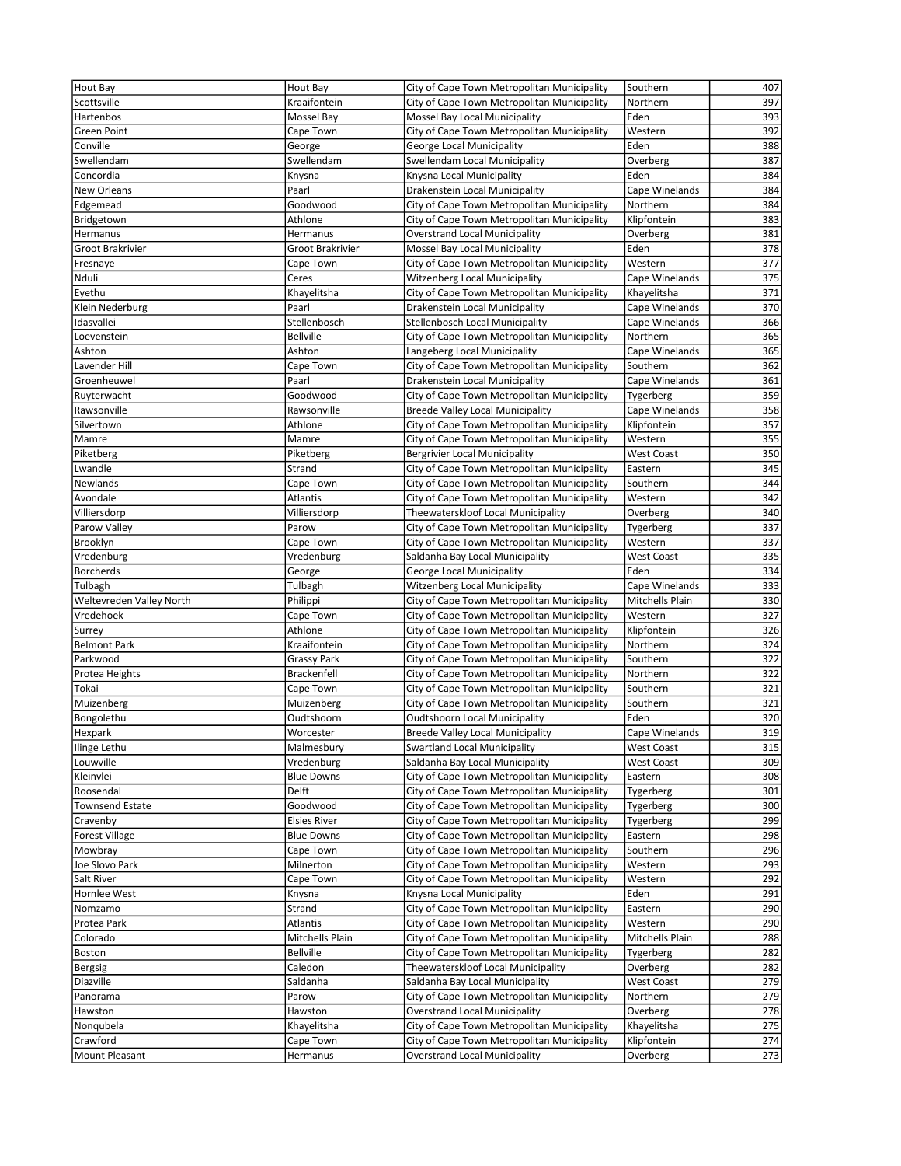| Hout Bay                    | Hout Bay              | City of Cape Town Metropolitan Municipality                                                | Southern                | 407        |
|-----------------------------|-----------------------|--------------------------------------------------------------------------------------------|-------------------------|------------|
| Scottsville                 | Kraaifontein          | City of Cape Town Metropolitan Municipality                                                | Northern                | 397        |
| Hartenbos                   | Mossel Bay            | Mossel Bay Local Municipality                                                              | Eden                    | 393        |
| Green Point                 | Cape Town             | City of Cape Town Metropolitan Municipality                                                | Western                 | 392        |
| Conville                    | George                | George Local Municipality                                                                  | Eden                    | 388        |
| Swellendam                  | Swellendam            | Swellendam Local Municipality                                                              | Overberg                | 387        |
| Concordia                   | Knysna                | Knysna Local Municipality                                                                  | Eden                    | 384        |
| New Orleans                 | Paarl                 | Drakenstein Local Municipality                                                             | Cape Winelands          | 384        |
| Edgemead                    | Goodwood              | City of Cape Town Metropolitan Municipality                                                | Northern                | 384        |
| Bridgetown                  | Athlone               | City of Cape Town Metropolitan Municipality                                                | Klipfontein             | 383        |
| Hermanus                    | Hermanus              | <b>Overstrand Local Municipality</b>                                                       | Overberg                | 381        |
| Groot Brakrivier            | Groot Brakrivier      | Mossel Bay Local Municipality                                                              | Eden                    | 378        |
| Fresnaye                    | Cape Town             | City of Cape Town Metropolitan Municipality                                                | Western                 | 377        |
| Nduli                       | Ceres                 | Witzenberg Local Municipality                                                              | Cape Winelands          | 375        |
| Eyethu                      | Khayelitsha           | City of Cape Town Metropolitan Municipality                                                | Khayelitsha             | 371        |
| Klein Nederburg             | Paarl                 | Drakenstein Local Municipality                                                             | Cape Winelands          | 370        |
| Idasvallei                  | Stellenbosch          | <b>Stellenbosch Local Municipality</b>                                                     | Cape Winelands          | 366        |
| Loevenstein                 | <b>Bellville</b>      | City of Cape Town Metropolitan Municipality                                                | Northern                | 365        |
| Ashton                      | Ashton                | Langeberg Local Municipality                                                               | Cape Winelands          | 365        |
| Lavender Hill               | Cape Town             | City of Cape Town Metropolitan Municipality                                                | Southern                | 362        |
| Groenheuwel                 | Paarl                 | Drakenstein Local Municipality                                                             | Cape Winelands          | 361        |
| Ruyterwacht                 | Goodwood              | City of Cape Town Metropolitan Municipality                                                | Tygerberg               | 359        |
| Rawsonville                 | Rawsonville           | Breede Valley Local Municipality                                                           | Cape Winelands          | 358        |
| Silvertown                  | Athlone               | City of Cape Town Metropolitan Municipality                                                | Klipfontein             | 357        |
| Mamre                       | Mamre                 | City of Cape Town Metropolitan Municipality                                                | Western                 | 355        |
| Piketberg                   | Piketberg             | <b>Bergrivier Local Municipality</b>                                                       | <b>West Coast</b>       | 350        |
| Lwandle                     | Strand                | City of Cape Town Metropolitan Municipality                                                | Eastern                 | 345        |
| Newlands                    | Cape Town             | City of Cape Town Metropolitan Municipality                                                | Southern                | 344        |
| Avondale                    | Atlantis              | City of Cape Town Metropolitan Municipality                                                | Western                 | 342        |
| Villiersdorp                | Villiersdorp          | Theewaterskloof Local Municipality                                                         | Overberg                | 340        |
| Parow Valley                | Parow                 | City of Cape Town Metropolitan Municipality                                                | Tygerberg               | 337        |
| Brooklyn                    | Cape Town             | City of Cape Town Metropolitan Municipality                                                | Western                 | 337        |
| Vredenburg                  | Vredenburg            | Saldanha Bay Local Municipality                                                            | <b>West Coast</b>       | 335        |
| <b>Borcherds</b><br>Tulbagh | George                | George Local Municipality                                                                  | Eden<br>Cape Winelands  | 334<br>333 |
| Weltevreden Valley North    | Tulbagh               | <b>Witzenberg Local Municipality</b>                                                       | Mitchells Plain         | 330        |
| Vredehoek                   | Philippi              | City of Cape Town Metropolitan Municipality<br>City of Cape Town Metropolitan Municipality | Western                 | 327        |
| Surrey                      | Cape Town<br>Athlone  | City of Cape Town Metropolitan Municipality                                                | Klipfontein             | 326        |
| <b>Belmont Park</b>         | Kraaifontein          | City of Cape Town Metropolitan Municipality                                                | Northern                | 324        |
| Parkwood                    | Grassy Park           | City of Cape Town Metropolitan Municipality                                                | Southern                | 322        |
| Protea Heights              | Brackenfell           | City of Cape Town Metropolitan Municipality                                                | Northern                | 322        |
| Tokai                       | Cape Town             | City of Cape Town Metropolitan Municipality                                                | Southern                | 321        |
| Muizenberg                  | Muizenberg            | City of Cape Town Metropolitan Municipality                                                | Southern                | 321        |
| Bongolethu                  | Oudtshoorn            | <b>Oudtshoorn Local Municipality</b>                                                       | Eden                    | 320        |
| Hexpark                     | Worcester             | <b>Breede Valley Local Municipality</b>                                                    | Cape Winelands          | 319        |
| Ilinge Lethu                | Malmesbury            | <b>Swartland Local Municipality</b>                                                        | <b>West Coast</b>       | 315        |
| Louwville                   | Vredenburg            | Saldanha Bay Local Municipality                                                            | <b>West Coast</b>       | 309        |
| Kleinvlei                   | <b>Blue Downs</b>     | City of Cape Town Metropolitan Municipality                                                | Eastern                 | 308        |
| Roosendal                   | Delft                 | City of Cape Town Metropolitan Municipality                                                | Tygerberg               | 301        |
| <b>Townsend Estate</b>      | Goodwood              | City of Cape Town Metropolitan Municipality                                                | Tygerberg               | 300        |
| Cravenby                    | Elsies River          | City of Cape Town Metropolitan Municipality                                                | Tygerberg               | 299        |
| <b>Forest Village</b>       | <b>Blue Downs</b>     | City of Cape Town Metropolitan Municipality                                                | Eastern                 | 298        |
| Mowbray                     | Cape Town             | City of Cape Town Metropolitan Municipality                                                | Southern                | 296        |
| Joe Slovo Park              | Milnerton             | City of Cape Town Metropolitan Municipality                                                | Western                 | 293        |
| Salt River                  | Cape Town             | City of Cape Town Metropolitan Municipality                                                | Western                 | 292        |
| Hornlee West                | Knysna                | Knysna Local Municipality                                                                  | Eden                    | 291        |
| Nomzamo                     | Strand                | City of Cape Town Metropolitan Municipality                                                | Eastern                 | 290        |
| Protea Park                 | Atlantis              | City of Cape Town Metropolitan Municipality                                                | Western                 | 290        |
| Colorado                    | Mitchells Plain       | City of Cape Town Metropolitan Municipality                                                | Mitchells Plain         | 288        |
| Boston                      | Bellville             | City of Cape Town Metropolitan Municipality                                                | Tygerberg               | 282        |
| Bergsig                     | Caledon               | Theewaterskloof Local Municipality                                                         | Overberg                | 282        |
| Diazville                   | Saldanha              | Saldanha Bay Local Municipality                                                            | <b>West Coast</b>       | 279        |
| Panorama                    | Parow                 | City of Cape Town Metropolitan Municipality                                                | Northern                | 279        |
| Hawston                     | Hawston               | <b>Overstrand Local Municipality</b>                                                       | Overberg                | 278        |
| Nonqubela                   | Khayelitsha           | City of Cape Town Metropolitan Municipality                                                | Khayelitsha             | 275        |
|                             |                       |                                                                                            |                         |            |
| Crawford<br>Mount Pleasant  | Cape Town<br>Hermanus | City of Cape Town Metropolitan Municipality<br><b>Overstrand Local Municipality</b>        | Klipfontein<br>Overberg | 274<br>273 |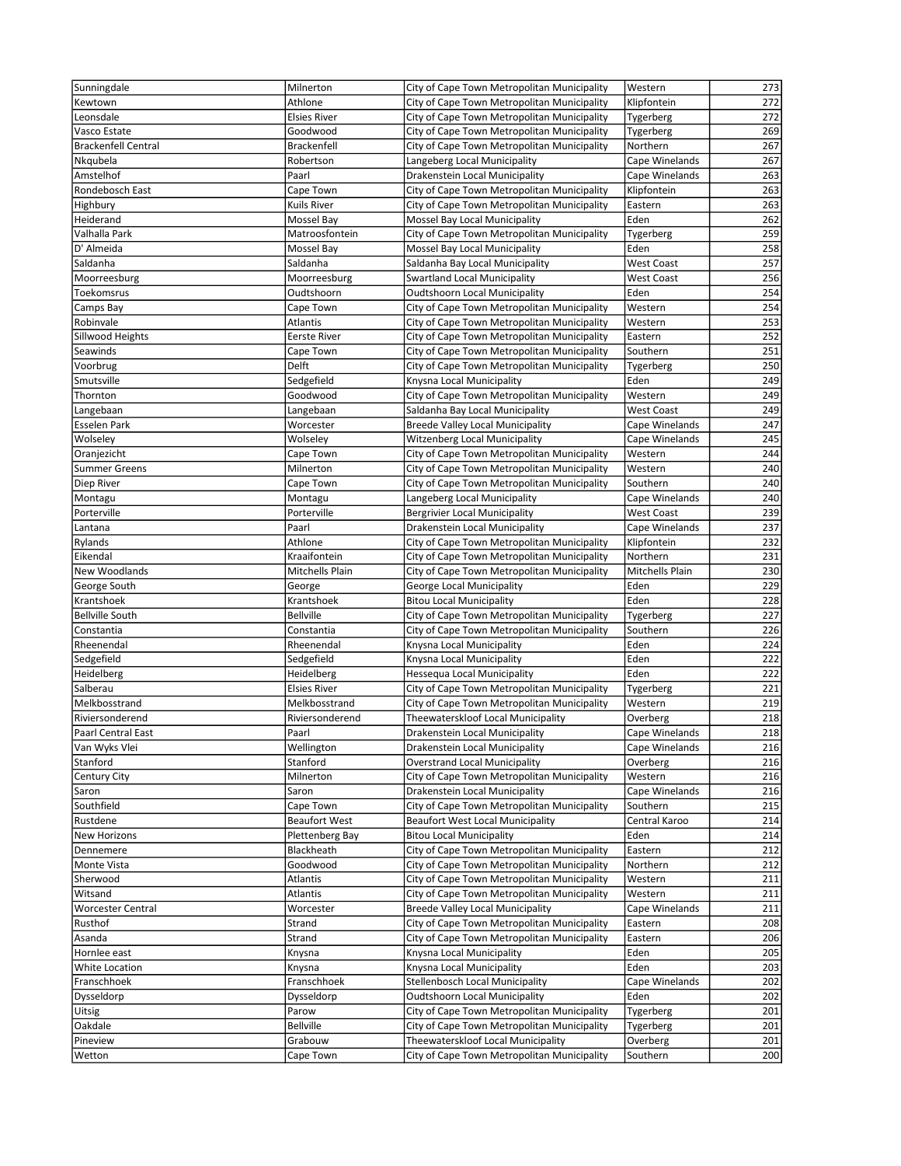| Sunningdale                | Milnerton            | City of Cape Town Metropolitan Municipality | Western           | 273 |
|----------------------------|----------------------|---------------------------------------------|-------------------|-----|
| Kewtown                    | Athlone              | City of Cape Town Metropolitan Municipality | Klipfontein       | 272 |
|                            |                      |                                             |                   |     |
| Leonsdale                  | <b>Elsies River</b>  | City of Cape Town Metropolitan Municipality | Tygerberg         | 272 |
| Vasco Estate               | Goodwood             | City of Cape Town Metropolitan Municipality | Tygerberg         | 269 |
| <b>Brackenfell Central</b> | <b>Brackenfell</b>   | City of Cape Town Metropolitan Municipality | Northern          | 267 |
| Nkqubela                   | Robertson            | Langeberg Local Municipality                | Cape Winelands    | 267 |
| Amstelhof                  | Paarl                | Drakenstein Local Municipality              | Cape Winelands    | 263 |
| Rondebosch East            | Cape Town            | City of Cape Town Metropolitan Municipality | Klipfontein       | 263 |
| Highbury                   | Kuils River          | City of Cape Town Metropolitan Municipality | Eastern           | 263 |
| Heiderand                  | Mossel Bay           | Mossel Bay Local Municipality               | Eden              | 262 |
| Valhalla Park              | Matroosfontein       | City of Cape Town Metropolitan Municipality | Tygerberg         | 259 |
| D' Almeida                 |                      |                                             | Eden              | 258 |
|                            | Mossel Bay           | Mossel Bay Local Municipality               |                   |     |
| Saldanha                   | Saldanha             | Saldanha Bay Local Municipality             | <b>West Coast</b> | 257 |
| Moorreesburg               | Moorreesburg         | <b>Swartland Local Municipality</b>         | <b>West Coast</b> | 256 |
| Toekomsrus                 | Oudtshoorn           | <b>Oudtshoorn Local Municipality</b>        | Eden              | 254 |
| Camps Bay                  | Cape Town            | City of Cape Town Metropolitan Municipality | Western           | 254 |
| Robinvale                  | Atlantis             | City of Cape Town Metropolitan Municipality | Western           | 253 |
| Sillwood Heights           | <b>Eerste River</b>  | City of Cape Town Metropolitan Municipality | Eastern           | 252 |
| Seawinds                   | Cape Town            | City of Cape Town Metropolitan Municipality | Southern          | 251 |
| Voorbrug                   | Delft                | City of Cape Town Metropolitan Municipality | Tygerberg         | 250 |
| Smutsville                 |                      | Knysna Local Municipality                   | Eden              | 249 |
|                            | Sedgefield           |                                             |                   |     |
| Thornton                   | Goodwood             | City of Cape Town Metropolitan Municipality | Western           | 249 |
| Langebaan                  | Langebaan            | Saldanha Bay Local Municipality             | <b>West Coast</b> | 249 |
| Esselen Park               | Worcester            | <b>Breede Valley Local Municipality</b>     | Cape Winelands    | 247 |
| Wolseley                   | Wolseley             | <b>Witzenberg Local Municipality</b>        | Cape Winelands    | 245 |
| Oranjezicht                | Cape Town            | City of Cape Town Metropolitan Municipality | Western           | 244 |
| <b>Summer Greens</b>       | Milnerton            | City of Cape Town Metropolitan Municipality | Western           | 240 |
| Diep River                 | Cape Town            | City of Cape Town Metropolitan Municipality | Southern          | 240 |
| Montagu                    | Montagu              | Langeberg Local Municipality                | Cape Winelands    | 240 |
| Porterville                | Porterville          | <b>Bergrivier Local Municipality</b>        | <b>West Coast</b> | 239 |
| Lantana                    | Paarl                | Drakenstein Local Municipality              | Cape Winelands    | 237 |
|                            |                      |                                             |                   |     |
| Rylands                    | Athlone              | City of Cape Town Metropolitan Municipality | Klipfontein       | 232 |
| Eikendal                   | Kraaifontein         | City of Cape Town Metropolitan Municipality | Northern          | 231 |
| New Woodlands              | Mitchells Plain      | City of Cape Town Metropolitan Municipality | Mitchells Plain   | 230 |
| George South               | George               | George Local Municipality                   | Eden              | 229 |
| Krantshoek                 | Krantshoek           | <b>Bitou Local Municipality</b>             | Eden              | 228 |
| <b>Bellville South</b>     | <b>Bellville</b>     | City of Cape Town Metropolitan Municipality | Tygerberg         | 227 |
| Constantia                 | Constantia           | City of Cape Town Metropolitan Municipality | Southern          | 226 |
| Rheenendal                 | Rheenendal           | Knysna Local Municipality                   | Eden              | 224 |
| Sedgefield                 | Sedgefield           | Knysna Local Municipality                   | Eden              | 222 |
| Heidelberg                 | Heidelberg           | Hessequa Local Municipality                 | Eden              | 222 |
| Salberau                   | <b>Elsies River</b>  | City of Cape Town Metropolitan Municipality | Tygerberg         | 221 |
|                            |                      |                                             |                   |     |
| Melkbosstrand              | Melkbosstrand        | City of Cape Town Metropolitan Municipality | Western           | 219 |
| Riviersonderend            | Riviersonderend      | Theewaterskloof Local Municipality          | Overberg          | 218 |
| <b>Paarl Central East</b>  | Paarl                | Drakenstein Local Municipality              | Cape Winelands    | 218 |
| Van Wyks Vlei              | Wellington           | Drakenstein Local Municipality              | Cape Winelands    | 216 |
| Stanford                   | Stanford             | <b>Overstrand Local Municipality</b>        | Overberg          | 216 |
| Century City               | Milnerton            | City of Cape Town Metropolitan Municipality | Western           | 216 |
| Saron                      | Saron                | Drakenstein Local Municipality              | Cape Winelands    | 216 |
| Southfield                 | Cape Town            | City of Cape Town Metropolitan Municipality | Southern          | 215 |
| Rustdene                   | <b>Beaufort West</b> | <b>Beaufort West Local Municipality</b>     | Central Karoo     | 214 |
| <b>New Horizons</b>        | Plettenberg Bay      | <b>Bitou Local Municipality</b>             | Eden              | 214 |
| Dennemere                  | Blackheath           | City of Cape Town Metropolitan Municipality | Eastern           | 212 |
| Monte Vista                | Goodwood             | City of Cape Town Metropolitan Municipality | Northern          | 212 |
|                            |                      |                                             |                   |     |
| Sherwood                   | Atlantis             | City of Cape Town Metropolitan Municipality | Western           | 211 |
| Witsand                    | Atlantis             | City of Cape Town Metropolitan Municipality | Western           | 211 |
| Worcester Central          | Worcester            | Breede Valley Local Municipality            | Cape Winelands    | 211 |
| Rusthof                    | Strand               | City of Cape Town Metropolitan Municipality | Eastern           | 208 |
| Asanda                     | Strand               | City of Cape Town Metropolitan Municipality | Eastern           | 206 |
| Hornlee east               | Knysna               | Knysna Local Municipality                   | Eden              | 205 |
| White Location             | Knysna               | Knysna Local Municipality                   | Eden              | 203 |
| Franschhoek                | Franschhoek          | Stellenbosch Local Municipality             | Cape Winelands    | 202 |
| Dysseldorp                 | Dysseldorp           | <b>Oudtshoorn Local Municipality</b>        | Eden              | 202 |
| <b>Uitsig</b>              | Parow                | City of Cape Town Metropolitan Municipality | Tygerberg         | 201 |
| Oakdale                    | <b>Bellville</b>     | City of Cape Town Metropolitan Municipality | Tygerberg         | 201 |
|                            |                      |                                             |                   |     |
| Pineview                   | Grabouw              | Theewaterskloof Local Municipality          | Overberg          | 201 |
| Wetton                     | Cape Town            | City of Cape Town Metropolitan Municipality | Southern          | 200 |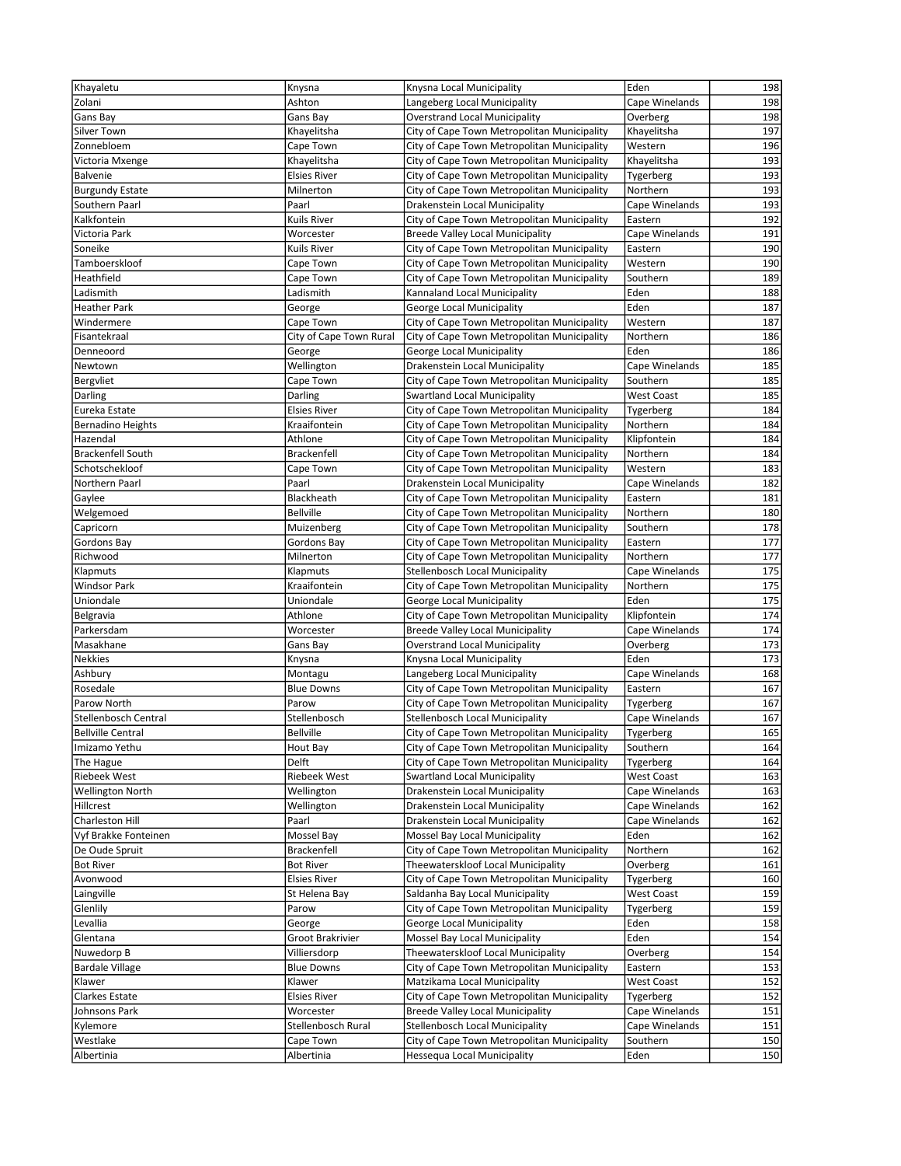| Khayaletu                | Knysna                     | Knysna Local Municipality                                                   | Eden                        | 198        |
|--------------------------|----------------------------|-----------------------------------------------------------------------------|-----------------------------|------------|
| Zolani                   | Ashton                     | Langeberg Local Municipality                                                | Cape Winelands              | 198        |
| Gans Bay                 | Gans Bay                   | <b>Overstrand Local Municipality</b>                                        | Overberg                    | 198        |
| Silver Town              | Khayelitsha                | City of Cape Town Metropolitan Municipality                                 | Khayelitsha                 | 197        |
| Zonnebloem               | Cape Town                  | City of Cape Town Metropolitan Municipality                                 | Western                     | 196        |
| Victoria Mxenge          | Khayelitsha                | City of Cape Town Metropolitan Municipality                                 | Khayelitsha                 | 193        |
| <b>Balvenie</b>          | <b>Elsies River</b>        | City of Cape Town Metropolitan Municipality                                 | Tygerberg                   | 193        |
| <b>Burgundy Estate</b>   | Milnerton                  | City of Cape Town Metropolitan Municipality                                 | Northern                    | 193        |
| Southern Paarl           | Paarl                      | Drakenstein Local Municipality                                              | Cape Winelands              | 193        |
| Kalkfontein              | Kuils River                | City of Cape Town Metropolitan Municipality                                 | Eastern                     | 192        |
| Victoria Park            | Worcester                  | <b>Breede Valley Local Municipality</b>                                     | Cape Winelands              | 191        |
| Soneike                  | Kuils River                | City of Cape Town Metropolitan Municipality                                 | Eastern                     | 190        |
| Tamboerskloof            | Cape Town                  | City of Cape Town Metropolitan Municipality                                 | Western                     | 190        |
| Heathfield               | Cape Town                  | City of Cape Town Metropolitan Municipality                                 | Southern                    | 189        |
| Ladismith                | Ladismith                  | Kannaland Local Municipality                                                | Eden                        | 188        |
| <b>Heather Park</b>      | George                     | George Local Municipality                                                   | Eden                        | 187        |
| Windermere               | Cape Town                  | City of Cape Town Metropolitan Municipality                                 | Western                     | 187        |
| Fisantekraal             | City of Cape Town Rural    | City of Cape Town Metropolitan Municipality                                 | Northern                    | 186        |
| Denneoord                | George                     | George Local Municipality                                                   | Eden                        | 186        |
| Newtown                  | Wellington                 | Drakenstein Local Municipality                                              | Cape Winelands              | 185        |
| Bergvliet                | Cape Town                  | City of Cape Town Metropolitan Municipality                                 | Southern                    | 185        |
| Darling                  | Darling                    | <b>Swartland Local Municipality</b>                                         | <b>West Coast</b>           | 185        |
| Eureka Estate            | <b>Elsies River</b>        | City of Cape Town Metropolitan Municipality                                 | Tygerberg                   | 184        |
| <b>Bernadino Heights</b> | Kraaifontein               | City of Cape Town Metropolitan Municipality                                 | Northern                    | 184        |
| Hazendal                 | Athlone                    | City of Cape Town Metropolitan Municipality                                 | Klipfontein                 | 184        |
| <b>Brackenfell South</b> | <b>Brackenfell</b>         | City of Cape Town Metropolitan Municipality                                 | Northern                    | 184        |
| Schotschekloof           | Cape Town                  | City of Cape Town Metropolitan Municipality                                 | Western                     | 183        |
| Northern Paarl           | Paarl                      | Drakenstein Local Municipality                                              | Cape Winelands              | 182        |
| Gaylee                   | Blackheath                 | City of Cape Town Metropolitan Municipality                                 | Eastern                     | 181        |
| Welgemoed                | <b>Bellville</b>           | City of Cape Town Metropolitan Municipality                                 | Northern                    | 180        |
| Capricorn                | Muizenberg                 | City of Cape Town Metropolitan Municipality                                 | Southern                    | 178        |
| Gordons Bay              | Gordons Bay                | City of Cape Town Metropolitan Municipality                                 | Eastern                     | 177        |
| Richwood                 | Milnerton                  | City of Cape Town Metropolitan Municipality                                 | Northern                    | 177        |
| Klapmuts                 | Klapmuts                   | <b>Stellenbosch Local Municipality</b>                                      | Cape Winelands              | 175        |
| <b>Windsor Park</b>      | Kraaifontein               | City of Cape Town Metropolitan Municipality                                 | Northern                    | 175        |
| Uniondale                | Uniondale                  | George Local Municipality                                                   | Eden                        | 175        |
| Belgravia                | Athlone                    | City of Cape Town Metropolitan Municipality                                 | Klipfontein                 | 174        |
| Parkersdam               | Worcester                  | <b>Breede Valley Local Municipality</b>                                     | Cape Winelands              | 174        |
| Masakhane                | Gans Bay                   | <b>Overstrand Local Municipality</b>                                        | Overberg                    | 173        |
| Nekkies                  | Knysna                     | Knysna Local Municipality                                                   | Eden                        | 173        |
| Ashbury                  | Montagu                    | Langeberg Local Municipality<br>City of Cape Town Metropolitan Municipality | Cape Winelands              | 168<br>167 |
| Rosedale<br>Parow North  | <b>Blue Downs</b><br>Parow | City of Cape Town Metropolitan Municipality                                 | Eastern                     | 167        |
| Stellenbosch Central     | Stellenbosch               | Stellenbosch Local Municipality                                             | Tygerberg<br>Cape Winelands | 167        |
| <b>Bellville Central</b> | <b>Bellville</b>           | City of Cape Town Metropolitan Municipality                                 | Tygerberg                   | 165        |
| Imizamo Yethu            | Hout Bay                   | City of Cape Town Metropolitan Municipality                                 | Southern                    | 164        |
| The Hague                | Delft                      | City of Cape Town Metropolitan Municipality                                 | Tygerberg                   | 164        |
| <b>Riebeek West</b>      | <b>Riebeek West</b>        | <b>Swartland Local Municipality</b>                                         | <b>West Coast</b>           | 163        |
| <b>Wellington North</b>  | Wellington                 | Drakenstein Local Municipality                                              | Cape Winelands              | 163        |
| Hillcrest                | Wellington                 | Drakenstein Local Municipality                                              | Cape Winelands              | 162        |
| Charleston Hill          | Paarl                      | Drakenstein Local Municipality                                              | Cape Winelands              | 162        |
| Vyf Brakke Fonteinen     | Mossel Bay                 | Mossel Bay Local Municipality                                               | Eden                        | 162        |
| De Oude Spruit           | <b>Brackenfell</b>         | City of Cape Town Metropolitan Municipality                                 | Northern                    | 162        |
| <b>Bot River</b>         | Bot River                  | Theewaterskloof Local Municipality                                          | Overberg                    | 161        |
| Avonwood                 | <b>Elsies River</b>        | City of Cape Town Metropolitan Municipality                                 | Tygerberg                   | 160        |
| Laingville               | St Helena Bay              | Saldanha Bay Local Municipality                                             | <b>West Coast</b>           | 159        |
| Glenlily                 | Parow                      | City of Cape Town Metropolitan Municipality                                 | Tygerberg                   | 159        |
| Levallia                 | George                     | George Local Municipality                                                   | Eden                        | 158        |
| Glentana                 | Groot Brakrivier           | Mossel Bay Local Municipality                                               | Eden                        | 154        |
| Nuwedorp B               | Villiersdorp               | Theewaterskloof Local Municipality                                          | Overberg                    | 154        |
| <b>Bardale Village</b>   | <b>Blue Downs</b>          | City of Cape Town Metropolitan Municipality                                 | Eastern                     | 153        |
| Klawer                   | Klawer                     | Matzikama Local Municipality                                                | <b>West Coast</b>           | 152        |
| Clarkes Estate           | <b>Elsies River</b>        | City of Cape Town Metropolitan Municipality                                 | Tygerberg                   | 152        |
| Johnsons Park            | Worcester                  | <b>Breede Valley Local Municipality</b>                                     | Cape Winelands              | 151        |
| Kylemore                 | Stellenbosch Rural         | <b>Stellenbosch Local Municipality</b>                                      | Cape Winelands              | 151        |
| Westlake                 | Cape Town                  | City of Cape Town Metropolitan Municipality                                 | Southern                    | 150        |
| Albertinia               | Albertinia                 | Hessequa Local Municipality                                                 | Eden                        | 150        |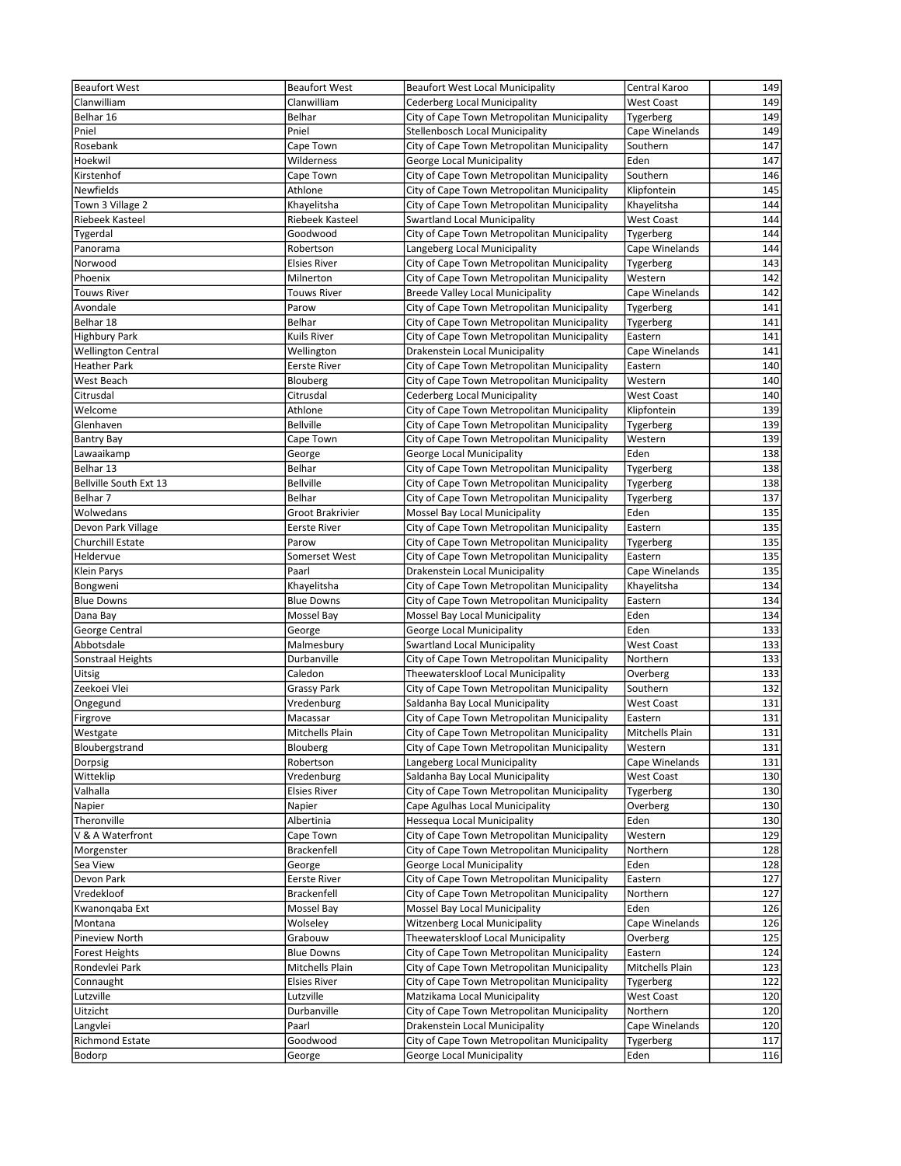| <b>Beaufort West</b>                   | <b>Beaufort West</b>   | <b>Beaufort West Local Municipality</b>                                                    | Central Karoo               | 149        |
|----------------------------------------|------------------------|--------------------------------------------------------------------------------------------|-----------------------------|------------|
| Clanwilliam                            | Clanwilliam            | Cederberg Local Municipality                                                               | West Coast                  | 149        |
| Belhar 16                              | Belhar                 | City of Cape Town Metropolitan Municipality                                                | Tygerberg                   | 149        |
| Pniel                                  | Pniel                  | Stellenbosch Local Municipality                                                            | Cape Winelands              | 149        |
| Rosebank                               | Cape Town              | City of Cape Town Metropolitan Municipality                                                | Southern                    | 147        |
| Hoekwil                                | Wilderness             | George Local Municipality                                                                  | Eden                        | 147        |
| Kirstenhof                             | Cape Town              | City of Cape Town Metropolitan Municipality                                                | Southern                    | 146        |
| Newfields                              | Athlone                | City of Cape Town Metropolitan Municipality                                                | Klipfontein                 | 145        |
| Town 3 Village 2                       | Khayelitsha            | City of Cape Town Metropolitan Municipality                                                | Khayelitsha                 | 144        |
| Riebeek Kasteel                        | <b>Riebeek Kasteel</b> | <b>Swartland Local Municipality</b>                                                        | <b>West Coast</b>           | 144        |
| Tygerdal<br>Panorama                   | Goodwood<br>Robertson  | City of Cape Town Metropolitan Municipality<br>Langeberg Local Municipality                | Tygerberg<br>Cape Winelands | 144<br>144 |
| Norwood                                | <b>Elsies River</b>    | City of Cape Town Metropolitan Municipality                                                |                             | 143        |
| Phoenix                                | Milnerton              | City of Cape Town Metropolitan Municipality                                                | Tygerberg<br>Western        | 142        |
| <b>Touws River</b>                     | Touws River            | <b>Breede Valley Local Municipality</b>                                                    | Cape Winelands              | 142        |
| Avondale                               | Parow                  | City of Cape Town Metropolitan Municipality                                                | Tygerberg                   | 141        |
| Belhar 18                              | Belhar                 | City of Cape Town Metropolitan Municipality                                                | Tygerberg                   | 141        |
| <b>Highbury Park</b>                   | Kuils River            | City of Cape Town Metropolitan Municipality                                                | Eastern                     | 141        |
| <b>Wellington Central</b>              | Wellington             | Drakenstein Local Municipality                                                             | Cape Winelands              | 141        |
| <b>Heather Park</b>                    | <b>Eerste River</b>    | City of Cape Town Metropolitan Municipality                                                | Eastern                     | 140        |
| West Beach                             | Blouberg               | City of Cape Town Metropolitan Municipality                                                | Western                     | 140        |
| Citrusdal                              | Citrusdal              | Cederberg Local Municipality                                                               | <b>West Coast</b>           | 140        |
| Welcome                                | Athlone                | City of Cape Town Metropolitan Municipality                                                | Klipfontein                 | 139        |
| Glenhaven                              | <b>Bellville</b>       | City of Cape Town Metropolitan Municipality                                                | Tygerberg                   | 139        |
| <b>Bantry Bay</b>                      | Cape Town              | City of Cape Town Metropolitan Municipality                                                | Western                     | 139        |
| Lawaaikamp                             | George                 | George Local Municipality                                                                  | Eden                        | 138        |
| Belhar 13                              | Belhar                 | City of Cape Town Metropolitan Municipality                                                | Tygerberg                   | 138        |
| Bellville South Ext 13                 | <b>Bellville</b>       | City of Cape Town Metropolitan Municipality                                                | Tygerberg                   | 138        |
| Belhar 7                               | Belhar                 | City of Cape Town Metropolitan Municipality                                                | Tygerberg                   | 137        |
| Wolwedans                              | Groot Brakrivier       | Mossel Bay Local Municipality                                                              | Eden                        | 135        |
| Devon Park Village<br>Churchill Estate | Eerste River<br>Parow  | City of Cape Town Metropolitan Municipality<br>City of Cape Town Metropolitan Municipality | Eastern                     | 135<br>135 |
| Heldervue                              | Somerset West          | City of Cape Town Metropolitan Municipality                                                | Tygerberg<br>Eastern        | 135        |
| Klein Parys                            | Paarl                  | Drakenstein Local Municipality                                                             | Cape Winelands              | 135        |
| Bongweni                               | Khayelitsha            | City of Cape Town Metropolitan Municipality                                                | Khayelitsha                 | 134        |
| <b>Blue Downs</b>                      | <b>Blue Downs</b>      | City of Cape Town Metropolitan Municipality                                                | Eastern                     | 134        |
| Dana Bay                               | Mossel Bay             | Mossel Bay Local Municipality                                                              | Eden                        | 134        |
| George Central                         | George                 | George Local Municipality                                                                  | Eden                        | 133        |
| Abbotsdale                             | Malmesbury             | <b>Swartland Local Municipality</b>                                                        | <b>West Coast</b>           | 133        |
| Sonstraal Heights                      | Durbanville            | City of Cape Town Metropolitan Municipality                                                | Northern                    | 133        |
| Uitsig                                 | Caledon                | Theewaterskloof Local Municipality                                                         | Overberg                    | 133        |
| Zeekoei Vlei                           | Grassy Park            | City of Cape Town Metropolitan Municipality                                                | Southern                    | 132        |
| Ongegund                               | Vredenburg             | Saldanha Bay Local Municipality                                                            | <b>West Coast</b>           | 131        |
| Firgrove                               | Macassar               | City of Cape Town Metropolitan Municipality                                                | Eastern                     | 131        |
| Westgate                               | Mitchells Plain        | City of Cape Town Metropolitan Municipality                                                | Mitchells Plain             | 131        |
| Bloubergstrand                         | Blouberg               | City of Cape Town Metropolitan Municipality                                                | Western                     | 131        |
| Dorpsig                                | Robertson              | Langeberg Local Municipality                                                               | Cape Winelands              | 131        |
| Witteklip                              | Vredenburg             | Saldanha Bay Local Municipality                                                            | West Coast                  | 130        |
| Valhalla                               | <b>Elsies River</b>    | City of Cape Town Metropolitan Municipality                                                | Tygerberg                   | 130<br>130 |
| Napier<br>Theronville                  | Napier<br>Albertinia   | Cape Agulhas Local Municipality<br>Hessequa Local Municipality                             | Overberg<br>Eden            | 130        |
| V & A Waterfront                       | Cape Town              | City of Cape Town Metropolitan Municipality                                                | Western                     | 129        |
| Morgenster                             | Brackenfell            | City of Cape Town Metropolitan Municipality                                                | Northern                    | 128        |
| Sea View                               | George                 | George Local Municipality                                                                  | Eden                        | 128        |
| Devon Park                             | <b>Eerste River</b>    | City of Cape Town Metropolitan Municipality                                                | Eastern                     | 127        |
| Vredekloof                             | <b>Brackenfell</b>     | City of Cape Town Metropolitan Municipality                                                | Northern                    | 127        |
| Kwanonqaba Ext                         | Mossel Bay             | Mossel Bay Local Municipality                                                              | Eden                        | 126        |
| Montana                                | Wolseley               | <b>Witzenberg Local Municipality</b>                                                       | Cape Winelands              | 126        |
| Pineview North                         | Grabouw                | Theewaterskloof Local Municipality                                                         | Overberg                    | 125        |
| Forest Heights                         | <b>Blue Downs</b>      | City of Cape Town Metropolitan Municipality                                                | Eastern                     | 124        |
| Rondevlei Park                         | Mitchells Plain        | City of Cape Town Metropolitan Municipality                                                | Mitchells Plain             | 123        |
| Connaught                              | <b>Elsies River</b>    | City of Cape Town Metropolitan Municipality                                                | Tygerberg                   | 122        |
| Lutzville                              | Lutzville              | Matzikama Local Municipality                                                               | West Coast                  | 120        |
| Uitzicht                               | Durbanville            | City of Cape Town Metropolitan Municipality                                                | Northern                    | 120        |
| Langvlei                               | Paarl                  | Drakenstein Local Municipality                                                             | Cape Winelands              | 120        |
| <b>Richmond Estate</b>                 | Goodwood               | City of Cape Town Metropolitan Municipality                                                | Tygerberg                   | 117        |
| Bodorp                                 | George                 | George Local Municipality                                                                  | Eden                        | 116        |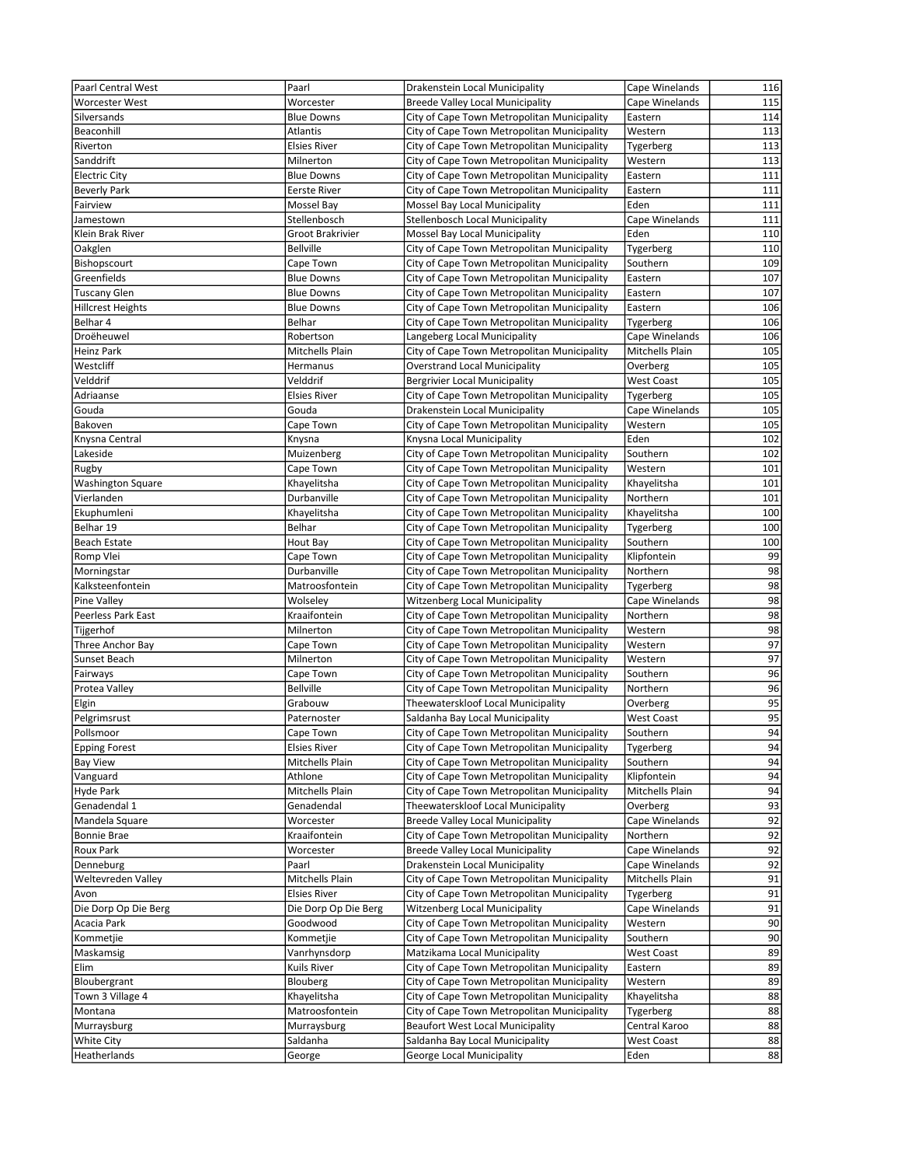| Paarl Central West       | Paarl                | Drakenstein Local Municipality              | Cape Winelands    | 116             |
|--------------------------|----------------------|---------------------------------------------|-------------------|-----------------|
| <b>Worcester West</b>    | Worcester            | <b>Breede Valley Local Municipality</b>     | Cape Winelands    | 115             |
| Silversands              | <b>Blue Downs</b>    | City of Cape Town Metropolitan Municipality | Eastern           | 114             |
| Beaconhill               | Atlantis             | City of Cape Town Metropolitan Municipality | Western           | 113             |
| Riverton                 | <b>Elsies River</b>  | City of Cape Town Metropolitan Municipality | Tygerberg         | 113             |
| Sanddrift                | Milnerton            | City of Cape Town Metropolitan Municipality | Western           | 113             |
| <b>Electric City</b>     | <b>Blue Downs</b>    | City of Cape Town Metropolitan Municipality | Eastern           | 111             |
| <b>Beverly Park</b>      | <b>Eerste River</b>  | City of Cape Town Metropolitan Municipality | Eastern           | 111             |
| Fairview                 | Mossel Bay           | Mossel Bay Local Municipality               | Eden              | 111             |
| Jamestown                | Stellenbosch         | <b>Stellenbosch Local Municipality</b>      | Cape Winelands    | 111             |
|                          |                      |                                             |                   |                 |
| Klein Brak River         | Groot Brakrivier     | Mossel Bay Local Municipality               | Eden              | 110             |
| Oakglen                  | <b>Bellville</b>     | City of Cape Town Metropolitan Municipality | Tygerberg         | 110             |
| Bishopscourt             | Cape Town            | City of Cape Town Metropolitan Municipality | Southern          | 109             |
| Greenfields              | <b>Blue Downs</b>    | City of Cape Town Metropolitan Municipality | Eastern           | 107             |
| <b>Tuscany Glen</b>      | <b>Blue Downs</b>    | City of Cape Town Metropolitan Municipality | Eastern           | 107             |
| <b>Hillcrest Heights</b> | <b>Blue Downs</b>    | City of Cape Town Metropolitan Municipality | Eastern           | 106             |
| Belhar 4                 | Belhar               | City of Cape Town Metropolitan Municipality | Tygerberg         | 106             |
| Droëheuwel               | Robertson            | Langeberg Local Municipality                | Cape Winelands    | 106             |
| Heinz Park               | Mitchells Plain      | City of Cape Town Metropolitan Municipality | Mitchells Plain   | 105             |
| Westcliff                | Hermanus             | <b>Overstrand Local Municipality</b>        | Overberg          | 105             |
| Velddrif                 | Velddrif             | <b>Bergrivier Local Municipality</b>        | <b>West Coast</b> | 105             |
| Adriaanse                | <b>Elsies River</b>  | City of Cape Town Metropolitan Municipality | Tygerberg         | 105             |
| Gouda                    | Gouda                | Drakenstein Local Municipality              | Cape Winelands    | 105             |
| Bakoven                  | Cape Town            | City of Cape Town Metropolitan Municipality | Western           | 105             |
| Knysna Central           | Knysna               | Knysna Local Municipality                   | Eden              | 102             |
| Lakeside                 | Muizenberg           | City of Cape Town Metropolitan Municipality | Southern          | 102             |
| Rugby                    | Cape Town            | City of Cape Town Metropolitan Municipality | Western           | 101             |
| <b>Washington Square</b> | Khayelitsha          | City of Cape Town Metropolitan Municipality | Khayelitsha       | 101             |
| Vierlanden               | Durbanville          | City of Cape Town Metropolitan Municipality | Northern          | 101             |
| Ekuphumleni              | Khayelitsha          | City of Cape Town Metropolitan Municipality | Khayelitsha       | 100             |
| Belhar 19                | Belhar               | City of Cape Town Metropolitan Municipality | Tygerberg         | 100             |
| Beach Estate             | Hout Bay             | City of Cape Town Metropolitan Municipality | Southern          | 100             |
| Romp Vlei                | Cape Town            | City of Cape Town Metropolitan Municipality | Klipfontein       | 99              |
| Morningstar              | Durbanville          | City of Cape Town Metropolitan Municipality | Northern          | $\overline{98}$ |
| Kalksteenfontein         | Matroosfontein       | City of Cape Town Metropolitan Municipality |                   | 98              |
|                          |                      |                                             | Tygerberg         |                 |
| Pine Valley              | Wolseley             | Witzenberg Local Municipality               | Cape Winelands    | 98              |
| Peerless Park East       | Kraaifontein         | City of Cape Town Metropolitan Municipality | Northern          | 98              |
| Tijgerhof                | Milnerton            | City of Cape Town Metropolitan Municipality | Western           | 98              |
| Three Anchor Bay         | Cape Town            | City of Cape Town Metropolitan Municipality | Western           | 97              |
| Sunset Beach             | Milnerton            | City of Cape Town Metropolitan Municipality | Western           | 97              |
| Fairways                 | Cape Town            | City of Cape Town Metropolitan Municipality | Southern          | 96              |
| Protea Valley            | <b>Bellville</b>     | City of Cape Town Metropolitan Municipality | Northern          | 96              |
| Elgin                    | Grabouw              | Theewaterskloof Local Municipality          | Overberg          | 95              |
| Pelgrimsrust             | Paternoster          | Saldanha Bay Local Municipality             | West Coast        | 95              |
| Pollsmoor                | Cape Town            | City of Cape Town Metropolitan Municipality | Southern          | 94              |
| <b>Epping Forest</b>     | <b>Elsies River</b>  | City of Cape Town Metropolitan Municipality | Tygerberg         | 94              |
| <b>Bay View</b>          | Mitchells Plain      | City of Cape Town Metropolitan Municipality | Southern          | 94              |
| Vanguard                 | Athlone              | City of Cape Town Metropolitan Municipality | Klipfontein       | 94              |
| Hyde Park                | Mitchells Plain      | City of Cape Town Metropolitan Municipality | Mitchells Plain   | 94              |
| Genadendal 1             | Genadendal           | Theewaterskloof Local Municipality          | Overberg          | 93              |
| Mandela Square           | Worcester            | <b>Breede Valley Local Municipality</b>     | Cape Winelands    | 92              |
| <b>Bonnie Brae</b>       | Kraaifontein         | City of Cape Town Metropolitan Municipality | Northern          | 92              |
| <b>Roux Park</b>         | Worcester            | <b>Breede Valley Local Municipality</b>     | Cape Winelands    | 92              |
| Denneburg                | Paarl                | Drakenstein Local Municipality              | Cape Winelands    | 92              |
| Weltevreden Valley       | Mitchells Plain      | City of Cape Town Metropolitan Municipality | Mitchells Plain   | 91              |
| Avon                     | <b>Elsies River</b>  | City of Cape Town Metropolitan Municipality | Tygerberg         | 91              |
| Die Dorp Op Die Berg     | Die Dorp Op Die Berg | <b>Witzenberg Local Municipality</b>        | Cape Winelands    | 91              |
| Acacia Park              | Goodwood             | City of Cape Town Metropolitan Municipality | Western           | 90              |
| Kommetjie                | Kommetjie            | City of Cape Town Metropolitan Municipality | Southern          | 90              |
| Maskamsig                | Vanrhynsdorp         | Matzikama Local Municipality                | West Coast        | 89              |
| Elim                     | Kuils River          | City of Cape Town Metropolitan Municipality | Eastern           | 89              |
| Bloubergrant             | Blouberg             | City of Cape Town Metropolitan Municipality | Western           | 89              |
|                          |                      | City of Cape Town Metropolitan Municipality |                   | 88              |
| Town 3 Village 4         | Khayelitsha          |                                             | Khayelitsha       | 88              |
| Montana                  | Matroosfontein       | City of Cape Town Metropolitan Municipality | Tygerberg         |                 |
| Murraysburg              | Murraysburg          | <b>Beaufort West Local Municipality</b>     | Central Karoo     | 88              |
| White City               | Saldanha             | Saldanha Bay Local Municipality             | West Coast        | 88              |
| Heatherlands             | George               | George Local Municipality                   | Eden              | 88              |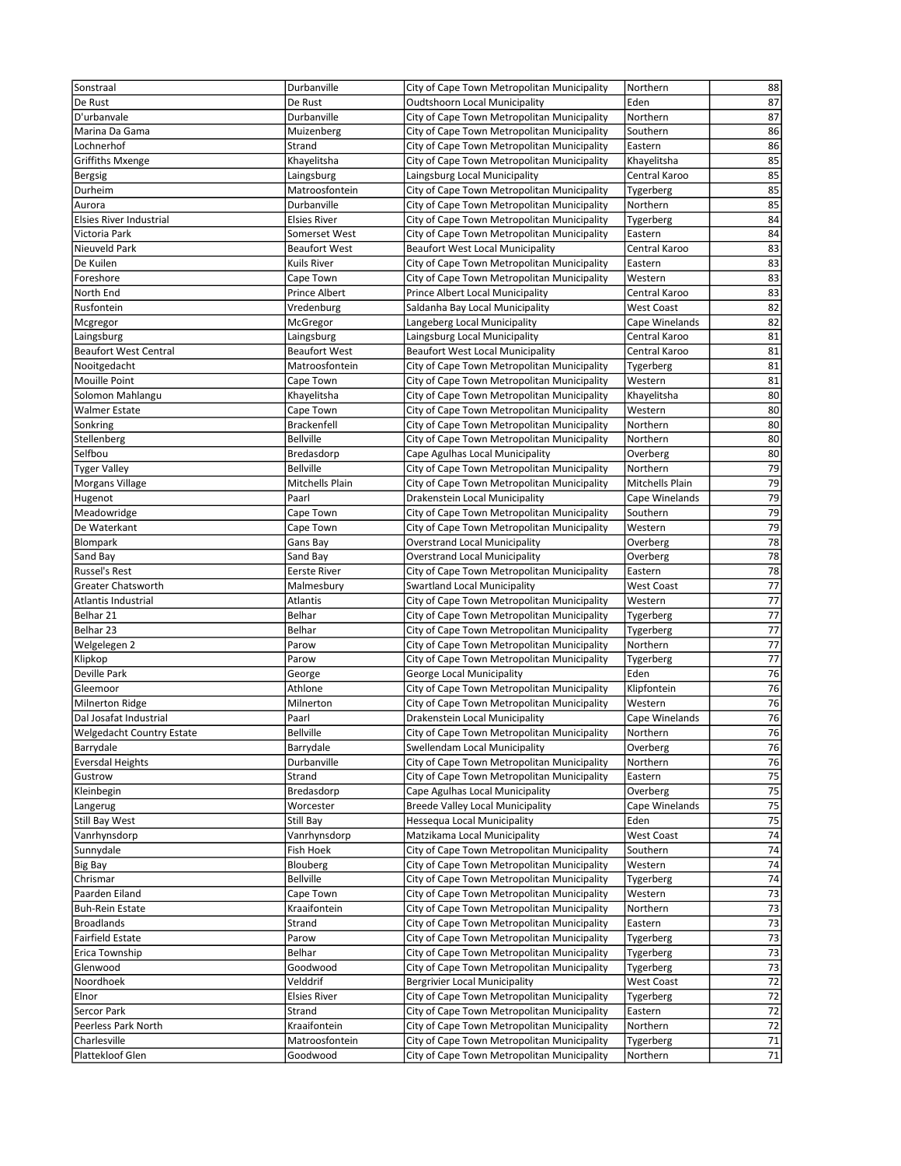| Sonstraal                                  | Durbanville                        | City of Cape Town Metropolitan Municipality                                                | Northern             | 88              |
|--------------------------------------------|------------------------------------|--------------------------------------------------------------------------------------------|----------------------|-----------------|
| De Rust                                    | De Rust                            | Oudtshoorn Local Municipality                                                              | Eden                 | 87              |
| D'urbanvale                                | Durbanville                        | City of Cape Town Metropolitan Municipality                                                | Northern             | 87              |
| Marina Da Gama                             | Muizenberg                         | City of Cape Town Metropolitan Municipality                                                | Southern             | 86              |
| Lochnerhof                                 | Strand                             | City of Cape Town Metropolitan Municipality                                                | Eastern              | 86              |
| <b>Griffiths Mxenge</b>                    | Khayelitsha                        | City of Cape Town Metropolitan Municipality                                                | Khayelitsha          | 85              |
| Bergsig                                    | Laingsburg                         | Laingsburg Local Municipality                                                              | Central Karoo        | 85              |
| Durheim                                    | Matroosfontein                     | City of Cape Town Metropolitan Municipality                                                | Tygerberg            | 85              |
| Aurora                                     | Durbanville                        | City of Cape Town Metropolitan Municipality                                                | Northern             | 85              |
| <b>Elsies River Industrial</b>             | <b>Elsies River</b>                | City of Cape Town Metropolitan Municipality                                                | Tygerberg            | 84              |
| Victoria Park                              | Somerset West                      | City of Cape Town Metropolitan Municipality                                                | Eastern              | 84              |
| Nieuveld Park                              | <b>Beaufort West</b>               | <b>Beaufort West Local Municipality</b>                                                    | Central Karoo        | 83              |
| De Kuilen                                  | Kuils River                        | City of Cape Town Metropolitan Municipality                                                | Eastern              | 83              |
| Foreshore                                  | Cape Town                          | City of Cape Town Metropolitan Municipality                                                | Western              | 83              |
| North End                                  | <b>Prince Albert</b>               | Prince Albert Local Municipality                                                           | Central Karoo        | 83              |
| Rusfontein                                 | Vredenburg                         | Saldanha Bay Local Municipality                                                            | <b>West Coast</b>    | 82              |
| Mcgregor                                   | McGregor                           | Langeberg Local Municipality                                                               | Cape Winelands       | 82              |
|                                            |                                    |                                                                                            | Central Karoo        | 81              |
| Laingsburg<br><b>Beaufort West Central</b> | Laingsburg<br><b>Beaufort West</b> | Laingsburg Local Municipality                                                              |                      | 81              |
|                                            |                                    | Beaufort West Local Municipality                                                           | Central Karoo        |                 |
| Nooitgedacht<br><b>Mouille Point</b>       | Matroosfontein<br>Cape Town        | City of Cape Town Metropolitan Municipality<br>City of Cape Town Metropolitan Municipality | Tygerberg<br>Western | 81<br>81        |
|                                            |                                    |                                                                                            |                      | 80              |
| Solomon Mahlangu                           | Khayelitsha                        | City of Cape Town Metropolitan Municipality                                                | Khayelitsha          |                 |
| <b>Walmer Estate</b>                       | Cape Town                          | City of Cape Town Metropolitan Municipality                                                | Western              | 80              |
| Sonkring                                   | <b>Brackenfell</b>                 | City of Cape Town Metropolitan Municipality                                                | Northern             | 80<br>80        |
| Stellenberg                                | <b>Bellville</b>                   | City of Cape Town Metropolitan Municipality                                                | Northern             |                 |
| Selfbou                                    | Bredasdorp                         | Cape Agulhas Local Municipality                                                            | Overberg             | 80              |
| <b>Tyger Valley</b>                        | <b>Bellville</b>                   | City of Cape Town Metropolitan Municipality                                                | Northern             | 79              |
| Morgans Village                            | Mitchells Plain                    | City of Cape Town Metropolitan Municipality                                                | Mitchells Plain      | 79              |
| Hugenot                                    | Paarl                              | Drakenstein Local Municipality                                                             | Cape Winelands       | 79              |
| Meadowridge                                | Cape Town                          | City of Cape Town Metropolitan Municipality                                                | Southern             | 79              |
| De Waterkant                               | Cape Town                          | City of Cape Town Metropolitan Municipality                                                | Western              | 79              |
| Blompark                                   | Gans Bay                           | <b>Overstrand Local Municipality</b>                                                       | Overberg             | 78              |
| Sand Bay                                   | Sand Bay                           | <b>Overstrand Local Municipality</b>                                                       | Overberg             | 78              |
| Russel's Rest                              | Eerste River                       | City of Cape Town Metropolitan Municipality                                                | Eastern              | $\overline{78}$ |
| Greater Chatsworth                         | Malmesbury                         | <b>Swartland Local Municipality</b>                                                        | <b>West Coast</b>    | 77              |
| Atlantis Industrial                        | Atlantis                           | City of Cape Town Metropolitan Municipality                                                | Western              | 77              |
| Belhar 21                                  | Belhar                             | City of Cape Town Metropolitan Municipality                                                | Tygerberg            | $\overline{77}$ |
| Belhar 23                                  | Belhar                             | City of Cape Town Metropolitan Municipality                                                | Tygerberg            | $\overline{77}$ |
| Welgelegen 2                               | Parow                              | City of Cape Town Metropolitan Municipality                                                | Northern             | $\overline{77}$ |
| Klipkop                                    | Parow                              | City of Cape Town Metropolitan Municipality                                                | Tygerberg            | $\overline{77}$ |
| Deville Park                               | George                             | George Local Municipality                                                                  | Eden                 | 76              |
| Gleemoor                                   | Athlone                            | City of Cape Town Metropolitan Municipality                                                | Klipfontein          | 76              |
| Milnerton Ridge                            | Milnerton                          | City of Cape Town Metropolitan Municipality                                                | Western              | $\overline{76}$ |
| Dal Josafat Industrial                     | Paarl                              | Drakenstein Local Municipality                                                             | Cape Winelands       | 76              |
| <b>Welgedacht Country Estate</b>           | <b>Bellville</b>                   | City of Cape Town Metropolitan Municipality                                                | Northern             | 76              |
| Barrydale                                  | Barrydale                          | Swellendam Local Municipality                                                              | Overberg             | 76              |
| <b>Eversdal Heights</b>                    | Durbanville                        | City of Cape Town Metropolitan Municipality                                                | Northern             | 76              |
| Gustrow                                    | Strand                             | City of Cape Town Metropolitan Municipality                                                | Eastern              | 75              |
| Kleinbegin                                 | Bredasdorp                         | Cape Agulhas Local Municipality                                                            | Overberg             | 75              |
| Langerug                                   | Worcester                          | <b>Breede Valley Local Municipality</b>                                                    | Cape Winelands       | $\overline{75}$ |
| Still Bay West                             | Still Bay                          | Hessequa Local Municipality                                                                | Eden                 | 75              |
| Vanrhynsdorp                               | Vanrhynsdorp                       | Matzikama Local Municipality                                                               | <b>West Coast</b>    | $\overline{74}$ |
| Sunnydale                                  | Fish Hoek                          | City of Cape Town Metropolitan Municipality                                                | Southern             | 74              |
| Big Bay                                    | Blouberg                           | City of Cape Town Metropolitan Municipality                                                | Western              | 74              |
| Chrismar                                   | <b>Bellville</b>                   | City of Cape Town Metropolitan Municipality                                                | Tygerberg            | 74              |
| Paarden Eiland                             | Cape Town                          | City of Cape Town Metropolitan Municipality                                                | Western              | 73              |
| <b>Buh-Rein Estate</b>                     | Kraaifontein                       | City of Cape Town Metropolitan Municipality                                                | Northern             | 73              |
| <b>Broadlands</b>                          | Strand                             | City of Cape Town Metropolitan Municipality                                                | Eastern              | 73              |
| Fairfield Estate                           | Parow                              | City of Cape Town Metropolitan Municipality                                                | Tygerberg            | $\overline{73}$ |
| Erica Township                             | Belhar                             | City of Cape Town Metropolitan Municipality                                                | Tygerberg            | 73              |
| Glenwood                                   | Goodwood                           | City of Cape Town Metropolitan Municipality                                                | Tygerberg            | $\overline{73}$ |
| Noordhoek                                  | Velddrif                           | <b>Bergrivier Local Municipality</b>                                                       | <b>West Coast</b>    | $\overline{72}$ |
| Elnor                                      | <b>Elsies River</b>                | City of Cape Town Metropolitan Municipality                                                | Tygerberg            | 72              |
| Sercor Park                                | Strand                             | City of Cape Town Metropolitan Municipality                                                | Eastern              | 72              |
| Peerless Park North                        | Kraaifontein                       | City of Cape Town Metropolitan Municipality                                                | Northern             | 72              |
| Charlesville                               | Matroosfontein                     | City of Cape Town Metropolitan Municipality                                                | Tygerberg            | ${\bf 71}$      |
| Plattekloof Glen                           | Goodwood                           | City of Cape Town Metropolitan Municipality                                                | Northern             | 71              |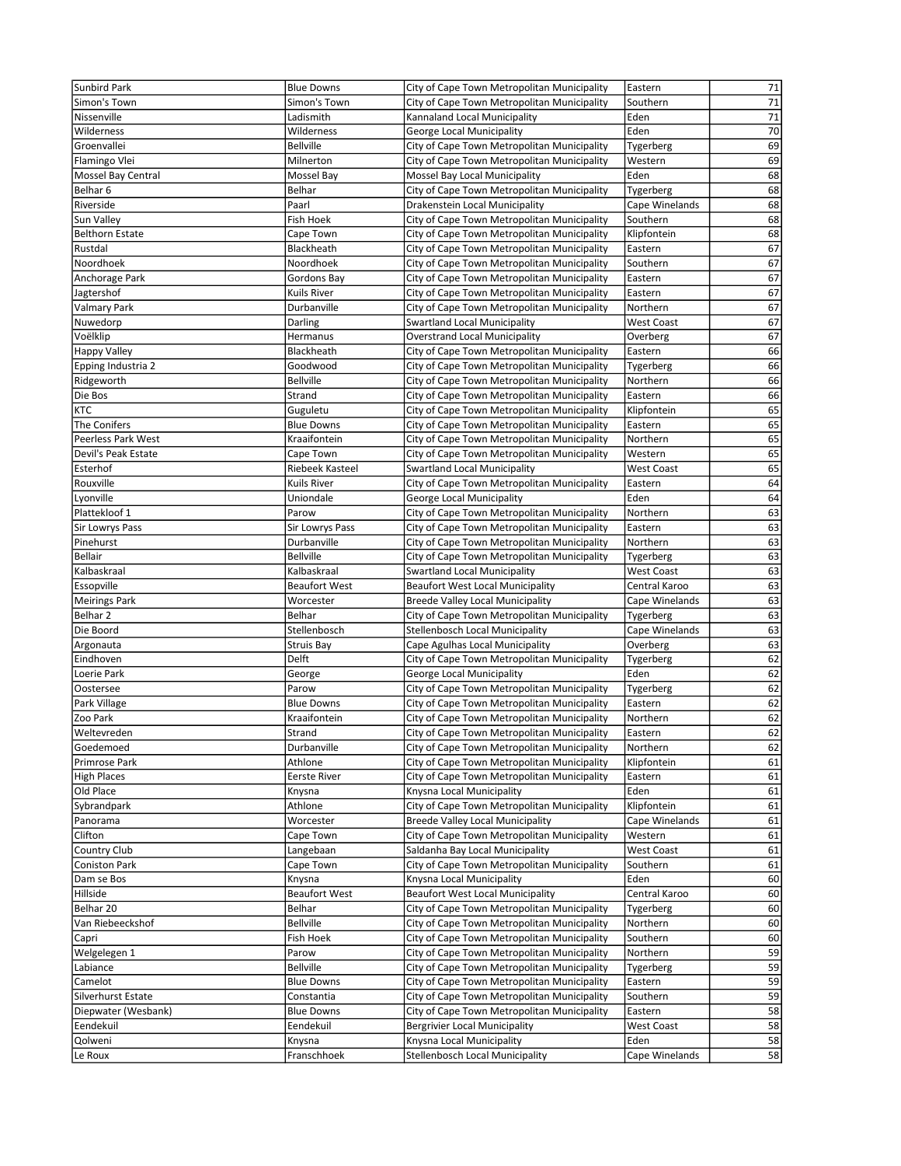| Sunbird Park           | <b>Blue Downs</b>    | City of Cape Town Metropolitan Municipality | Eastern           | 71              |
|------------------------|----------------------|---------------------------------------------|-------------------|-----------------|
| Simon's Town           | Simon's Town         | City of Cape Town Metropolitan Municipality | Southern          | 71              |
| Nissenville            | Ladismith            | Kannaland Local Municipality                | Eden              | 71              |
| Wilderness             | Wilderness           | George Local Municipality                   | Eden              | 70              |
| Groenvallei            | <b>Bellville</b>     | City of Cape Town Metropolitan Municipality | Tygerberg         | 69              |
| Flamingo Vlei          | Milnerton            | City of Cape Town Metropolitan Municipality | Western           | 69              |
| Mossel Bay Central     | Mossel Bay           | Mossel Bay Local Municipality               | Eden              | 68              |
| Belhar 6               | Belhar               | City of Cape Town Metropolitan Municipality | Tygerberg         | 68              |
| Riverside              | Paarl                | Drakenstein Local Municipality              | Cape Winelands    | 68              |
| Sun Valley             | Fish Hoek            | City of Cape Town Metropolitan Municipality | Southern          | 68              |
| <b>Belthorn Estate</b> | Cape Town            | City of Cape Town Metropolitan Municipality | Klipfontein       | 68              |
| Rustdal                | Blackheath           | City of Cape Town Metropolitan Municipality | Eastern           | 67              |
| Noordhoek              | Noordhoek            | City of Cape Town Metropolitan Municipality | Southern          | 67              |
| Anchorage Park         | Gordons Bay          | City of Cape Town Metropolitan Municipality | Eastern           | 67              |
| Jagtershof             | Kuils River          | City of Cape Town Metropolitan Municipality | Eastern           | 67              |
| Valmary Park           | Durbanville          | City of Cape Town Metropolitan Municipality | Northern          | 67              |
| Nuwedorp               | Darling              | <b>Swartland Local Municipality</b>         | <b>West Coast</b> | 67              |
| Voëlklip               | Hermanus             | <b>Overstrand Local Municipality</b>        | Overberg          | 67              |
|                        | Blackheath           | City of Cape Town Metropolitan Municipality |                   | 66              |
| Happy Valley           |                      |                                             | Eastern           |                 |
| Epping Industria 2     | Goodwood             | City of Cape Town Metropolitan Municipality | Tygerberg         | 66              |
| Ridgeworth             | <b>Bellville</b>     | City of Cape Town Metropolitan Municipality | Northern          | 66              |
| Die Bos                | Strand               | City of Cape Town Metropolitan Municipality | Eastern           | 66              |
| KTC                    | Guguletu             | City of Cape Town Metropolitan Municipality | Klipfontein       | 65              |
| The Conifers           | <b>Blue Downs</b>    | City of Cape Town Metropolitan Municipality | Eastern           | 65              |
| Peerless Park West     | Kraaifontein         | City of Cape Town Metropolitan Municipality | Northern          | 65              |
| Devil's Peak Estate    | Cape Town            | City of Cape Town Metropolitan Municipality | Western           | 65              |
| Esterhof               | Riebeek Kasteel      | <b>Swartland Local Municipality</b>         | <b>West Coast</b> | 65              |
| Rouxville              | <b>Kuils River</b>   | City of Cape Town Metropolitan Municipality | Eastern           | 64              |
| Lyonville              | Uniondale            | George Local Municipality                   | Eden              | 64              |
| Plattekloof 1          | Parow                | City of Cape Town Metropolitan Municipality | Northern          | 63              |
| Sir Lowrys Pass        | Sir Lowrys Pass      | City of Cape Town Metropolitan Municipality | Eastern           | 63              |
| Pinehurst              | Durbanville          | City of Cape Town Metropolitan Municipality | Northern          | 63              |
| Bellair                | <b>Bellville</b>     | City of Cape Town Metropolitan Municipality | Tygerberg         | 63              |
| Kalbaskraal            | Kalbaskraal          | Swartland Local Municipality                | West Coast        | 63              |
| Essopville             | <b>Beaufort West</b> | <b>Beaufort West Local Municipality</b>     | Central Karoo     | 63              |
| <b>Meirings Park</b>   | Worcester            | <b>Breede Valley Local Municipality</b>     | Cape Winelands    | 63              |
| Belhar <sub>2</sub>    | Belhar               | City of Cape Town Metropolitan Municipality | Tygerberg         | 63              |
| Die Boord              | Stellenbosch         | Stellenbosch Local Municipality             | Cape Winelands    | 63              |
| Argonauta              | Struis Bay           | Cape Agulhas Local Municipality             | Overberg          | 63              |
| Eindhoven              | Delft                | City of Cape Town Metropolitan Municipality | Tygerberg         | 62              |
| Loerie Park            | George               | George Local Municipality                   | Eden              | 62              |
| Oostersee              | Parow                | City of Cape Town Metropolitan Municipality | Tygerberg         | 62              |
| Park Village           | <b>Blue Downs</b>    | City of Cape Town Metropolitan Municipality | Eastern           | 62              |
| Zoo Park               | Kraaifontein         | City of Cape Town Metropolitan Municipality | Northern          | 62              |
| Weltevreden            | Strand               | City of Cape Town Metropolitan Municipality | Eastern           | 62              |
| Goedemoed              | Durbanville          | City of Cape Town Metropolitan Municipality | Northern          | 62              |
| Primrose Park          | Athlone              | City of Cape Town Metropolitan Municipality | Klipfontein       | 61              |
| <b>High Places</b>     | <b>Eerste River</b>  | City of Cape Town Metropolitan Municipality | Eastern           | 61              |
| Old Place              | Knysna               | Knysna Local Municipality                   | Eden              | 61              |
| Sybrandpark            | Athlone              | City of Cape Town Metropolitan Municipality | Klipfontein       | 61              |
| Panorama               | Worcester            | <b>Breede Valley Local Municipality</b>     | Cape Winelands    | 61              |
| Clifton                | Cape Town            | City of Cape Town Metropolitan Municipality | Western           | 61              |
| Country Club           | Langebaan            | Saldanha Bay Local Municipality             | <b>West Coast</b> | 61              |
| <b>Coniston Park</b>   | Cape Town            | City of Cape Town Metropolitan Municipality | Southern          | 61              |
| Dam se Bos             | Knysna               | Knysna Local Municipality                   | Eden              | 60              |
| Hillside               | <b>Beaufort West</b> | <b>Beaufort West Local Municipality</b>     | Central Karoo     | 60              |
| Belhar 20              | Belhar               | City of Cape Town Metropolitan Municipality | Tygerberg         | 60              |
| Van Riebeeckshof       | <b>Bellville</b>     | City of Cape Town Metropolitan Municipality | Northern          | 60              |
| Capri                  | Fish Hoek            | City of Cape Town Metropolitan Municipality | Southern          | 60              |
| Welgelegen 1           | Parow                | City of Cape Town Metropolitan Municipality | Northern          | 59              |
| Labiance               | <b>Bellville</b>     | City of Cape Town Metropolitan Municipality | Tygerberg         | 59              |
| Camelot                | <b>Blue Downs</b>    | City of Cape Town Metropolitan Municipality | Eastern           | 59              |
|                        |                      |                                             |                   | 59              |
| Silverhurst Estate     | Constantia           | City of Cape Town Metropolitan Municipality | Southern          |                 |
| Diepwater (Wesbank)    | <b>Blue Downs</b>    | City of Cape Town Metropolitan Municipality | Eastern           | 58              |
| Eendekuil              | Eendekuil            | <b>Bergrivier Local Municipality</b>        | <b>West Coast</b> | 58              |
| Qolweni                | Knysna               | Knysna Local Municipality                   | Eden              | $\overline{58}$ |
| Le Roux                | Franschhoek          | Stellenbosch Local Municipality             | Cape Winelands    | 58              |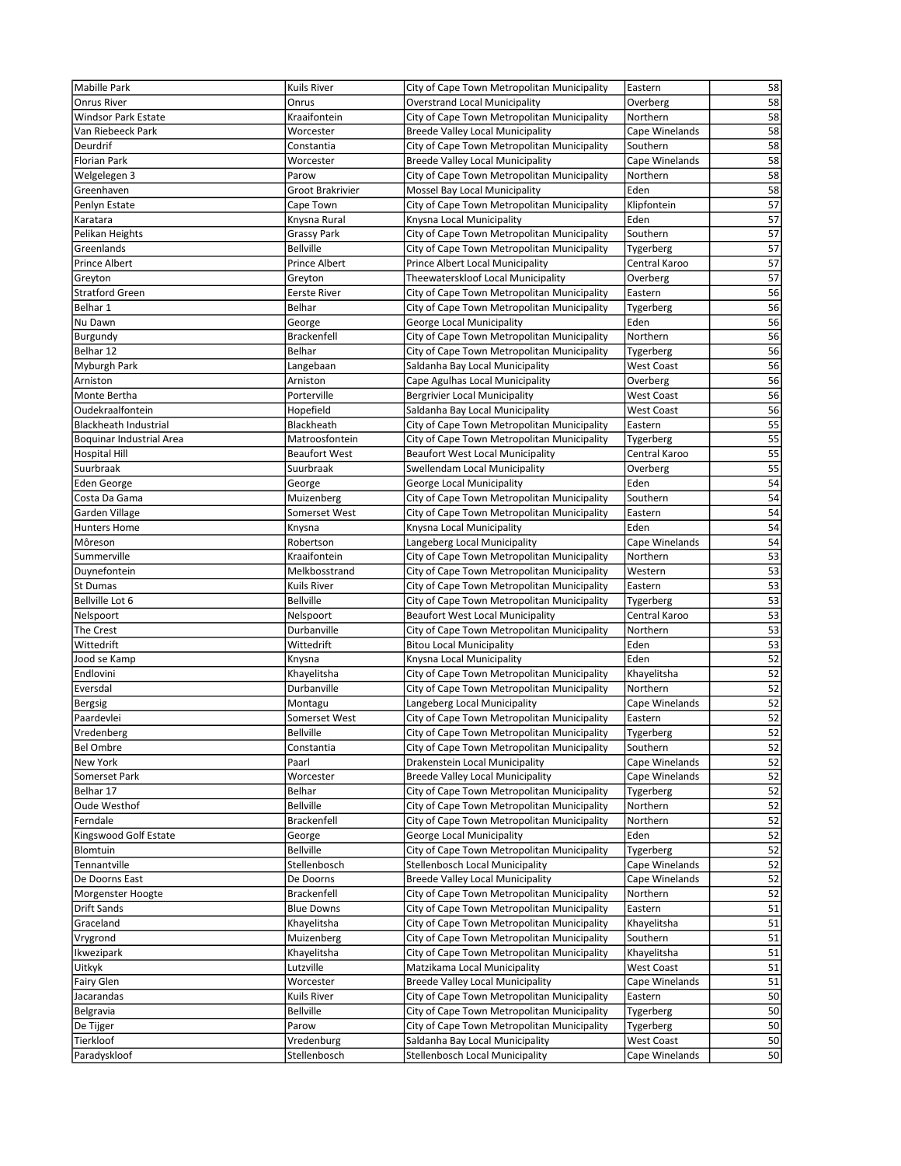| <b>Mabille Park</b>             | Kuils River          | City of Cape Town Metropolitan Municipality                                 | Eastern                | 58              |
|---------------------------------|----------------------|-----------------------------------------------------------------------------|------------------------|-----------------|
| Onrus River                     | Onrus                | <b>Overstrand Local Municipality</b>                                        | Overberg               | 58              |
| <b>Windsor Park Estate</b>      | Kraaifontein         | City of Cape Town Metropolitan Municipality                                 | Northern               | 58              |
| Van Riebeeck Park               | Worcester            | <b>Breede Valley Local Municipality</b>                                     | Cape Winelands         | 58              |
| Deurdrif                        | Constantia           | City of Cape Town Metropolitan Municipality                                 | Southern               | 58              |
| Florian Park                    | Worcester            | <b>Breede Valley Local Municipality</b>                                     | Cape Winelands         | 58              |
| Welgelegen 3                    | Parow                | City of Cape Town Metropolitan Municipality                                 | Northern               | 58              |
| Greenhaven                      | Groot Brakrivier     | Mossel Bay Local Municipality                                               | Eden                   | 58              |
| Penlyn Estate                   | Cape Town            | City of Cape Town Metropolitan Municipality                                 | Klipfontein            | 57              |
| Karatara                        | Knysna Rural         | Knysna Local Municipality                                                   | Eden                   | 57              |
| Pelikan Heights                 | <b>Grassy Park</b>   | City of Cape Town Metropolitan Municipality                                 | Southern               | $\overline{57}$ |
| Greenlands                      | <b>Bellville</b>     | City of Cape Town Metropolitan Municipality                                 | Tygerberg              | 57              |
| Prince Albert                   | Prince Albert        | Prince Albert Local Municipality                                            | Central Karoo          | 57              |
| Greyton                         | Greyton              | Theewaterskloof Local Municipality                                          | Overberg               | 57              |
| <b>Stratford Green</b>          | <b>Eerste River</b>  | City of Cape Town Metropolitan Municipality                                 | Eastern                | 56              |
| Belhar 1                        | Belhar               | City of Cape Town Metropolitan Municipality                                 | Tygerberg              | 56              |
| Nu Dawn                         | George               | George Local Municipality                                                   | Eden                   | 56              |
| Burgundy                        | <b>Brackenfell</b>   | City of Cape Town Metropolitan Municipality                                 | Northern               | 56              |
| Belhar 12                       | Belhar               | City of Cape Town Metropolitan Municipality                                 | Tygerberg              | 56              |
| Myburgh Park                    | Langebaan            | Saldanha Bay Local Municipality                                             | <b>West Coast</b>      | 56              |
| Arniston                        | Arniston             | Cape Agulhas Local Municipality                                             | Overberg               | 56              |
| Monte Bertha                    | Porterville          | <b>Bergrivier Local Municipality</b>                                        | <b>West Coast</b>      | 56              |
| Oudekraalfontein                | Hopefield            | Saldanha Bay Local Municipality                                             | <b>West Coast</b>      | 56              |
| <b>Blackheath Industrial</b>    | Blackheath           | City of Cape Town Metropolitan Municipality                                 | Eastern                | 55              |
| <b>Boquinar Industrial Area</b> | Matroosfontein       | City of Cape Town Metropolitan Municipality                                 | Tygerberg              | $\overline{55}$ |
| <b>Hospital Hill</b>            | <b>Beaufort West</b> | <b>Beaufort West Local Municipality</b>                                     | Central Karoo          | 55              |
| Suurbraak                       | Suurbraak            | Swellendam Local Municipality                                               | Overberg               | 55              |
| Eden George                     | George               | George Local Municipality                                                   | Eden                   | $\overline{54}$ |
| Costa Da Gama                   | Muizenberg           | City of Cape Town Metropolitan Municipality                                 | Southern               | 54              |
| Garden Village                  | Somerset West        | City of Cape Town Metropolitan Municipality                                 | Eastern                | 54<br>54        |
| <b>Hunters Home</b><br>Môreson  | Knysna<br>Robertson  | Knysna Local Municipality                                                   | Eden<br>Cape Winelands | 54              |
| Summerville                     | Kraaifontein         | Langeberg Local Municipality<br>City of Cape Town Metropolitan Municipality | Northern               | 53              |
| Duynefontein                    | Melkbosstrand        | City of Cape Town Metropolitan Municipality                                 | Western                | 53              |
| <b>St Dumas</b>                 | Kuils River          | City of Cape Town Metropolitan Municipality                                 | Eastern                | 53              |
| Bellville Lot 6                 | <b>Bellville</b>     | City of Cape Town Metropolitan Municipality                                 | Tygerberg              | $\overline{53}$ |
| Nelspoort                       | Nelspoort            | <b>Beaufort West Local Municipality</b>                                     | Central Karoo          | $\overline{53}$ |
| The Crest                       | Durbanville          | City of Cape Town Metropolitan Municipality                                 | Northern               | 53              |
| Wittedrift                      | Wittedrift           | <b>Bitou Local Municipality</b>                                             | Eden                   | 53              |
| Jood se Kamp                    | Knysna               | Knysna Local Municipality                                                   | Eden                   | 52              |
| Endlovini                       | Khayelitsha          | City of Cape Town Metropolitan Municipality                                 | Khayelitsha            | 52              |
| Eversdal                        | Durbanville          | City of Cape Town Metropolitan Municipality                                 | Northern               | 52              |
| Bergsig                         | Montagu              | Langeberg Local Municipality                                                | Cape Winelands         | $\overline{52}$ |
| Paardevlei                      | Somerset West        | City of Cape Town Metropolitan Municipality                                 | Eastern                | 52              |
| Vredenberg                      | <b>Bellville</b>     | City of Cape Town Metropolitan Municipality                                 | Tygerberg              | 52              |
| <b>Bel Ombre</b>                | Constantia           | City of Cape Town Metropolitan Municipality                                 | Southern               | 52              |
| New York                        | Paarl                | Drakenstein Local Municipality                                              | Cape Winelands         | 52              |
| Somerset Park                   | Worcester            | <b>Breede Valley Local Municipality</b>                                     | Cape Winelands         | 52              |
| Belhar 17                       | Belhar               | City of Cape Town Metropolitan Municipality                                 | Tygerberg              | 52              |
| Oude Westhof                    | <b>Bellville</b>     | City of Cape Town Metropolitan Municipality                                 | Northern               | 52              |
| Ferndale                        | <b>Brackenfell</b>   | City of Cape Town Metropolitan Municipality                                 | Northern               | 52              |
| Kingswood Golf Estate           | George               | George Local Municipality                                                   | Eden                   | $\overline{52}$ |
| Blomtuin                        | <b>Bellville</b>     | City of Cape Town Metropolitan Municipality                                 | Tygerberg              | 52              |
| Tennantville                    | Stellenbosch         | Stellenbosch Local Municipality                                             | Cape Winelands         | 52              |
| De Doorns East                  | De Doorns            | <b>Breede Valley Local Municipality</b>                                     | Cape Winelands         | 52              |
| Morgenster Hoogte               | <b>Brackenfell</b>   | City of Cape Town Metropolitan Municipality                                 | Northern               | 52              |
| Drift Sands                     | <b>Blue Downs</b>    | City of Cape Town Metropolitan Municipality                                 | Eastern                | 51              |
| Graceland                       | Khayelitsha          | City of Cape Town Metropolitan Municipality                                 | Khayelitsha            | 51              |
| Vrygrond                        | Muizenberg           | City of Cape Town Metropolitan Municipality                                 | Southern               | 51              |
| Ikwezipark                      | Khayelitsha          | City of Cape Town Metropolitan Municipality                                 | Khayelitsha            | 51              |
| Uitkyk                          | Lutzville            | Matzikama Local Municipality                                                | <b>West Coast</b>      | 51              |
| Fairy Glen                      | Worcester            | <b>Breede Valley Local Municipality</b>                                     | Cape Winelands         | 51              |
| Jacarandas                      | Kuils River          | City of Cape Town Metropolitan Municipality                                 | Eastern                | 50              |
| Belgravia                       | <b>Bellville</b>     | City of Cape Town Metropolitan Municipality                                 | Tygerberg              | 50              |
| De Tijger                       | Parow                | City of Cape Town Metropolitan Municipality                                 | Tygerberg              | 50              |
| Tierkloof                       | Vredenburg           | Saldanha Bay Local Municipality                                             | West Coast             | 50              |
| Paradyskloof                    | Stellenbosch         | Stellenbosch Local Municipality                                             | Cape Winelands         | 50              |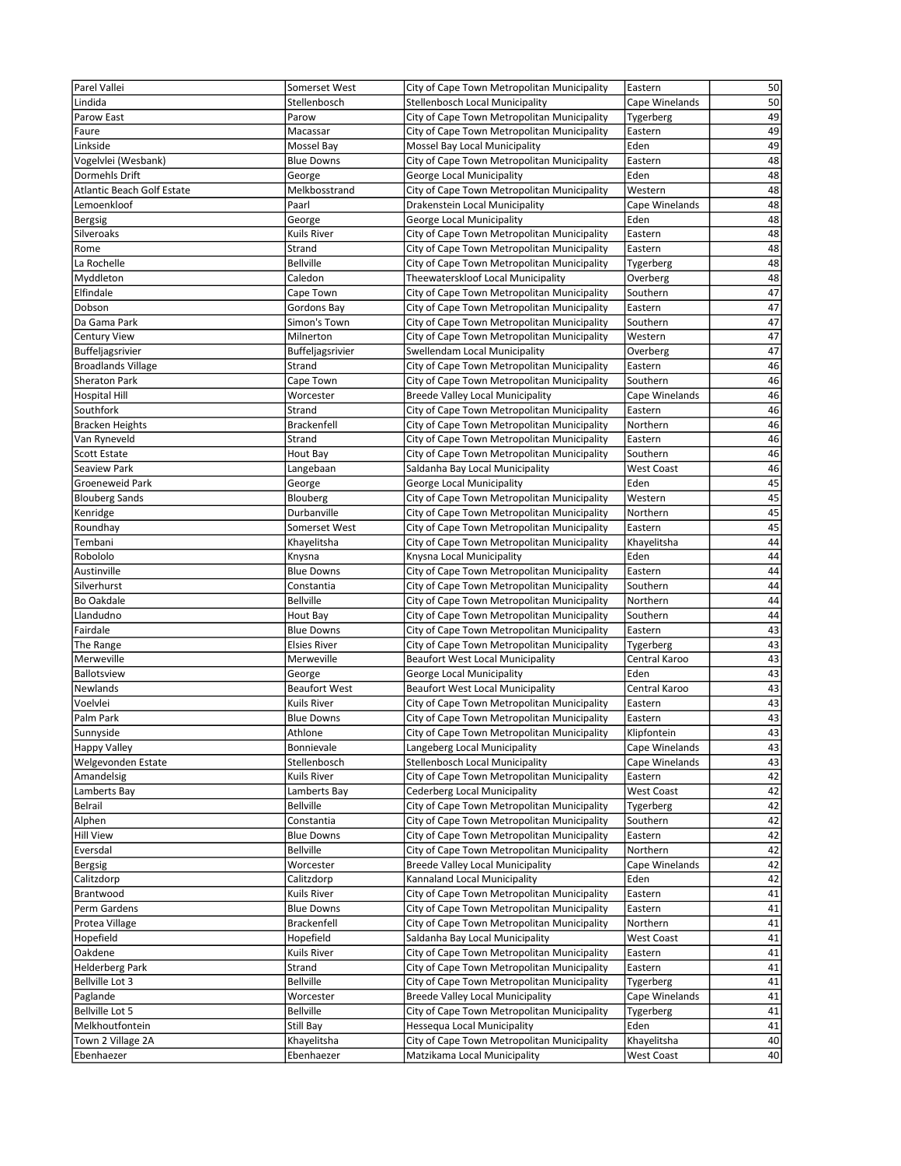| Parel Vallei                      | Somerset West        | City of Cape Town Metropolitan Municipality | Eastern             | 50 |
|-----------------------------------|----------------------|---------------------------------------------|---------------------|----|
| Lindida                           | Stellenbosch         | Stellenbosch Local Municipality             | Cape Winelands      | 50 |
| Parow East                        | Parow                | City of Cape Town Metropolitan Municipality | Tygerberg           | 49 |
| Faure                             | Macassar             | City of Cape Town Metropolitan Municipality | Eastern             | 49 |
| Linkside                          | Mossel Bay           | Mossel Bay Local Municipality               | Eden                | 49 |
| Vogelvlei (Wesbank)               | <b>Blue Downs</b>    | City of Cape Town Metropolitan Municipality | Eastern             | 48 |
| Dormehls Drift                    | George               | George Local Municipality                   | Eden                | 48 |
| <b>Atlantic Beach Golf Estate</b> | Melkbosstrand        | City of Cape Town Metropolitan Municipality | Western             | 48 |
| Lemoenkloof                       | Paarl                | Drakenstein Local Municipality              | Cape Winelands      | 48 |
| Bergsig                           | George               | George Local Municipality                   | Eden                | 48 |
| Silveroaks                        | Kuils River          | City of Cape Town Metropolitan Municipality | Eastern             | 48 |
| Rome                              | Strand               | City of Cape Town Metropolitan Municipality | Eastern             | 48 |
| La Rochelle                       | <b>Bellville</b>     | City of Cape Town Metropolitan Municipality | Tygerberg           | 48 |
| Myddleton                         | Caledon              | Theewaterskloof Local Municipality          | Overberg            | 48 |
| Elfindale                         | Cape Town            | City of Cape Town Metropolitan Municipality | Southern            | 47 |
|                                   |                      |                                             |                     | 47 |
| Dobson<br>Da Gama Park            | Gordons Bay          | City of Cape Town Metropolitan Municipality | Eastern<br>Southern | 47 |
|                                   | Simon's Town         | City of Cape Town Metropolitan Municipality |                     |    |
| <b>Century View</b>               | Milnerton            | City of Cape Town Metropolitan Municipality | Western             | 47 |
| <b>Buffeljagsrivier</b>           | Buffeljagsrivier     | Swellendam Local Municipality               | Overberg            | 47 |
| <b>Broadlands Village</b>         | Strand               | City of Cape Town Metropolitan Municipality | Eastern             | 46 |
| <b>Sheraton Park</b>              | Cape Town            | City of Cape Town Metropolitan Municipality | Southern            | 46 |
| <b>Hospital Hill</b>              | Worcester            | <b>Breede Valley Local Municipality</b>     | Cape Winelands      | 46 |
| Southfork                         | Strand               | City of Cape Town Metropolitan Municipality | Eastern             | 46 |
| <b>Bracken Heights</b>            | <b>Brackenfell</b>   | City of Cape Town Metropolitan Municipality | Northern            | 46 |
| Van Ryneveld                      | Strand               | City of Cape Town Metropolitan Municipality | Eastern             | 46 |
| Scott Estate                      | Hout Bay             | City of Cape Town Metropolitan Municipality | Southern            | 46 |
| Seaview Park                      | Langebaan            | Saldanha Bay Local Municipality             | <b>West Coast</b>   | 46 |
| <b>Groeneweid Park</b>            | George               | George Local Municipality                   | Eden                | 45 |
| <b>Blouberg Sands</b>             | Blouberg             | City of Cape Town Metropolitan Municipality | Western             | 45 |
| Kenridge                          | Durbanville          | City of Cape Town Metropolitan Municipality | Northern            | 45 |
| Roundhay                          | Somerset West        | City of Cape Town Metropolitan Municipality | Eastern             | 45 |
| Tembani                           | Khayelitsha          | City of Cape Town Metropolitan Municipality | Khayelitsha         | 44 |
| Robololo                          | Knysna               | Knysna Local Municipality                   | Eden                | 44 |
| Austinville                       | <b>Blue Downs</b>    | City of Cape Town Metropolitan Municipality | Eastern             | 44 |
| Silverhurst                       | Constantia           | City of Cape Town Metropolitan Municipality | Southern            | 44 |
| <b>Bo Oakdale</b>                 | <b>Bellville</b>     | City of Cape Town Metropolitan Municipality | Northern            | 44 |
| Llandudno                         | Hout Bay             | City of Cape Town Metropolitan Municipality | Southern            | 44 |
| Fairdale                          | <b>Blue Downs</b>    | City of Cape Town Metropolitan Municipality | Eastern             | 43 |
| The Range                         | <b>Elsies River</b>  | City of Cape Town Metropolitan Municipality | Tygerberg           | 43 |
| Merweville                        | Merweville           | <b>Beaufort West Local Municipality</b>     | Central Karoo       | 43 |
| Ballotsview                       | George               | George Local Municipality                   | Eden                | 43 |
| Newlands                          | <b>Beaufort West</b> | <b>Beaufort West Local Municipality</b>     | Central Karoo       | 43 |
| Voelvlei                          | Kuils River          | City of Cape Town Metropolitan Municipality | Eastern             | 43 |
| Palm Park                         | <b>Blue Downs</b>    | City of Cape Town Metropolitan Municipality | Eastern             | 43 |
| Sunnyside                         | Athlone              | City of Cape Town Metropolitan Municipality | Klipfontein         | 43 |
| <b>Happy Valley</b>               | Bonnievale           | Langeberg Local Municipality                | Cape Winelands      | 43 |
|                                   | Stellenbosch         |                                             | Cape Winelands      |    |
| Welgevonden Estate                |                      | Stellenbosch Local Municipality             |                     | 43 |
| Amandelsig                        | Kuils River          | City of Cape Town Metropolitan Municipality | Eastern             | 42 |
| Lamberts Bay                      | Lamberts Bay         | Cederberg Local Municipality                | <b>West Coast</b>   | 42 |
| Belrail                           | <b>Bellville</b>     | City of Cape Town Metropolitan Municipality | Tygerberg           | 42 |
| Alphen                            | Constantia           | City of Cape Town Metropolitan Municipality | Southern            | 42 |
| <b>Hill View</b>                  | <b>Blue Downs</b>    | City of Cape Town Metropolitan Municipality | Eastern             | 42 |
| Eversdal                          | <b>Bellville</b>     | City of Cape Town Metropolitan Municipality | Northern            | 42 |
| Bergsig                           | Worcester            | <b>Breede Valley Local Municipality</b>     | Cape Winelands      | 42 |
| Calitzdorp                        | Calitzdorp           | Kannaland Local Municipality                | Eden                | 42 |
| Brantwood                         | Kuils River          | City of Cape Town Metropolitan Municipality | Eastern             | 41 |
| Perm Gardens                      | <b>Blue Downs</b>    | City of Cape Town Metropolitan Municipality | Eastern             | 41 |
| Protea Village                    | <b>Brackenfell</b>   | City of Cape Town Metropolitan Municipality | Northern            | 41 |
| Hopefield                         | Hopefield            | Saldanha Bay Local Municipality             | <b>West Coast</b>   | 41 |
| Oakdene                           | Kuils River          | City of Cape Town Metropolitan Municipality | Eastern             | 41 |
| <b>Helderberg Park</b>            | Strand               | City of Cape Town Metropolitan Municipality | Eastern             | 41 |
| Bellville Lot 3                   | <b>Bellville</b>     | City of Cape Town Metropolitan Municipality | Tygerberg           | 41 |
| Paglande                          | Worcester            | <b>Breede Valley Local Municipality</b>     | Cape Winelands      | 41 |
| Bellville Lot 5                   | <b>Bellville</b>     | City of Cape Town Metropolitan Municipality | Tygerberg           | 41 |
| Melkhoutfontein                   | Still Bay            | Hessequa Local Municipality                 | Eden                | 41 |
| Town 2 Village 2A                 | Khayelitsha          | City of Cape Town Metropolitan Municipality | Khayelitsha         | 40 |
| Ebenhaezer                        | Ebenhaezer           | Matzikama Local Municipality                | West Coast          | 40 |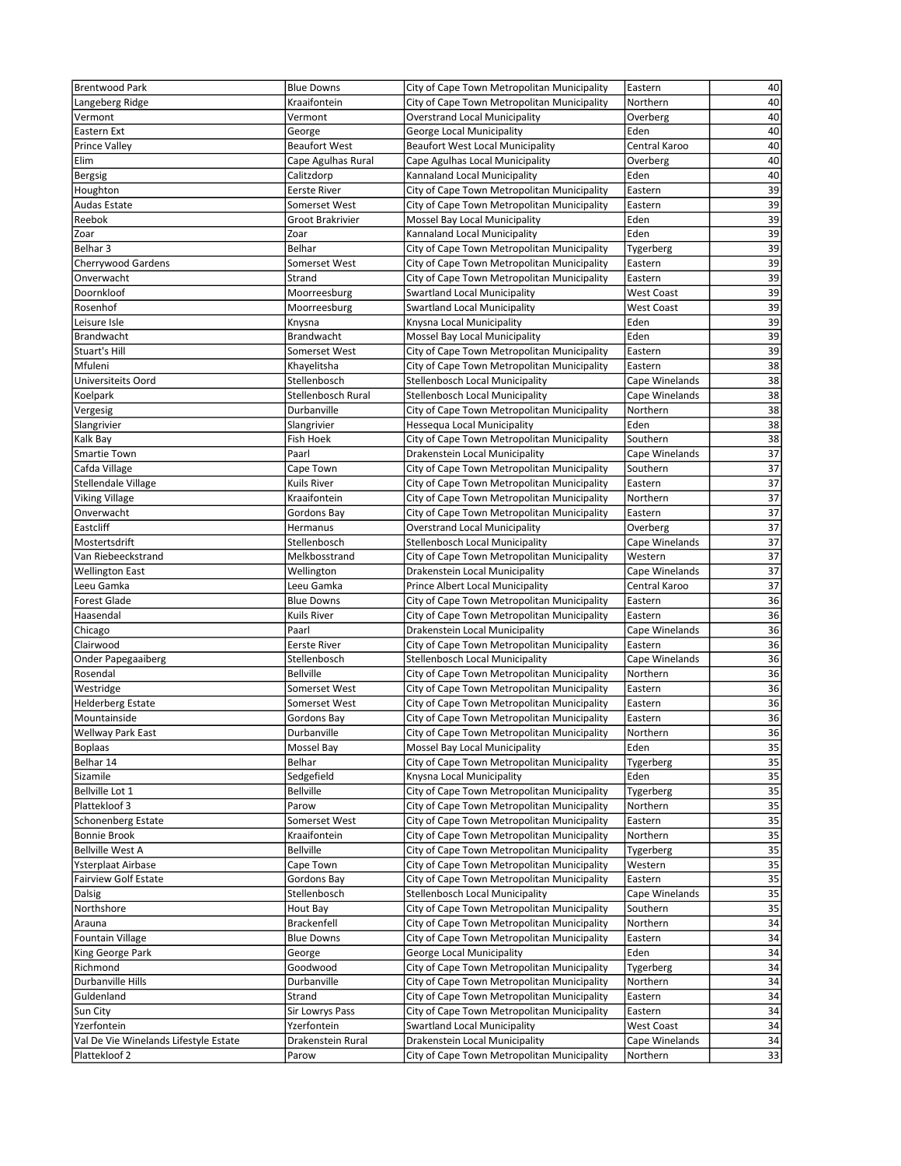| <b>Brentwood Park</b>                 | <b>Blue Downs</b>           | City of Cape Town Metropolitan Municipality                                                | Eastern             | 40              |
|---------------------------------------|-----------------------------|--------------------------------------------------------------------------------------------|---------------------|-----------------|
| Langeberg Ridge                       | Kraaifontein                | City of Cape Town Metropolitan Municipality                                                | Northern            | 40              |
| Vermont                               | Vermont                     | <b>Overstrand Local Municipality</b>                                                       | Overberg            | 40              |
| Eastern Ext                           | George                      | George Local Municipality                                                                  | Eden                | 40              |
| <b>Prince Valley</b>                  | <b>Beaufort West</b>        | <b>Beaufort West Local Municipality</b>                                                    | Central Karoo       | 40              |
| Elim                                  | Cape Agulhas Rural          | Cape Agulhas Local Municipality                                                            | Overberg            | 40              |
| <b>Bergsig</b>                        | Calitzdorp                  | Kannaland Local Municipality                                                               | Eden                | 40              |
| Houghton                              | <b>Eerste River</b>         | City of Cape Town Metropolitan Municipality                                                | Eastern             | 39              |
| Audas Estate                          | Somerset West               | City of Cape Town Metropolitan Municipality                                                | Eastern             | 39              |
| Reebok                                | Groot Brakrivier            | Mossel Bay Local Municipality                                                              | Eden                | 39              |
| Zoar                                  | Zoar                        | Kannaland Local Municipality                                                               | Eden                | 39              |
| Belhar 3                              | Belhar                      | City of Cape Town Metropolitan Municipality                                                | Tygerberg           | 39              |
| <b>Cherrywood Gardens</b>             | Somerset West               | City of Cape Town Metropolitan Municipality                                                | Eastern             | 39              |
| Onverwacht                            | Strand                      | City of Cape Town Metropolitan Municipality                                                | Eastern             | 39              |
| Doornkloof                            | Moorreesburg                | <b>Swartland Local Municipality</b>                                                        | <b>West Coast</b>   | 39              |
| Rosenhof                              | Moorreesburg                | Swartland Local Municipality                                                               | <b>West Coast</b>   | 39              |
| Leisure Isle                          | Knysna                      | Knysna Local Municipality                                                                  | Eden                | 39              |
| <b>Brandwacht</b>                     | Brandwacht                  | Mossel Bay Local Municipality                                                              | Eden                | 39              |
| Stuart's Hill                         | Somerset West               | City of Cape Town Metropolitan Municipality                                                | Eastern             | 39              |
| Mfuleni                               | Khayelitsha                 | City of Cape Town Metropolitan Municipality                                                | Eastern             | 38              |
| Universiteits Oord                    | Stellenbosch                | Stellenbosch Local Municipality                                                            | Cape Winelands      | 38              |
| Koelpark                              | Stellenbosch Rural          | Stellenbosch Local Municipality                                                            | Cape Winelands      | 38              |
| Vergesig                              | Durbanville                 | City of Cape Town Metropolitan Municipality                                                | Northern            | 38              |
| Slangrivier                           | Slangrivier                 | Hessegua Local Municipality                                                                | Eden                | 38              |
| Kalk Bay                              | Fish Hoek<br>Paarl          | City of Cape Town Metropolitan Municipality                                                | Southern            | 38<br>37        |
| Smartie Town                          |                             | Drakenstein Local Municipality                                                             | Cape Winelands      | 37              |
| Cafda Village                         | Cape Town                   | City of Cape Town Metropolitan Municipality<br>City of Cape Town Metropolitan Municipality | Southern            | $\overline{37}$ |
| Stellendale Village                   | Kuils River                 |                                                                                            | Eastern<br>Northern | 37              |
| <b>Viking Village</b><br>Onverwacht   | Kraaifontein<br>Gordons Bay | City of Cape Town Metropolitan Municipality<br>City of Cape Town Metropolitan Municipality | Eastern             | 37              |
| Eastcliff                             | Hermanus                    | <b>Overstrand Local Municipality</b>                                                       | Overberg            | 37              |
| Mostertsdrift                         | Stellenbosch                | <b>Stellenbosch Local Municipality</b>                                                     | Cape Winelands      | 37              |
| Van Riebeeckstrand                    | Melkbosstrand               | City of Cape Town Metropolitan Municipality                                                | Western             | 37              |
| <b>Wellington East</b>                | Wellington                  | Drakenstein Local Municipality                                                             | Cape Winelands      | 37              |
| Leeu Gamka                            | Leeu Gamka                  | Prince Albert Local Municipality                                                           | Central Karoo       | 37              |
| <b>Forest Glade</b>                   | <b>Blue Downs</b>           | City of Cape Town Metropolitan Municipality                                                | Eastern             | 36              |
| Haasendal                             | Kuils River                 | City of Cape Town Metropolitan Municipality                                                | Eastern             | 36              |
| Chicago                               | Paarl                       | Drakenstein Local Municipality                                                             | Cape Winelands      | 36              |
| Clairwood                             | <b>Eerste River</b>         | City of Cape Town Metropolitan Municipality                                                | Eastern             | 36              |
| Onder Papegaaiberg                    | Stellenbosch                | Stellenbosch Local Municipality                                                            | Cape Winelands      | 36              |
| Rosendal                              | <b>Bellville</b>            | City of Cape Town Metropolitan Municipality                                                | Northern            | 36              |
| Westridge                             | Somerset West               | City of Cape Town Metropolitan Municipality                                                | Eastern             | 36              |
| <b>Helderberg Estate</b>              | Somerset West               | City of Cape Town Metropolitan Municipality                                                | Eastern             | $\overline{36}$ |
| Mountainside                          | Gordons Bay                 | City of Cape Town Metropolitan Municipality                                                | Eastern             | 36              |
| <b>Wellway Park East</b>              | Durbanville                 | City of Cape Town Metropolitan Municipality                                                | Northern            | 36              |
| <b>Boplaas</b>                        | Mossel Bay                  | Mossel Bay Local Municipality                                                              | Eden                | 35              |
| Belhar 14                             | Belhar                      | City of Cape Town Metropolitan Municipality                                                | Tygerberg           | 35              |
| Sizamile                              | Sedgefield                  | Knysna Local Municipality                                                                  | Eden                | 35              |
| Bellville Lot 1                       | <b>Bellville</b>            | City of Cape Town Metropolitan Municipality                                                | Tygerberg           | $\overline{35}$ |
| Plattekloof 3                         | Parow                       | City of Cape Town Metropolitan Municipality                                                | Northern            | 35              |
| Schonenberg Estate                    | Somerset West               | City of Cape Town Metropolitan Municipality                                                | Eastern             | 35              |
| <b>Bonnie Brook</b>                   | Kraaifontein                | City of Cape Town Metropolitan Municipality                                                | Northern            | $\overline{35}$ |
| <b>Bellville West A</b>               | Bellville                   | City of Cape Town Metropolitan Municipality                                                | Tygerberg           | 35              |
| Ysterplaat Airbase                    | Cape Town                   | City of Cape Town Metropolitan Municipality                                                | Western             | 35              |
| <b>Fairview Golf Estate</b>           | Gordons Bay                 | City of Cape Town Metropolitan Municipality                                                | Eastern             | 35              |
| Dalsig                                | Stellenbosch                | Stellenbosch Local Municipality                                                            | Cape Winelands      | 35              |
| Northshore                            | Hout Bay                    | City of Cape Town Metropolitan Municipality                                                | Southern            | 35              |
| Arauna                                | <b>Brackenfell</b>          | City of Cape Town Metropolitan Municipality                                                | Northern            | 34              |
| Fountain Village                      | <b>Blue Downs</b>           | City of Cape Town Metropolitan Municipality                                                | Eastern             | 34              |
| King George Park                      | George                      | George Local Municipality                                                                  | Eden                | 34              |
| Richmond                              | Goodwood                    | City of Cape Town Metropolitan Municipality                                                | Tygerberg           | 34              |
| Durbanville Hills                     | Durbanville                 | City of Cape Town Metropolitan Municipality                                                | Northern            | 34              |
| Guldenland                            | Strand                      | City of Cape Town Metropolitan Municipality                                                | Eastern             | 34              |
| Sun City                              | Sir Lowrys Pass             | City of Cape Town Metropolitan Municipality                                                | Eastern             | 34              |
| Yzerfontein                           | Yzerfontein                 | Swartland Local Municipality                                                               | <b>West Coast</b>   | 34              |
| Val De Vie Winelands Lifestyle Estate | Drakenstein Rural           | Drakenstein Local Municipality                                                             | Cape Winelands      | 34<br>33        |
| Plattekloof 2                         | Parow                       | City of Cape Town Metropolitan Municipality                                                | Northern            |                 |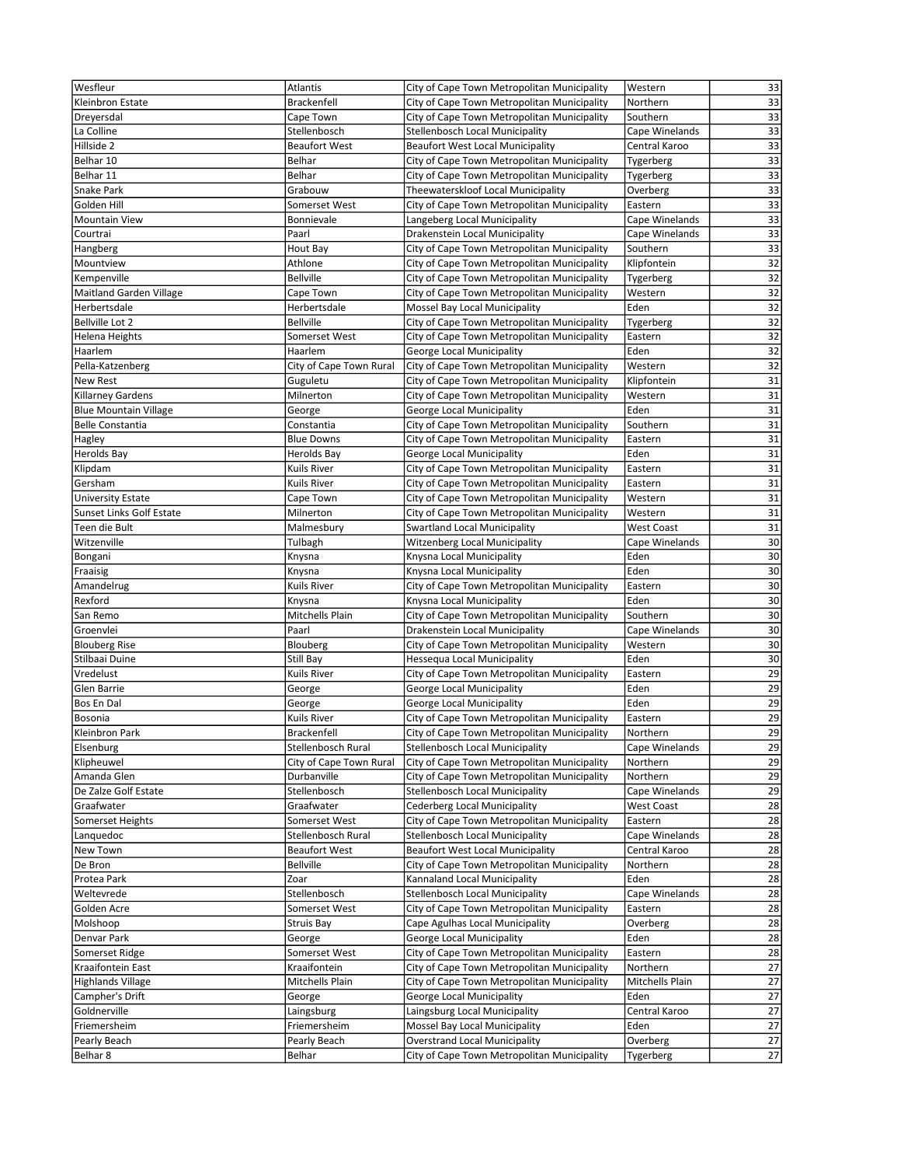| Wesfleur                     | <b>Atlantis</b>         | City of Cape Town Metropolitan Municipality | Western           | 33              |
|------------------------------|-------------------------|---------------------------------------------|-------------------|-----------------|
| Kleinbron Estate             | Brackenfell             | City of Cape Town Metropolitan Municipality | Northern          | 33              |
| Dreyersdal                   | Cape Town               | City of Cape Town Metropolitan Municipality | Southern          | 33              |
| La Colline                   | Stellenbosch            | <b>Stellenbosch Local Municipality</b>      | Cape Winelands    | 33              |
| Hillside 2                   | <b>Beaufort West</b>    | <b>Beaufort West Local Municipality</b>     | Central Karoo     | 33              |
|                              |                         | City of Cape Town Metropolitan Municipality |                   |                 |
| Belhar 10                    | Belhar                  |                                             | Tygerberg         | 33              |
| Belhar 11                    | Belhar                  | City of Cape Town Metropolitan Municipality | Tygerberg         | 33              |
| Snake Park                   | Grabouw                 | Theewaterskloof Local Municipality          | Overberg          | 33              |
| Golden Hill                  | Somerset West           | City of Cape Town Metropolitan Municipality | Eastern           | 33              |
| <b>Mountain View</b>         | Bonnievale              | Langeberg Local Municipality                | Cape Winelands    | 33              |
| Courtrai                     | Paarl                   | Drakenstein Local Municipality              | Cape Winelands    | 33              |
| Hangberg                     | Hout Bay                | City of Cape Town Metropolitan Municipality | Southern          | 33              |
| Mountview                    | Athlone                 | City of Cape Town Metropolitan Municipality | Klipfontein       | 32              |
| Kempenville                  | <b>Bellville</b>        | City of Cape Town Metropolitan Municipality | Tygerberg         | 32              |
| Maitland Garden Village      | Cape Town               | City of Cape Town Metropolitan Municipality | Western           | 32              |
| Herbertsdale                 | Herbertsdale            | Mossel Bay Local Municipality               | Eden              | 32              |
| Bellville Lot 2              | <b>Bellville</b>        | City of Cape Town Metropolitan Municipality | Tygerberg         | 32              |
| Helena Heights               | Somerset West           | City of Cape Town Metropolitan Municipality | Eastern           | 32              |
| Haarlem                      | Haarlem                 | George Local Municipality                   | Eden              | 32              |
| Pella-Katzenberg             | City of Cape Town Rural | City of Cape Town Metropolitan Municipality | Western           | 32              |
| <b>New Rest</b>              | Guguletu                | City of Cape Town Metropolitan Municipality | Klipfontein       | 31              |
| Killarney Gardens            | Milnerton               | City of Cape Town Metropolitan Municipality | Western           | 31              |
| <b>Blue Mountain Village</b> |                         |                                             | Eden              | 31              |
| <b>Belle Constantia</b>      | George                  | George Local Municipality                   |                   |                 |
|                              | Constantia              | City of Cape Town Metropolitan Municipality | Southern          | 31              |
| Hagley                       | <b>Blue Downs</b>       | City of Cape Town Metropolitan Municipality | Eastern           | 31              |
| <b>Herolds Bay</b>           | Herolds Bay             | George Local Municipality                   | Eden              | 31              |
| Klipdam                      | Kuils River             | City of Cape Town Metropolitan Municipality | Eastern           | 31              |
| Gersham                      | Kuils River             | City of Cape Town Metropolitan Municipality | Eastern           | $\overline{31}$ |
| <b>University Estate</b>     | Cape Town               | City of Cape Town Metropolitan Municipality | Western           | 31              |
| Sunset Links Golf Estate     | Milnerton               | City of Cape Town Metropolitan Municipality | Western           | 31              |
| Teen die Bult                | Malmesbury              | <b>Swartland Local Municipality</b>         | <b>West Coast</b> | 31              |
| Witzenville                  | Tulbagh                 | <b>Witzenberg Local Municipality</b>        | Cape Winelands    | 30              |
| Bongani                      | Knysna                  | Knysna Local Municipality                   | Eden              | 30              |
| Fraaisig                     | Knysna                  | Knysna Local Municipality                   | Eden              | $\overline{30}$ |
| Amandelrug                   | Kuils River             | City of Cape Town Metropolitan Municipality | Eastern           | 30              |
| Rexford                      | Knysna                  | Knysna Local Municipality                   | Eden              | 30              |
| San Remo                     | Mitchells Plain         | City of Cape Town Metropolitan Municipality | Southern          | 30              |
| Groenvlei                    | Paarl                   | Drakenstein Local Municipality              | Cape Winelands    | 30              |
| <b>Blouberg Rise</b>         | Blouberg                | City of Cape Town Metropolitan Municipality | Western           | 30              |
| Stilbaai Duine               | Still Bay               | Hessequa Local Municipality                 | Eden              | 30              |
|                              | Kuils River             |                                             |                   | 29              |
| Vredelust                    |                         | City of Cape Town Metropolitan Municipality | Eastern           |                 |
| Glen Barrie                  | George                  | George Local Municipality                   | Eden              | 29              |
| Bos En Dal                   | George                  | George Local Municipality                   | Eden              | 29              |
| Bosonia                      | <b>Kuils River</b>      | City of Cape Town Metropolitan Municipality | Eastern           | 29              |
| <b>Kleinbron Park</b>        | <b>Brackenfell</b>      | City of Cape Town Metropolitan Municipality | Northern          | 29              |
| Elsenburg                    | Stellenbosch Rural      | Stellenbosch Local Municipality             | Cape Winelands    | 29              |
| Klipheuwel                   | City of Cape Town Rural | City of Cape Town Metropolitan Municipality | Northern          | 29              |
| Amanda Glen                  | Durbanville             | City of Cape Town Metropolitan Municipality | Northern          | 29              |
| De Zalze Golf Estate         | Stellenbosch            | Stellenbosch Local Municipality             | Cape Winelands    | $\overline{29}$ |
| Graafwater                   | Graafwater              | <b>Cederberg Local Municipality</b>         | <b>West Coast</b> | 28              |
| Somerset Heights             | Somerset West           | City of Cape Town Metropolitan Municipality | Eastern           | 28              |
| Lanquedoc                    | Stellenbosch Rural      | Stellenbosch Local Municipality             | Cape Winelands    | $\overline{28}$ |
| New Town                     | <b>Beaufort West</b>    | <b>Beaufort West Local Municipality</b>     | Central Karoo     | 28              |
| De Bron                      | <b>Bellville</b>        | City of Cape Town Metropolitan Municipality | Northern          | 28              |
| Protea Park                  | Zoar                    | Kannaland Local Municipality                | Eden              | 28              |
| Weltevrede                   | Stellenbosch            | <b>Stellenbosch Local Municipality</b>      | Cape Winelands    | 28              |
| Golden Acre                  | Somerset West           | City of Cape Town Metropolitan Municipality | Eastern           | 28              |
| Molshoop                     | Struis Bay              | Cape Agulhas Local Municipality             | Overberg          | 28              |
| Denvar Park                  | George                  | George Local Municipality                   | Eden              | 28              |
| Somerset Ridge               | Somerset West           | City of Cape Town Metropolitan Municipality | Eastern           | 28              |
|                              |                         | City of Cape Town Metropolitan Municipality | Northern          | $\overline{27}$ |
| Kraaifontein East            | Kraaifontein            |                                             |                   |                 |
| <b>Highlands Village</b>     | Mitchells Plain         | City of Cape Town Metropolitan Municipality | Mitchells Plain   | 27              |
| Campher's Drift              | George                  | George Local Municipality                   | Eden              | 27              |
| Goldnerville                 | Laingsburg              | Laingsburg Local Municipality               | Central Karoo     | 27              |
| Friemersheim                 | Friemersheim            | Mossel Bay Local Municipality               | Eden              | 27              |
| Pearly Beach                 | Pearly Beach            | <b>Overstrand Local Municipality</b>        | Overberg          | 27              |
| Belhar 8                     | Belhar                  | City of Cape Town Metropolitan Municipality | Tygerberg         | $27\,$          |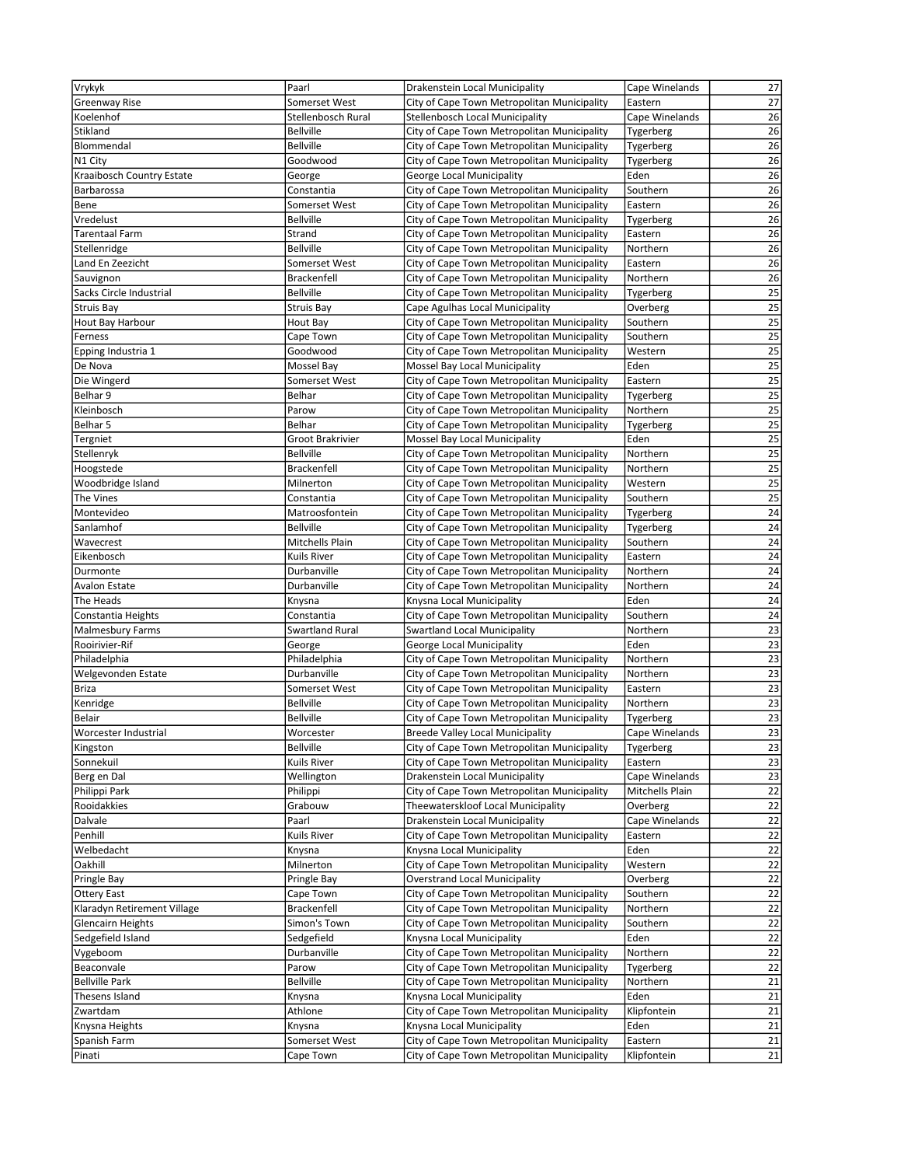| Vrykyk                      | Paarl                               | Drakenstein Local Municipality                                                             | Cape Winelands      | 27              |
|-----------------------------|-------------------------------------|--------------------------------------------------------------------------------------------|---------------------|-----------------|
| Greenway Rise               | Somerset West                       | City of Cape Town Metropolitan Municipality                                                | Eastern             | 27              |
| Koelenhof                   | Stellenbosch Rural                  | Stellenbosch Local Municipality                                                            | Cape Winelands      | 26              |
| Stikland                    | <b>Bellville</b>                    | City of Cape Town Metropolitan Municipality                                                | Tygerberg           | 26              |
| Blommendal                  | <b>Bellville</b>                    | City of Cape Town Metropolitan Municipality                                                | Tygerberg           | 26              |
| N1 City                     | Goodwood                            | City of Cape Town Metropolitan Municipality                                                | Tygerberg           | 26              |
| Kraaibosch Country Estate   | George                              | George Local Municipality                                                                  | Eden                | 26              |
| Barbarossa                  | Constantia                          | City of Cape Town Metropolitan Municipality                                                | Southern            | 26              |
| Bene                        | Somerset West                       | City of Cape Town Metropolitan Municipality                                                | Eastern             | 26              |
| Vredelust                   | <b>Bellville</b>                    | City of Cape Town Metropolitan Municipality                                                | Tygerberg           | $\overline{26}$ |
| <b>Tarentaal Farm</b>       | Strand                              | City of Cape Town Metropolitan Municipality                                                | Eastern             | 26              |
| Stellenridge                | <b>Bellville</b>                    | City of Cape Town Metropolitan Municipality                                                | Northern            | 26              |
| Land En Zeezicht            | Somerset West                       | City of Cape Town Metropolitan Municipality                                                | Eastern             | 26              |
| Sauvignon                   | <b>Brackenfell</b>                  | City of Cape Town Metropolitan Municipality                                                | Northern            | 26              |
| Sacks Circle Industrial     | <b>Bellville</b>                    | City of Cape Town Metropolitan Municipality                                                | Tygerberg           | 25              |
| <b>Struis Bay</b>           | Struis Bay                          | Cape Agulhas Local Municipality                                                            | Overberg            | 25              |
| Hout Bay Harbour            | Hout Bay                            | City of Cape Town Metropolitan Municipality                                                | Southern            | $\overline{25}$ |
| Ferness                     | Cape Town                           | City of Cape Town Metropolitan Municipality                                                | Southern            | 25              |
| Epping Industria 1          | Goodwood                            | City of Cape Town Metropolitan Municipality                                                | Western             | $\overline{25}$ |
| De Nova                     | Mossel Bay                          | Mossel Bay Local Municipality                                                              | Eden                | $\overline{25}$ |
| Die Wingerd                 | Somerset West                       | City of Cape Town Metropolitan Municipality                                                | Eastern             | 25              |
| Belhar 9                    | Belhar                              | City of Cape Town Metropolitan Municipality                                                | Tygerberg           | $\overline{25}$ |
| Kleinbosch                  | Parow                               | City of Cape Town Metropolitan Municipality                                                | Northern            | 25              |
| Belhar 5                    | Belhar                              | City of Cape Town Metropolitan Municipality                                                | Tygerberg           | 25              |
| Tergniet                    | Groot Brakrivier                    | Mossel Bay Local Municipality                                                              | Eden                | $\overline{25}$ |
| Stellenryk                  | <b>Bellville</b>                    | City of Cape Town Metropolitan Municipality                                                | Northern            | 25              |
| Hoogstede                   | <b>Brackenfell</b>                  | City of Cape Town Metropolitan Municipality                                                | Northern            | 25              |
| Woodbridge Island           | Milnerton                           | City of Cape Town Metropolitan Municipality                                                | Western             | 25              |
| The Vines                   | Constantia                          | City of Cape Town Metropolitan Municipality                                                | Southern            | 25              |
| Montevideo                  | Matroosfontein                      | City of Cape Town Metropolitan Municipality                                                | Tygerberg           | 24<br>24        |
| Sanlamhof<br>Wavecrest      | <b>Bellville</b><br>Mitchells Plain | City of Cape Town Metropolitan Municipality                                                | Tygerberg           | 24              |
| Eikenbosch                  | Kuils River                         | City of Cape Town Metropolitan Municipality<br>City of Cape Town Metropolitan Municipality | Southern            | 24              |
|                             | Durbanville                         | City of Cape Town Metropolitan Municipality                                                | Eastern<br>Northern | 24              |
| Durmonte<br>Avalon Estate   | Durbanville                         | City of Cape Town Metropolitan Municipality                                                | Northern            | 24              |
| The Heads                   | Knysna                              | Knysna Local Municipality                                                                  | Eden                | 24              |
| Constantia Heights          | Constantia                          | City of Cape Town Metropolitan Municipality                                                | Southern            | 24              |
| Malmesbury Farms            | Swartland Rural                     | <b>Swartland Local Municipality</b>                                                        | Northern            | 23              |
| Rooirivier-Rif              | George                              | George Local Municipality                                                                  | Eden                | 23              |
| Philadelphia                | Philadelphia                        | City of Cape Town Metropolitan Municipality                                                | Northern            | $\overline{23}$ |
| Welgevonden Estate          | Durbanville                         | City of Cape Town Metropolitan Municipality                                                | Northern            | 23              |
| <b>Briza</b>                | Somerset West                       | City of Cape Town Metropolitan Municipality                                                | Eastern             | 23              |
| Kenridge                    | <b>Bellville</b>                    | City of Cape Town Metropolitan Municipality                                                | Northern            | $\overline{23}$ |
| Belair                      | <b>Bellville</b>                    | City of Cape Town Metropolitan Municipality                                                | Tygerberg           | 23              |
| Worcester Industrial        | Worcester                           | <b>Breede Valley Local Municipality</b>                                                    | Cape Winelands      | 23              |
| Kingston                    | <b>Bellville</b>                    | City of Cape Town Metropolitan Municipality                                                | Tygerberg           | 23              |
| Sonnekuil                   | Kuils River                         | City of Cape Town Metropolitan Municipality                                                | Eastern             | 23              |
| Berg en Dal                 | Wellington                          | Drakenstein Local Municipality                                                             | Cape Winelands      | $\overline{23}$ |
| Philippi Park               | Philippi                            | City of Cape Town Metropolitan Municipality                                                | Mitchells Plain     | $\overline{22}$ |
| Rooidakkies                 | Grabouw                             | Theewaterskloof Local Municipality                                                         | Overberg            | 22              |
| Dalvale                     | Paarl                               | Drakenstein Local Municipality                                                             | Cape Winelands      | 22              |
| Penhill                     | Kuils River                         | City of Cape Town Metropolitan Municipality                                                | Eastern             | $\overline{22}$ |
| Welbedacht                  | Knysna                              | Knysna Local Municipality                                                                  | Eden                | 22              |
| Oakhill                     | Milnerton                           | City of Cape Town Metropolitan Municipality                                                | Western             | 22              |
| Pringle Bay                 | Pringle Bay                         | <b>Overstrand Local Municipality</b>                                                       | Overberg            | $\overline{22}$ |
| <b>Ottery East</b>          | Cape Town                           | City of Cape Town Metropolitan Municipality                                                | Southern            | 22              |
| Klaradyn Retirement Village | Brackenfell                         | City of Cape Town Metropolitan Municipality                                                | Northern            | 22              |
| <b>Glencairn Heights</b>    | Simon's Town                        | City of Cape Town Metropolitan Municipality                                                | Southern            | 22              |
| Sedgefield Island           | Sedgefield                          | Knysna Local Municipality                                                                  | Eden                | 22              |
| Vygeboom                    | Durbanville                         | City of Cape Town Metropolitan Municipality                                                | Northern            | 22              |
| Beaconvale                  | Parow                               | City of Cape Town Metropolitan Municipality                                                | Tygerberg           | 22              |
| <b>Bellville Park</b>       | Bellville                           | City of Cape Town Metropolitan Municipality                                                | Northern            | $21\,$          |
| Thesens Island              | Knysna                              | Knysna Local Municipality                                                                  | Eden                | 21              |
| Zwartdam                    | Athlone                             | City of Cape Town Metropolitan Municipality                                                | Klipfontein         | 21              |
| Knysna Heights              | Knysna                              | Knysna Local Municipality                                                                  | Eden                | 21              |
| Spanish Farm                | Somerset West                       | City of Cape Town Metropolitan Municipality                                                | Eastern             | 21              |
| Pinati                      | Cape Town                           | City of Cape Town Metropolitan Municipality                                                | Klipfontein         | 21              |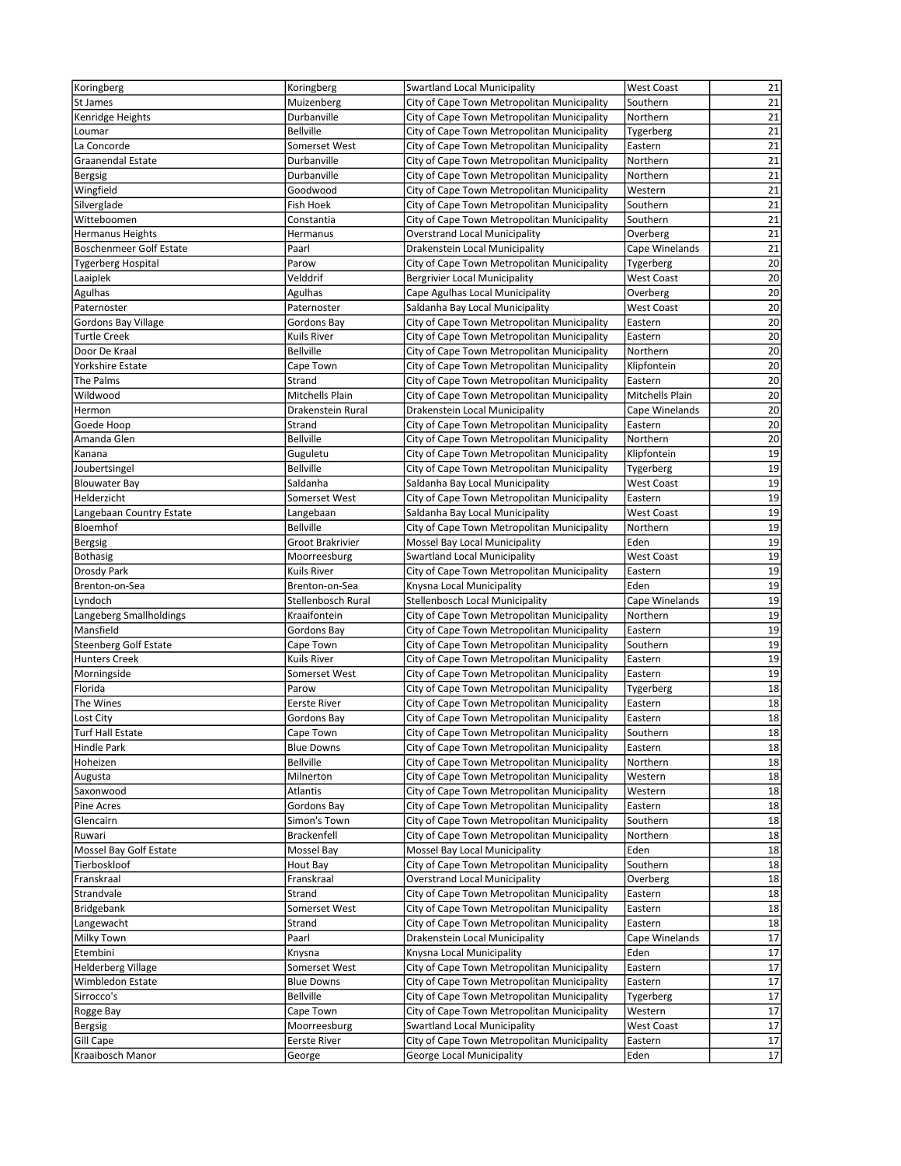| Koringberg                    | Koringberg                           | <b>Swartland Local Municipality</b>                                      | <b>West Coast</b> | 21              |
|-------------------------------|--------------------------------------|--------------------------------------------------------------------------|-------------------|-----------------|
| St James                      | Muizenberg                           | City of Cape Town Metropolitan Municipality                              | Southern          | 21              |
| Kenridge Heights              | Durbanville                          | City of Cape Town Metropolitan Municipality                              | Northern          | 21              |
| Loumar                        | <b>Bellville</b>                     | City of Cape Town Metropolitan Municipality                              | Tygerberg         | 21              |
| La Concorde                   | Somerset West                        | City of Cape Town Metropolitan Municipality                              | Eastern           | 21              |
| <b>Graanendal Estate</b>      | Durbanville                          | City of Cape Town Metropolitan Municipality                              | Northern          | 21              |
| Bergsig                       | Durbanville                          | City of Cape Town Metropolitan Municipality                              | Northern          | 21              |
| Wingfield                     | Goodwood                             | City of Cape Town Metropolitan Municipality                              | Western           | 21              |
| Silverglade                   | Fish Hoek                            | City of Cape Town Metropolitan Municipality                              | Southern          | 21              |
| Witteboomen                   | Constantia                           | City of Cape Town Metropolitan Municipality                              | Southern          | 21              |
| <b>Hermanus Heights</b>       | Hermanus                             | <b>Overstrand Local Municipality</b>                                     | Overberg          | $\overline{21}$ |
| Boschenmeer Golf Estate       | Paarl                                | Drakenstein Local Municipality                                           | Cape Winelands    | 21              |
| <b>Tygerberg Hospital</b>     | Parow                                | City of Cape Town Metropolitan Municipality                              | Tygerberg         | 20              |
| Laaiplek                      | Velddrif                             | <b>Bergrivier Local Municipality</b>                                     | West Coast        | 20              |
| Agulhas                       | Agulhas                              | Cape Agulhas Local Municipality                                          | Overberg          | 20              |
| Paternoster                   | Paternoster                          | Saldanha Bay Local Municipality                                          | West Coast        | 20              |
| Gordons Bay Village           | Gordons Bay                          | City of Cape Town Metropolitan Municipality                              | Eastern           | 20              |
| <b>Turtle Creek</b>           | Kuils River                          | City of Cape Town Metropolitan Municipality                              | Eastern           | 20              |
| Door De Kraal                 | <b>Bellville</b>                     | City of Cape Town Metropolitan Municipality                              | Northern          | 20              |
| Yorkshire Estate              | Cape Town                            | City of Cape Town Metropolitan Municipality                              | Klipfontein       | 20              |
| The Palms                     | Strand                               | City of Cape Town Metropolitan Municipality                              | Eastern           | 20              |
| Wildwood                      | Mitchells Plain                      | City of Cape Town Metropolitan Municipality                              | Mitchells Plain   | $\overline{20}$ |
| Hermon                        | Drakenstein Rural                    | Drakenstein Local Municipality                                           | Cape Winelands    | 20              |
| Goede Hoop                    | Strand                               | City of Cape Town Metropolitan Municipality                              | Eastern           | 20              |
| Amanda Glen                   | <b>Bellville</b>                     | City of Cape Town Metropolitan Municipality                              | Northern          | 20              |
| Kanana                        | Guguletu                             | City of Cape Town Metropolitan Municipality                              | Klipfontein       | 19              |
| Joubertsingel                 | <b>Bellville</b>                     | City of Cape Town Metropolitan Municipality                              | Tygerberg         | 19              |
| <b>Blouwater Bay</b>          | Saldanha                             | Saldanha Bay Local Municipality                                          | <b>West Coast</b> | 19              |
| Helderzicht                   | Somerset West                        | City of Cape Town Metropolitan Municipality                              | Eastern           | 19<br>19        |
| Langebaan Country Estate      | Langebaan                            | Saldanha Bay Local Municipality                                          | <b>West Coast</b> |                 |
| Bloemhof                      | <b>Bellville</b><br>Groot Brakrivier | City of Cape Town Metropolitan Municipality                              | Northern<br>Eden  | 19<br>19        |
| Bergsig                       |                                      | Mossel Bay Local Municipality                                            |                   | 19              |
| Bothasig<br>Drosdy Park       | Moorreesburg                         | Swartland Local Municipality                                             | <b>West Coast</b> | 19              |
| Brenton-on-Sea                | Kuils River<br>Brenton-on-Sea        | City of Cape Town Metropolitan Municipality<br>Knysna Local Municipality | Eastern<br>Eden   | 19              |
| Lyndoch                       | Stellenbosch Rural                   | Stellenbosch Local Municipality                                          | Cape Winelands    | 19              |
| Langeberg Smallholdings       | Kraaifontein                         | City of Cape Town Metropolitan Municipality                              | Northern          | 19              |
| Mansfield                     | Gordons Bay                          | City of Cape Town Metropolitan Municipality                              | Eastern           | 19              |
| Steenberg Golf Estate         | Cape Town                            | City of Cape Town Metropolitan Municipality                              | Southern          | 19              |
| <b>Hunters Creek</b>          | Kuils River                          | City of Cape Town Metropolitan Municipality                              | Eastern           | 19              |
| Morningside                   | Somerset West                        | City of Cape Town Metropolitan Municipality                              | Eastern           | 19              |
| Florida                       | Parow                                | City of Cape Town Metropolitan Municipality                              | Tygerberg         | 18              |
| The Wines                     | Eerste River                         | City of Cape Town Metropolitan Municipality                              | Eastern           | 18              |
| Lost City                     | Gordons Bay                          | City of Cape Town Metropolitan Municipality                              | Eastern           | 18              |
| <b>Turf Hall Estate</b>       | Cape Town                            | City of Cape Town Metropolitan Municipality                              | Southern          | 18              |
| Hindle Park                   | <b>Blue Downs</b>                    | City of Cape Town Metropolitan Municipality                              | Eastern           | 18              |
| Hoheizen                      | <b>Bellville</b>                     | City of Cape Town Metropolitan Municipality                              | Northern          | 18              |
| Augusta                       | Milnerton                            | City of Cape Town Metropolitan Municipality                              | Western           | 18              |
| Saxonwood                     | Atlantis                             | City of Cape Town Metropolitan Municipality                              | Western           | 18              |
| Pine Acres                    | Gordons Bay                          | City of Cape Town Metropolitan Municipality                              | Eastern           | 18              |
| Glencairn                     | Simon's Town                         | City of Cape Town Metropolitan Municipality                              | Southern          | 18              |
| Ruwari                        | <b>Brackenfell</b>                   | City of Cape Town Metropolitan Municipality                              | Northern          | 18              |
| Mossel Bay Golf Estate        | Mossel Bay                           | Mossel Bay Local Municipality                                            | Eden              | 18              |
| Tierboskloof                  | Hout Bay                             | City of Cape Town Metropolitan Municipality                              | Southern          | 18              |
| Franskraal                    | Franskraal                           | <b>Overstrand Local Municipality</b>                                     | Overberg          | 18              |
| Strandvale                    | Strand                               | City of Cape Town Metropolitan Municipality                              | Eastern           | 18              |
| Bridgebank                    | Somerset West                        | City of Cape Town Metropolitan Municipality                              | Eastern           | 18              |
| Langewacht                    | Strand                               | City of Cape Town Metropolitan Municipality                              | Eastern           | 18              |
| Milky Town                    | Paarl                                | Drakenstein Local Municipality                                           | Cape Winelands    | 17              |
| Etembini                      | Knysna                               | Knysna Local Municipality                                                | Eden              | 17              |
| <b>Helderberg Village</b>     | Somerset West                        | City of Cape Town Metropolitan Municipality                              | Eastern           | 17              |
| Wimbledon Estate              | <b>Blue Downs</b>                    | City of Cape Town Metropolitan Municipality                              | Eastern           | 17              |
| Sirrocco's                    | <b>Bellville</b>                     | City of Cape Town Metropolitan Municipality                              | Tygerberg         | 17              |
| Rogge Bay                     | Cape Town                            | City of Cape Town Metropolitan Municipality                              | Western           | 17              |
| Bergsig                       | Moorreesburg                         | Swartland Local Municipality                                             | <b>West Coast</b> | 17              |
|                               |                                      |                                                                          |                   |                 |
| Gill Cape<br>Kraaibosch Manor | Eerste River<br>George               | City of Cape Town Metropolitan Municipality<br>George Local Municipality | Eastern<br>Eden   | 17<br>17        |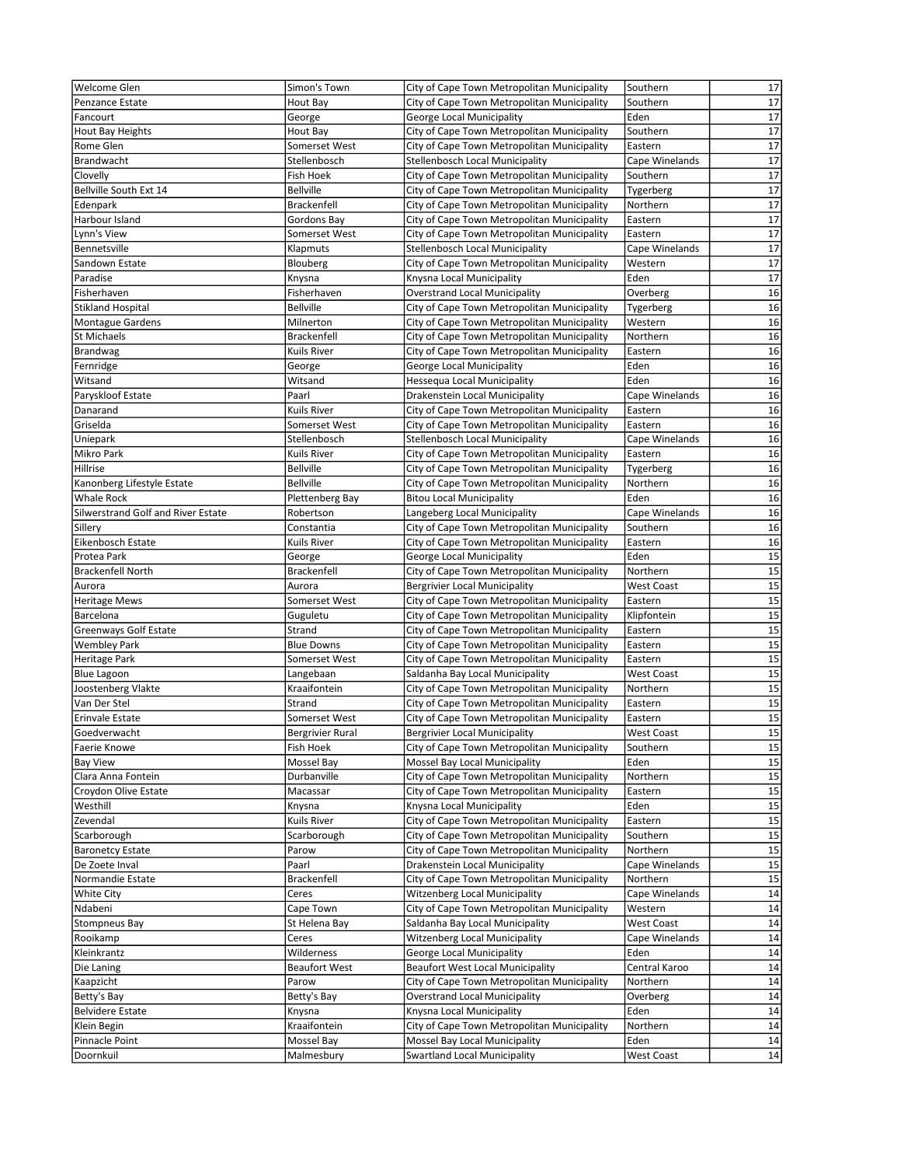| Welcome Glen                             | Simon's Town                           | City of Cape Town Metropolitan Municipality                              | Southern          | 17              |
|------------------------------------------|----------------------------------------|--------------------------------------------------------------------------|-------------------|-----------------|
| <b>Penzance Estate</b>                   | Hout Bay                               | City of Cape Town Metropolitan Municipality                              | Southern          | 17              |
| Fancourt                                 | George                                 | George Local Municipality                                                | Eden              | 17              |
| Hout Bay Heights                         | Hout Bay                               | City of Cape Town Metropolitan Municipality                              | Southern          | 17              |
| Rome Glen                                | Somerset West                          | City of Cape Town Metropolitan Municipality                              | Eastern           | 17              |
| Brandwacht                               | Stellenbosch                           | Stellenbosch Local Municipality                                          | Cape Winelands    | 17              |
| Clovelly                                 | Fish Hoek                              | City of Cape Town Metropolitan Municipality                              | Southern          | 17              |
| Bellville South Ext 14                   | <b>Bellville</b>                       | City of Cape Town Metropolitan Municipality                              | Tygerberg         | 17              |
| Edenpark                                 | <b>Brackenfell</b>                     | City of Cape Town Metropolitan Municipality                              | Northern          | 17              |
| Harbour Island                           | Gordons Bay                            | City of Cape Town Metropolitan Municipality                              | Eastern           | 17              |
| Lynn's View                              | Somerset West                          | City of Cape Town Metropolitan Municipality                              | Eastern           | 17              |
| Bennetsville                             | Klapmuts                               | Stellenbosch Local Municipality                                          | Cape Winelands    | 17              |
| Sandown Estate                           | Blouberg                               | City of Cape Town Metropolitan Municipality                              | Western           | 17              |
| Paradise                                 | Knysna                                 | Knysna Local Municipality                                                | Eden              | 17              |
| Fisherhaven                              | Fisherhaven                            | <b>Overstrand Local Municipality</b>                                     | Overberg          | 16              |
| Stikland Hospital                        | <b>Bellville</b>                       | City of Cape Town Metropolitan Municipality                              | Tygerberg         | 16              |
| <b>Montague Gardens</b>                  | Milnerton                              | City of Cape Town Metropolitan Municipality                              | Western           | 16              |
| St Michaels                              | Brackenfell                            | City of Cape Town Metropolitan Municipality                              | Northern          | 16              |
| Brandwag                                 | Kuils River                            | City of Cape Town Metropolitan Municipality                              | Eastern           | 16              |
| Fernridge                                | George                                 | George Local Municipality                                                | Eden              | 16              |
| Witsand                                  | Witsand                                | Hessequa Local Municipality                                              | Eden              | 16              |
| Paryskloof Estate                        | Paarl                                  | Drakenstein Local Municipality                                           | Cape Winelands    | 16              |
| Danarand                                 | <b>Kuils River</b>                     | City of Cape Town Metropolitan Municipality                              | Eastern           | 16              |
| Griselda                                 | Somerset West                          | City of Cape Town Metropolitan Municipality                              | Eastern           | 16              |
| Uniepark                                 | Stellenbosch                           | <b>Stellenbosch Local Municipality</b>                                   | Cape Winelands    | 16              |
| Mikro Park                               | <b>Kuils River</b><br><b>Bellville</b> | City of Cape Town Metropolitan Municipality                              | Eastern           | 16<br>16        |
| Hillrise                                 | <b>Bellville</b>                       | City of Cape Town Metropolitan Municipality                              | Tygerberg         | 16              |
| Kanonberg Lifestyle Estate<br>Whale Rock |                                        | City of Cape Town Metropolitan Municipality                              | Northern<br>Eden  | 16              |
| Silwerstrand Golf and River Estate       | Plettenberg Bay<br>Robertson           | <b>Bitou Local Municipality</b><br>Langeberg Local Municipality          | Cape Winelands    | 16              |
| Sillery                                  | Constantia                             | City of Cape Town Metropolitan Municipality                              | Southern          | 16              |
| Eikenbosch Estate                        | <b>Kuils River</b>                     | City of Cape Town Metropolitan Municipality                              | Eastern           | 16              |
| Protea Park                              | George                                 | George Local Municipality                                                | Eden              | 15              |
| <b>Brackenfell North</b>                 | Brackenfell                            | City of Cape Town Metropolitan Municipality                              | Northern          | $\overline{15}$ |
| Aurora                                   | Aurora                                 | <b>Bergrivier Local Municipality</b>                                     | <b>West Coast</b> | 15              |
| <b>Heritage Mews</b>                     | Somerset West                          | City of Cape Town Metropolitan Municipality                              | Eastern           | 15              |
| Barcelona                                | Guguletu                               | City of Cape Town Metropolitan Municipality                              | Klipfontein       | 15              |
| <b>Greenways Golf Estate</b>             | Strand                                 | City of Cape Town Metropolitan Municipality                              | Eastern           | 15              |
| <b>Wembley Park</b>                      | <b>Blue Downs</b>                      | City of Cape Town Metropolitan Municipality                              | Eastern           | 15              |
| Heritage Park                            | Somerset West                          | City of Cape Town Metropolitan Municipality                              | Eastern           | 15              |
| <b>Blue Lagoon</b>                       | Langebaan                              | Saldanha Bay Local Municipality                                          | <b>West Coast</b> | 15              |
| Joostenberg Vlakte                       | Kraaifontein                           | City of Cape Town Metropolitan Municipality                              | Northern          | 15              |
| Van Der Stel                             | Strand                                 | City of Cape Town Metropolitan Municipality                              | Eastern           | 15              |
| Erinvale Estate                          | Somerset West                          | City of Cape Town Metropolitan Municipality                              | Eastern           | 15              |
| Goedverwacht                             | <b>Bergrivier Rural</b>                | <b>Bergrivier Local Municipality</b>                                     | <b>West Coast</b> | 15              |
| Faerie Knowe                             | <b>Fish Hoek</b>                       | City of Cape Town Metropolitan Municipality                              | Southern          | 15              |
| <b>Bay View</b>                          | Mossel Bay                             | Mossel Bay Local Municipality                                            | Eden              | 15              |
| Clara Anna Fontein                       | Durbanville                            | City of Cape Town Metropolitan Municipality                              | Northern          | 15              |
| Croydon Olive Estate                     | Macassar                               | City of Cape Town Metropolitan Municipality                              | Eastern           | 15              |
| Westhill                                 | Knysna                                 | Knysna Local Municipality                                                | Eden              | 15              |
| Zevendal                                 | Kuils River                            | City of Cape Town Metropolitan Municipality                              | Eastern           | 15              |
| Scarborough                              | Scarborough                            | City of Cape Town Metropolitan Municipality                              | Southern          | $\overline{15}$ |
| <b>Baronetcy Estate</b>                  | Parow                                  | City of Cape Town Metropolitan Municipality                              | Northern          | 15              |
| De Zoete Inval                           | Paarl                                  | Drakenstein Local Municipality                                           | Cape Winelands    | 15              |
| Normandie Estate                         | Brackenfell                            | City of Cape Town Metropolitan Municipality                              | Northern          | 15              |
| White City                               | Ceres                                  | <b>Witzenberg Local Municipality</b>                                     | Cape Winelands    | 14              |
| Ndabeni                                  | Cape Town                              | City of Cape Town Metropolitan Municipality                              | Western           | 14              |
| Stompneus Bay                            | St Helena Bay                          | Saldanha Bay Local Municipality                                          | <b>West Coast</b> | 14              |
| Rooikamp                                 | Ceres                                  | <b>Witzenberg Local Municipality</b>                                     | Cape Winelands    | 14              |
| Kleinkrantz                              | Wilderness                             | George Local Municipality                                                | Eden              | 14              |
| Die Laning                               | <b>Beaufort West</b>                   | <b>Beaufort West Local Municipality</b>                                  | Central Karoo     | 14              |
| Kaapzicht                                | Parow                                  | City of Cape Town Metropolitan Municipality                              | Northern          | 14              |
| Betty's Bay                              | Betty's Bay                            | <b>Overstrand Local Municipality</b>                                     | Overberg<br>Eden  | 14<br>14        |
| <b>Belvidere Estate</b>                  | Knysna<br>Kraaifontein                 | Knysna Local Municipality<br>City of Cape Town Metropolitan Municipality |                   | 14              |
| Klein Begin                              |                                        |                                                                          | Northern<br>Eden  | 14              |
| Pinnacle Point<br>Doornkuil              | Mossel Bay<br>Malmesbury               | Mossel Bay Local Municipality<br><b>Swartland Local Municipality</b>     | <b>West Coast</b> | 14              |
|                                          |                                        |                                                                          |                   |                 |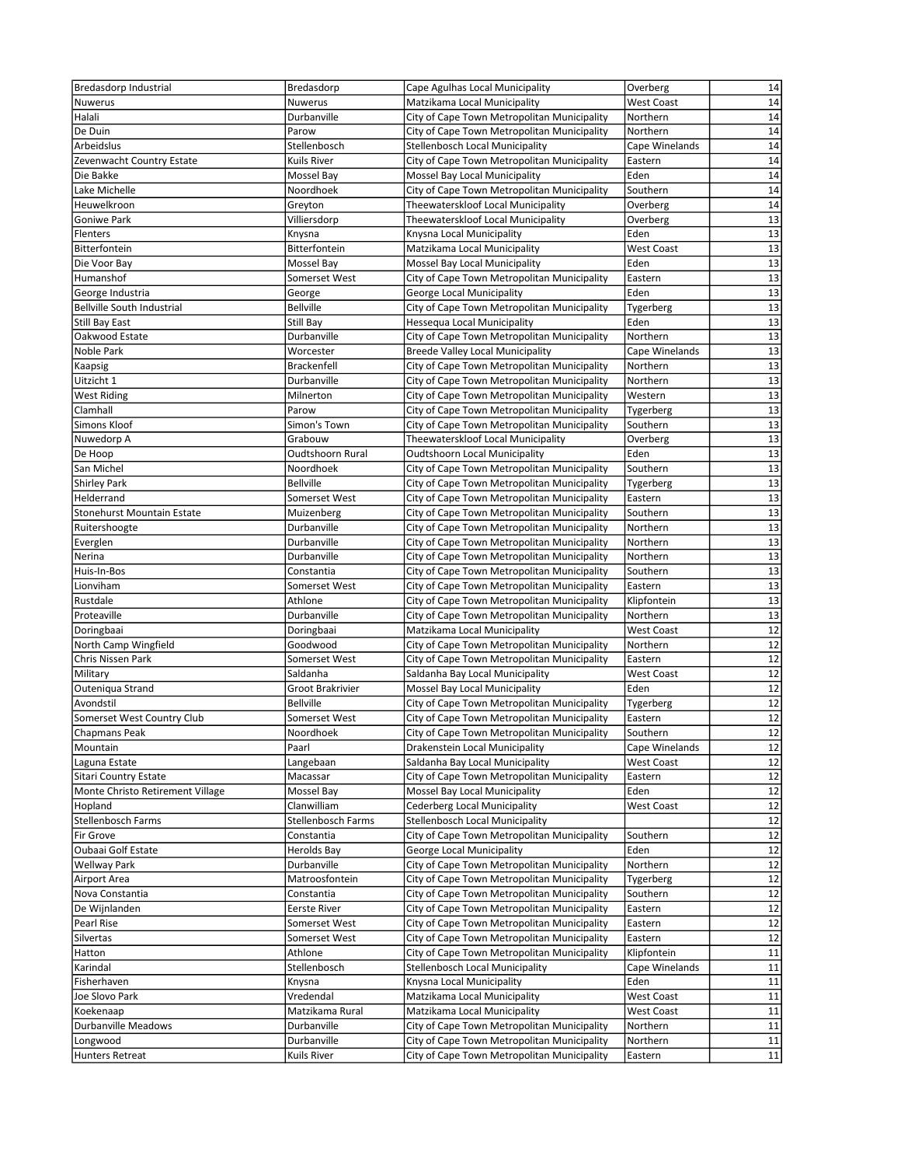| Bredasdorp Industrial            | Bredasdorp          | Cape Agulhas Local Municipality             | Overberg          | 14              |
|----------------------------------|---------------------|---------------------------------------------|-------------------|-----------------|
| Nuwerus                          | Nuwerus             | Matzikama Local Municipality                | <b>West Coast</b> | 14              |
| Halali                           | Durbanville         | City of Cape Town Metropolitan Municipality | Northern          | 14              |
| De Duin                          | Parow               | City of Cape Town Metropolitan Municipality | Northern          | 14              |
| Arbeidslus                       | Stellenbosch        | <b>Stellenbosch Local Municipality</b>      | Cape Winelands    | 14              |
| Zevenwacht Country Estate        | Kuils River         | City of Cape Town Metropolitan Municipality | Eastern           | 14              |
| Die Bakke                        | Mossel Bay          | Mossel Bay Local Municipality               | Eden              | 14              |
| Lake Michelle                    | Noordhoek           | City of Cape Town Metropolitan Municipality | Southern          | 14              |
| Heuwelkroon                      | Greyton             | Theewaterskloof Local Municipality          | Overberg          | 14              |
| Goniwe Park                      | Villiersdorp        | Theewaterskloof Local Municipality          | Overberg          | 13              |
| Flenters                         | Knysna              | Knysna Local Municipality                   | Eden              | 13              |
| Bitterfontein                    | Bitterfontein       | Matzikama Local Municipality                | <b>West Coast</b> | 13              |
| Die Voor Bay                     | Mossel Bay          | Mossel Bay Local Municipality               | Eden              | $\overline{13}$ |
| Humanshof                        | Somerset West       | City of Cape Town Metropolitan Municipality | Eastern           | 13              |
| George Industria                 | George              | <b>George Local Municipality</b>            | Eden              | 13              |
| Bellville South Industrial       | <b>Bellville</b>    | City of Cape Town Metropolitan Municipality | Tygerberg         | $\overline{13}$ |
| Still Bay East                   | Still Bay           | Hessequa Local Municipality                 | Eden              | 13              |
| Oakwood Estate                   | Durbanville         | City of Cape Town Metropolitan Municipality | Northern          | 13              |
| Noble Park                       | Worcester           | Breede Valley Local Municipality            | Cape Winelands    | 13              |
| Kaapsig                          | <b>Brackenfell</b>  | City of Cape Town Metropolitan Municipality | Northern          | 13              |
| Uitzicht 1                       | Durbanville         | City of Cape Town Metropolitan Municipality | Northern          | 13              |
| <b>West Riding</b>               | Milnerton           | City of Cape Town Metropolitan Municipality | Western           | 13              |
| Clamhall                         | Parow               | City of Cape Town Metropolitan Municipality | Tygerberg         | 13              |
| Simons Kloof                     | Simon's Town        | City of Cape Town Metropolitan Municipality | Southern          | 13              |
| Nuwedorp A                       | Grabouw             | Theewaterskloof Local Municipality          | Overberg          | $\overline{13}$ |
| De Hoop                          | Oudtshoorn Rural    | <b>Oudtshoorn Local Municipality</b>        | Eden              | 13              |
| San Michel                       | Noordhoek           | City of Cape Town Metropolitan Municipality | Southern          | $\overline{13}$ |
| <b>Shirley Park</b>              | <b>Bellville</b>    | City of Cape Town Metropolitan Municipality | Tygerberg         | $\overline{13}$ |
| Helderrand                       | Somerset West       | City of Cape Town Metropolitan Municipality | Eastern           | 13              |
| Stonehurst Mountain Estate       | Muizenberg          | City of Cape Town Metropolitan Municipality | Southern          | 13              |
| Ruitershoogte                    | Durbanville         | City of Cape Town Metropolitan Municipality | Northern          | 13              |
| Everglen                         | Durbanville         | City of Cape Town Metropolitan Municipality | Northern          | 13              |
| Nerina                           | Durbanville         | City of Cape Town Metropolitan Municipality | Northern          | 13              |
| Huis-In-Bos                      | Constantia          | City of Cape Town Metropolitan Municipality | Southern          | 13              |
| Lionviham                        | Somerset West       | City of Cape Town Metropolitan Municipality | Eastern           | 13              |
| Rustdale                         | Athlone             | City of Cape Town Metropolitan Municipality | Klipfontein       | 13              |
| Proteaville                      | Durbanville         | City of Cape Town Metropolitan Municipality | Northern          | 13              |
| Doringbaai                       | Doringbaai          | Matzikama Local Municipality                | <b>West Coast</b> | 12              |
| North Camp Wingfield             | Goodwood            | City of Cape Town Metropolitan Municipality | Northern          | 12              |
| Chris Nissen Park                | Somerset West       | City of Cape Town Metropolitan Municipality | Eastern           | 12              |
| Military                         | Saldanha            | Saldanha Bay Local Municipality             | <b>West Coast</b> | 12              |
| Outeniqua Strand                 | Groot Brakrivier    | Mossel Bay Local Municipality               | Eden              | 12              |
| Avondstil                        | <b>Bellville</b>    | City of Cape Town Metropolitan Municipality | Tygerberg         | 12              |
| Somerset West Country Club       | Somerset West       | City of Cape Town Metropolitan Municipality | Eastern           | 12              |
| <b>Chapmans Peak</b>             | Noordhoek           | City of Cape Town Metropolitan Municipality | Southern          | 12              |
| Mountain                         | Paarl               | Drakenstein Local Municipality              | Cape Winelands    | 12              |
| Laguna Estate                    | Langebaan           | Saldanha Bay Local Municipality             | <b>West Coast</b> | 12              |
| Sitari Country Estate            | Macassar            | City of Cape Town Metropolitan Municipality | Eastern           | 12              |
| Monte Christo Retirement Village | Mossel Bay          | Mossel Bay Local Municipality               | Eden              | 12              |
| Hopland                          | Clanwilliam         | <b>Cederberg Local Municipality</b>         | West Coast        | 12              |
| Stellenbosch Farms               | Stellenbosch Farms  | Stellenbosch Local Municipality             |                   | 12              |
| Fir Grove                        | Constantia          | City of Cape Town Metropolitan Municipality | Southern          | 12              |
| Oubaai Golf Estate               | Herolds Bay         | George Local Municipality                   | Eden              | 12              |
| <b>Wellway Park</b>              | Durbanville         | City of Cape Town Metropolitan Municipality | Northern          | 12              |
| Airport Area                     | Matroosfontein      | City of Cape Town Metropolitan Municipality | Tygerberg         | 12              |
| Nova Constantia                  | Constantia          | City of Cape Town Metropolitan Municipality | Southern          | 12              |
| De Wijnlanden                    | <b>Eerste River</b> | City of Cape Town Metropolitan Municipality | Eastern           | 12              |
| Pearl Rise                       | Somerset West       | City of Cape Town Metropolitan Municipality | Eastern           | 12              |
| Silvertas                        | Somerset West       | City of Cape Town Metropolitan Municipality | Eastern           | 12              |
| Hatton                           | Athlone             | City of Cape Town Metropolitan Municipality | Klipfontein       | 11              |
| Karindal                         | Stellenbosch        | Stellenbosch Local Municipality             | Cape Winelands    | 11              |
| Fisherhaven                      | Knysna              | Knysna Local Municipality                   | Eden              | 11              |
| Joe Slovo Park                   | Vredendal           | Matzikama Local Municipality                | West Coast        | 11              |
| Koekenaap                        | Matzikama Rural     | Matzikama Local Municipality                | <b>West Coast</b> | 11              |
| <b>Durbanville Meadows</b>       | Durbanville         | City of Cape Town Metropolitan Municipality | Northern          | 11              |
| Longwood                         | Durbanville         | City of Cape Town Metropolitan Municipality | Northern          | 11              |
| Hunters Retreat                  | Kuils River         | City of Cape Town Metropolitan Municipality | Eastern           | $11\,$          |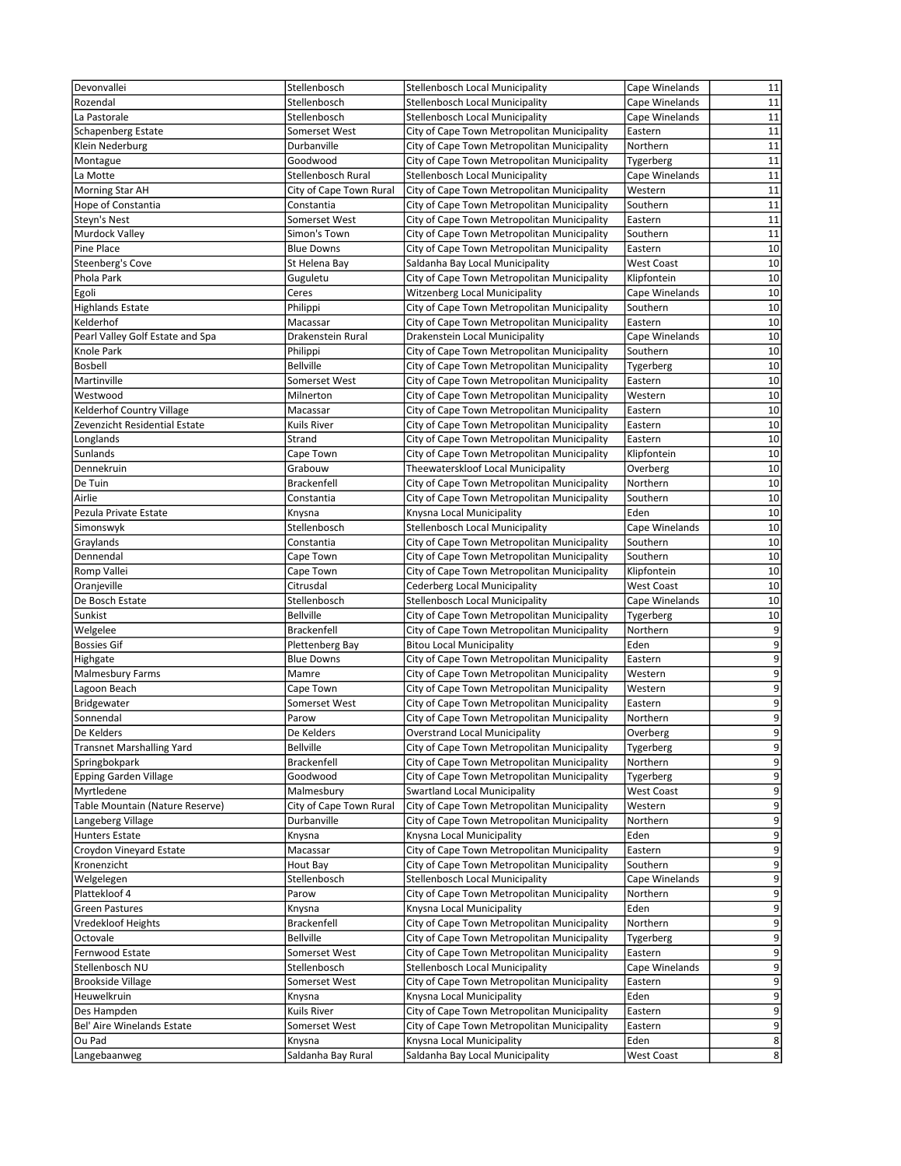| Devonvallei                      | Stellenbosch                           | <b>Stellenbosch Local Municipality</b>      | Cape Winelands    | 11             |
|----------------------------------|----------------------------------------|---------------------------------------------|-------------------|----------------|
| Rozendal                         | Stellenbosch                           | Stellenbosch Local Municipality             | Cape Winelands    | 11             |
| La Pastorale                     | Stellenbosch                           | <b>Stellenbosch Local Municipality</b>      | Cape Winelands    | 11             |
| Schapenberg Estate               | Somerset West                          | City of Cape Town Metropolitan Municipality | Eastern           | 11             |
| Klein Nederburg                  | Durbanville                            | City of Cape Town Metropolitan Municipality | Northern          | 11             |
| Montague                         | Goodwood                               | City of Cape Town Metropolitan Municipality | Tygerberg         | 11             |
| La Motte                         | Stellenbosch Rural                     | <b>Stellenbosch Local Municipality</b>      | Cape Winelands    | 11             |
| Morning Star AH                  | City of Cape Town Rural                | City of Cape Town Metropolitan Municipality | Western           | 11             |
| Hope of Constantia               | Constantia                             | City of Cape Town Metropolitan Municipality | Southern          | 11             |
| Steyn's Nest                     | Somerset West                          | City of Cape Town Metropolitan Municipality | Eastern           | 11             |
| Murdock Valley                   | Simon's Town                           | City of Cape Town Metropolitan Municipality | Southern          | 11             |
| Pine Place                       | <b>Blue Downs</b>                      | City of Cape Town Metropolitan Municipality | Eastern           | 10             |
| Steenberg's Cove                 | St Helena Bay                          | Saldanha Bay Local Municipality             | <b>West Coast</b> | 10             |
| Phola Park                       | Guguletu                               | City of Cape Town Metropolitan Municipality | Klipfontein       | 10             |
| Egoli                            | Ceres                                  | <b>Witzenberg Local Municipality</b>        | Cape Winelands    | 10             |
| <b>Highlands Estate</b>          | Philippi                               | City of Cape Town Metropolitan Municipality | Southern          | 10             |
| Kelderhof                        | Macassar                               | City of Cape Town Metropolitan Municipality | Eastern           | 10             |
|                                  |                                        |                                             |                   | 10             |
| Pearl Valley Golf Estate and Spa | Drakenstein Rural                      | Drakenstein Local Municipality              | Cape Winelands    | 10             |
| Knole Park                       | Philippi                               | City of Cape Town Metropolitan Municipality | Southern          |                |
| <b>Bosbell</b>                   | <b>Bellville</b>                       | City of Cape Town Metropolitan Municipality | Tygerberg         | 10             |
| Martinville                      | Somerset West                          | City of Cape Town Metropolitan Municipality | Eastern           | 10             |
| Westwood                         | Milnerton                              | City of Cape Town Metropolitan Municipality | Western           | 10             |
| Kelderhof Country Village        | Macassar                               | City of Cape Town Metropolitan Municipality | Eastern           | 10             |
| Zevenzicht Residential Estate    | Kuils River                            | City of Cape Town Metropolitan Municipality | Eastern           | 10             |
| Longlands                        | Strand                                 | City of Cape Town Metropolitan Municipality | Eastern           | 10             |
| Sunlands                         | Cape Town                              | City of Cape Town Metropolitan Municipality | Klipfontein       | 10             |
| Dennekruin                       | Grabouw                                | Theewaterskloof Local Municipality          | Overberg          | 10             |
| De Tuin                          | Brackenfell                            | City of Cape Town Metropolitan Municipality | Northern          | 10             |
| Airlie                           | Constantia                             | City of Cape Town Metropolitan Municipality | Southern          | 10             |
| Pezula Private Estate            | Knysna                                 | Knysna Local Municipality                   | Eden              | 10             |
| Simonswyk                        | Stellenbosch                           | Stellenbosch Local Municipality             | Cape Winelands    | 10             |
| Graylands                        | Constantia                             | City of Cape Town Metropolitan Municipality | Southern          | 10             |
| Dennendal                        | Cape Town                              | City of Cape Town Metropolitan Municipality | Southern          | 10             |
| Romp Vallei                      | Cape Town                              | City of Cape Town Metropolitan Municipality | Klipfontein       | 10             |
| Oranjeville                      | Citrusdal                              | Cederberg Local Municipality                | <b>West Coast</b> | 10             |
| De Bosch Estate                  | Stellenbosch                           | <b>Stellenbosch Local Municipality</b>      | Cape Winelands    | 10             |
| Sunkist                          | <b>Bellville</b>                       | City of Cape Town Metropolitan Municipality | Tygerberg         | 10             |
| Welgelee                         | Brackenfell                            | City of Cape Town Metropolitan Municipality | Northern          | 9              |
| <b>Bossies Gif</b>               | Plettenberg Bay                        | <b>Bitou Local Municipality</b>             | Eden              | $\overline{9}$ |
| Highgate                         | <b>Blue Downs</b>                      | City of Cape Town Metropolitan Municipality | Eastern           | $\overline{9}$ |
| Malmesbury Farms                 | Mamre                                  | City of Cape Town Metropolitan Municipality | Western           | 9              |
| Lagoon Beach                     | Cape Town                              | City of Cape Town Metropolitan Municipality | Western           | 9              |
| Bridgewater                      | Somerset West                          | City of Cape Town Metropolitan Municipality | Eastern           | 9              |
| Sonnendal                        | Parow                                  | City of Cape Town Metropolitan Municipality | Northern          | 9              |
| De Kelders                       | De Kelders                             | <b>Overstrand Local Municipality</b>        | Overberg          | 9              |
| <b>Transnet Marshalling Yard</b> | <b>Bellville</b>                       | City of Cape Town Metropolitan Municipality | Tygerberg         | 9              |
| Springbokpark                    | Brackenfell                            | City of Cape Town Metropolitan Municipality | Northern          | 9              |
| <b>Epping Garden Village</b>     | Goodwood                               | City of Cape Town Metropolitan Municipality |                   | 9              |
|                                  |                                        | <b>Swartland Local Municipality</b>         | Tygerberg         |                |
| Myrtledene                       | Malmesbury                             |                                             | <b>West Coast</b> | 9              |
| Table Mountain (Nature Reserve)  | City of Cape Town Rural<br>Durbanville | City of Cape Town Metropolitan Municipality | Western           | 9<br>9         |
| Langeberg Village                |                                        | City of Cape Town Metropolitan Municipality | Northern          |                |
| <b>Hunters Estate</b>            | Knysna                                 | Knysna Local Municipality                   | Eden              | 9              |
| Croydon Vineyard Estate          | Macassar                               | City of Cape Town Metropolitan Municipality | Eastern           | 9              |
| Kronenzicht                      | Hout Bay                               | City of Cape Town Metropolitan Municipality | Southern          | 9              |
| Welgelegen                       | Stellenbosch                           | Stellenbosch Local Municipality             | Cape Winelands    | 9              |
| Plattekloof 4                    | Parow                                  | City of Cape Town Metropolitan Municipality | Northern          | 9              |
| Green Pastures                   | Knysna                                 | Knysna Local Municipality                   | Eden              | 9              |
| Vredekloof Heights               | <b>Brackenfell</b>                     | City of Cape Town Metropolitan Municipality | Northern          | 9              |
| Octovale                         | <b>Bellville</b>                       | City of Cape Town Metropolitan Municipality | Tygerberg         | 9              |
| Fernwood Estate                  | Somerset West                          | City of Cape Town Metropolitan Municipality | Eastern           | 9              |
| Stellenbosch NU                  | Stellenbosch                           | Stellenbosch Local Municipality             | Cape Winelands    | 9              |
| <b>Brookside Village</b>         | Somerset West                          | City of Cape Town Metropolitan Municipality | Eastern           | 9              |
| Heuwelkruin                      | Knysna                                 | Knysna Local Municipality                   | Eden              | 9              |
| Des Hampden                      | Kuils River                            | City of Cape Town Metropolitan Municipality | Eastern           | 9              |
| Bel' Aire Winelands Estate       | Somerset West                          | City of Cape Town Metropolitan Municipality | Eastern           | 9              |
| Ou Pad                           | Knysna                                 | Knysna Local Municipality                   | Eden              | 8              |
| Langebaanweg                     | Saldanha Bay Rural                     | Saldanha Bay Local Municipality             | West Coast        | 8 <sup>1</sup> |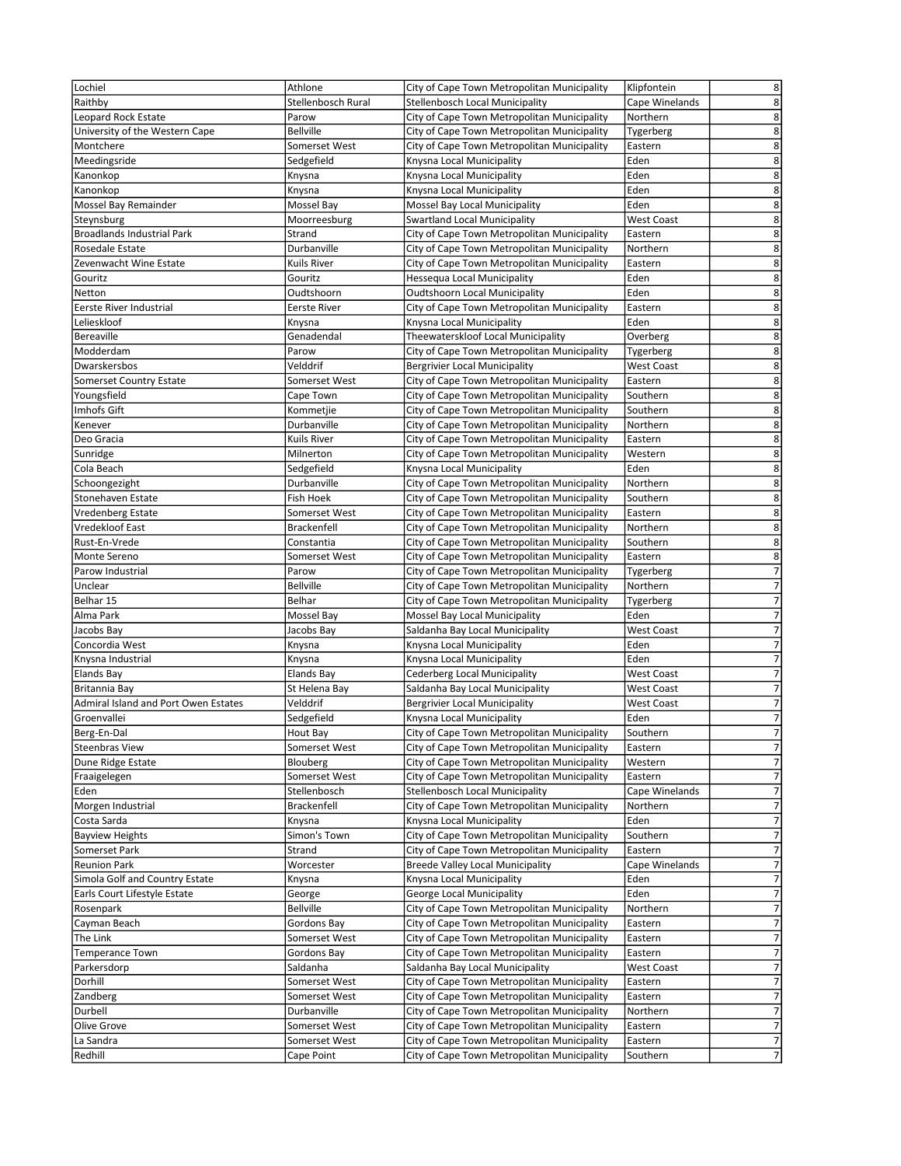| Lochiel                              | Athlone            | City of Cape Town Metropolitan Municipality | 8<br>Klipfontein                              |
|--------------------------------------|--------------------|---------------------------------------------|-----------------------------------------------|
| Raithby                              | Stellenbosch Rural | Stellenbosch Local Municipality             | 8<br>Cape Winelands                           |
| Leopard Rock Estate                  | Parow              | City of Cape Town Metropolitan Municipality | 8<br>Northern                                 |
|                                      |                    |                                             | $\overline{\mathbf{8}}$                       |
| University of the Western Cape       | Bellville          | City of Cape Town Metropolitan Municipality | Tygerberg                                     |
| Montchere                            | Somerset West      | City of Cape Town Metropolitan Municipality | $\overline{8}$<br>Eastern                     |
| Meedingsride                         | Sedgefield         | Knysna Local Municipality                   | 8<br>Eden                                     |
| Kanonkop                             | Knysna             | Knysna Local Municipality                   | $\overline{8}$<br>Eden                        |
| Kanonkop                             | Knysna             | Knysna Local Municipality                   | $\overline{8}$<br>Eden                        |
| Mossel Bay Remainder                 | Mossel Bay         | Mossel Bay Local Municipality               | 8<br>Eden                                     |
| Steynsburg                           | Moorreesburg       | <b>Swartland Local Municipality</b>         | 8<br>West Coast                               |
| <b>Broadlands Industrial Park</b>    | Strand             | City of Cape Town Metropolitan Municipality | $\overline{8}$<br>Eastern                     |
| Rosedale Estate                      | Durbanville        | City of Cape Town Metropolitan Municipality | 8<br>Northern                                 |
| Zevenwacht Wine Estate               | Kuils River        | City of Cape Town Metropolitan Municipality | 8<br>Eastern                                  |
| Gouritz                              | Gouritz            | Hessequa Local Municipality                 | 8<br>Eden                                     |
| Netton                               | Oudtshoorn         | <b>Oudtshoorn Local Municipality</b>        | 8<br>Eden                                     |
| Eerste River Industrial              | Eerste River       | City of Cape Town Metropolitan Municipality | 8<br>Eastern                                  |
| Lelieskloof                          |                    | Knysna Local Municipality                   | 8<br>Eden                                     |
|                                      | Knysna             |                                             |                                               |
| Bereaville                           | Genadendal         | Theewaterskloof Local Municipality          | 8<br>Overberg                                 |
| Modderdam                            | Parow              | City of Cape Town Metropolitan Municipality | 8<br>Tygerberg                                |
| Dwarskersbos                         | Velddrif           | <b>Bergrivier Local Municipality</b>        | 8<br><b>West Coast</b>                        |
| Somerset Country Estate              | Somerset West      | City of Cape Town Metropolitan Municipality | 8<br>Eastern                                  |
| Youngsfield                          | Cape Town          | City of Cape Town Metropolitan Municipality | 8<br>Southern                                 |
| Imhofs Gift                          | Kommetjie          | City of Cape Town Metropolitan Municipality | 8<br>Southern                                 |
| Kenever                              | Durbanville        | City of Cape Town Metropolitan Municipality | 8<br>Northern                                 |
| Deo Gracia                           | Kuils River        | City of Cape Town Metropolitan Municipality | 8<br>Eastern                                  |
| Sunridge                             | Milnerton          | City of Cape Town Metropolitan Municipality | 8<br>Western                                  |
| Cola Beach                           | Sedgefield         | Knysna Local Municipality                   | 8<br>Eden                                     |
| Schoongezight                        | Durbanville        | City of Cape Town Metropolitan Municipality | 8<br>Northern                                 |
| Stonehaven Estate                    | Fish Hoek          | City of Cape Town Metropolitan Municipality | 8<br>Southern                                 |
| Vredenberg Estate                    | Somerset West      | City of Cape Town Metropolitan Municipality | $\overline{8}$<br>Eastern                     |
|                                      |                    |                                             |                                               |
| Vredekloof East                      | Brackenfell        | City of Cape Town Metropolitan Municipality | 8<br>Northern                                 |
| Rust-En-Vrede                        | Constantia         | City of Cape Town Metropolitan Municipality | 8<br>Southern                                 |
| Monte Sereno                         | Somerset West      | City of Cape Town Metropolitan Municipality | $\bf 8$<br>Eastern                            |
| Parow Industrial                     | Parow              | City of Cape Town Metropolitan Municipality | $\overline{7}$<br>Tygerberg                   |
| Unclear                              | <b>Bellville</b>   | City of Cape Town Metropolitan Municipality | 7<br>Northern                                 |
| Belhar 15                            | Belhar             | City of Cape Town Metropolitan Municipality | $\overline{7}$<br>Tygerberg                   |
| Alma Park                            | Mossel Bay         | Mossel Bay Local Municipality               | $\overline{7}$<br>Eden                        |
| Jacobs Bay                           | Jacobs Bay         | Saldanha Bay Local Municipality             | $\overline{\phantom{a}}$<br><b>West Coast</b> |
| Concordia West                       | Knysna             | Knysna Local Municipality                   | $\overline{7}$<br>Eden                        |
| Knysna Industrial                    | Knysna             | Knysna Local Municipality                   | $\overline{7}$<br>Eden                        |
| <b>Elands Bay</b>                    | Elands Bay         | Cederberg Local Municipality                | 7<br>West Coast                               |
| Britannia Bay                        | St Helena Bay      | Saldanha Bay Local Municipality             | $\overline{7}$<br><b>West Coast</b>           |
| Admiral Island and Port Owen Estates | Velddrif           | <b>Bergrivier Local Municipality</b>        | $\overline{7}$<br>West Coast                  |
| Groenvallei                          | Sedgefield         | Knysna Local Municipality                   | $\overline{7}$<br>Eden                        |
|                                      |                    | City of Cape Town Metropolitan Municipality | $\overline{7}$                                |
| Berg-En-Dal                          | Hout Bay           |                                             | Southern                                      |
| <b>Steenbras View</b>                | Somerset West      | City of Cape Town Metropolitan Municipality | 7<br>Eastern                                  |
| Dune Ridge Estate                    | Blouberg           | City of Cape Town Metropolitan Municipality | 7<br>Western                                  |
| Fraaigelegen                         | Somerset West      | City of Cape Town Metropolitan Municipality | 7<br>Eastern                                  |
| Eden                                 | Stellenbosch       | Stellenbosch Local Municipality             | $\overline{7}$<br>Cape Winelands              |
| Morgen Industrial                    | Brackenfell        | City of Cape Town Metropolitan Municipality | $\overline{\phantom{a}}$<br>Northern          |
| Costa Sarda                          | Knysna             | Knysna Local Municipality                   | 7<br>Eden                                     |
| <b>Bayview Heights</b>               | Simon's Town       | City of Cape Town Metropolitan Municipality | $\overline{7}$<br>Southern                    |
| Somerset Park                        | Strand             | City of Cape Town Metropolitan Municipality | $\overline{\phantom{a}}$<br>Eastern           |
| <b>Reunion Park</b>                  | Worcester          | Breede Valley Local Municipality            | 7<br>Cape Winelands                           |
| Simola Golf and Country Estate       | Knysna             | Knysna Local Municipality                   | $\overline{7}$<br>Eden                        |
| Earls Court Lifestyle Estate         | George             | George Local Municipality                   | 7<br>Eden                                     |
| Rosenpark                            | Bellville          | City of Cape Town Metropolitan Municipality | $\overline{\phantom{a}}$<br>Northern          |
| Cayman Beach                         | Gordons Bay        | City of Cape Town Metropolitan Municipality | $\overline{7}$<br>Eastern                     |
| The Link                             | Somerset West      | City of Cape Town Metropolitan Municipality | 7<br>Eastern                                  |
|                                      |                    |                                             | $\overline{\phantom{a}}$                      |
| <b>Temperance Town</b>               | Gordons Bay        | City of Cape Town Metropolitan Municipality | Eastern                                       |
| Parkersdorp                          | Saldanha           | Saldanha Bay Local Municipality             | $\overline{7}$<br><b>West Coast</b>           |
| Dorhill                              | Somerset West      | City of Cape Town Metropolitan Municipality | $\overline{7}$<br>Eastern                     |
| Zandberg                             | Somerset West      | City of Cape Town Metropolitan Municipality | 7<br>Eastern                                  |
| Durbell                              | Durbanville        | City of Cape Town Metropolitan Municipality | $\overline{\phantom{a}}$<br>Northern          |
| Olive Grove                          | Somerset West      | City of Cape Town Metropolitan Municipality | $\overline{7}$<br>Eastern                     |
| La Sandra                            | Somerset West      | City of Cape Town Metropolitan Municipality | $\overline{7}$<br>Eastern                     |
| Redhill                              | Cape Point         | City of Cape Town Metropolitan Municipality | $\overline{7}$<br>Southern                    |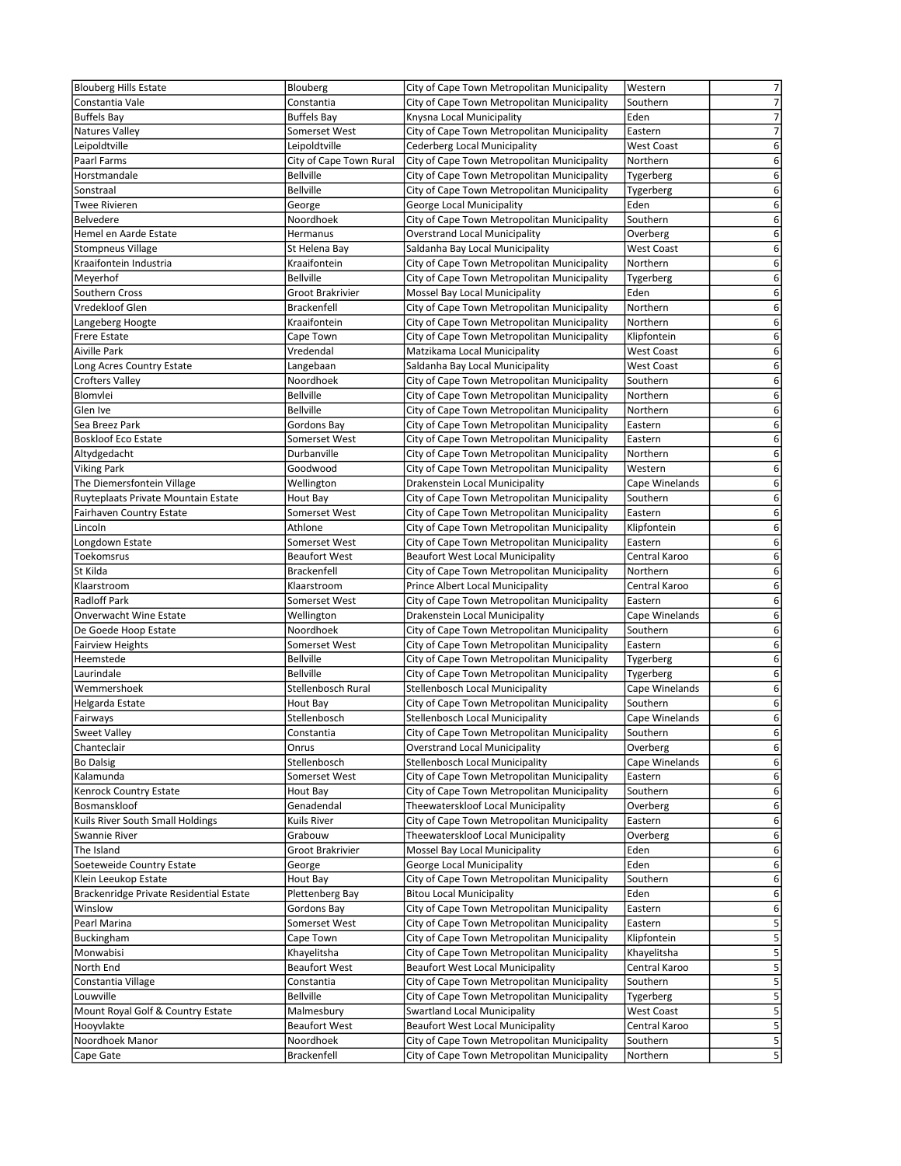| <b>Blouberg Hills Estate</b>            | Blouberg                          | City of Cape Town Metropolitan Municipality                                     | Western                   | $\overline{7}$   |
|-----------------------------------------|-----------------------------------|---------------------------------------------------------------------------------|---------------------------|------------------|
| Constantia Vale                         | Constantia                        | City of Cape Town Metropolitan Municipality                                     | Southern                  | $\overline{7}$   |
| <b>Buffels Bay</b>                      | <b>Buffels Bay</b>                | Knysna Local Municipality                                                       | Eden                      | 7                |
| Natures Valley                          | Somerset West                     | City of Cape Town Metropolitan Municipality                                     | Eastern                   | $\overline{7}$   |
| Leipoldtville                           | Leipoldtville                     | Cederberg Local Municipality                                                    | <b>West Coast</b>         | 6                |
| Paarl Farms                             | City of Cape Town Rural           | City of Cape Town Metropolitan Municipality                                     | Northern                  | 6                |
| Horstmandale                            | <b>Bellville</b>                  | City of Cape Town Metropolitan Municipality                                     | Tygerberg                 | 6                |
| Sonstraal                               | <b>Bellville</b>                  | City of Cape Town Metropolitan Municipality                                     | Tygerberg                 | 6                |
| <b>Twee Rivieren</b>                    | George                            | George Local Municipality                                                       | Eden                      | 6                |
| Belvedere                               | Noordhoek                         | City of Cape Town Metropolitan Municipality                                     | Southern                  | 6                |
| Hemel en Aarde Estate                   | Hermanus                          | <b>Overstrand Local Municipality</b>                                            | Overberg                  | 6                |
| <b>Stompneus Village</b>                | St Helena Bay                     | Saldanha Bay Local Municipality                                                 | <b>West Coast</b>         | 6                |
| Kraaifontein Industria                  | Kraaifontein                      | City of Cape Town Metropolitan Municipality                                     | Northern                  | 6                |
| Meyerhof                                | <b>Bellville</b>                  | City of Cape Town Metropolitan Municipality                                     | Tygerberg                 | 6                |
| Southern Cross                          | Groot Brakrivier                  | Mossel Bay Local Municipality                                                   | Eden                      | 6                |
| Vredekloof Glen                         | <b>Brackenfell</b>                | City of Cape Town Metropolitan Municipality                                     | Northern                  | 6                |
| Langeberg Hoogte                        | Kraaifontein                      | City of Cape Town Metropolitan Municipality                                     | Northern                  | 6                |
| <b>Frere Estate</b>                     | Cape Town                         | City of Cape Town Metropolitan Municipality                                     | Klipfontein               | 6                |
| <b>Aiville Park</b>                     | Vredendal                         | Matzikama Local Municipality                                                    | West Coast                | 6                |
| Long Acres Country Estate               | Langebaan                         | Saldanha Bay Local Municipality                                                 | <b>West Coast</b>         | 6                |
| <b>Crofters Valley</b>                  | Noordhoek                         | City of Cape Town Metropolitan Municipality                                     | Southern                  | 6                |
| Blomvlei                                | <b>Bellville</b>                  | City of Cape Town Metropolitan Municipality                                     | Northern                  | 6                |
| Glen Ive                                | <b>Bellville</b>                  | City of Cape Town Metropolitan Municipality                                     | Northern                  | 6                |
| Sea Breez Park                          | Gordons Bay                       | City of Cape Town Metropolitan Municipality                                     | Eastern                   | 6                |
| <b>Boskloof Eco Estate</b>              | Somerset West                     | City of Cape Town Metropolitan Municipality                                     | Eastern                   | 6                |
| Altydgedacht                            | Durbanville                       | City of Cape Town Metropolitan Municipality                                     | Northern                  | 6                |
| <b>Viking Park</b>                      | Goodwood                          | City of Cape Town Metropolitan Municipality                                     | Western                   | 6                |
| The Diemersfontein Village              | Wellington                        | Drakenstein Local Municipality                                                  | Cape Winelands            | 6                |
| Ruyteplaats Private Mountain Estate     | Hout Bay                          | City of Cape Town Metropolitan Municipality                                     | Southern                  | 6                |
| <b>Fairhaven Country Estate</b>         | Somerset West                     | City of Cape Town Metropolitan Municipality                                     | Eastern                   | 6                |
| Lincoln                                 | Athlone                           | City of Cape Town Metropolitan Municipality                                     | Klipfontein               | 6<br>6           |
| Longdown Estate                         | Somerset West                     | City of Cape Town Metropolitan Municipality                                     | Eastern                   |                  |
| Toekomsrus                              | <b>Beaufort West</b>              | <b>Beaufort West Local Municipality</b>                                         | Central Karoo             | 6<br>6           |
| St Kilda<br>Klaarstroom                 | <b>Brackenfell</b><br>Klaarstroom | City of Cape Town Metropolitan Municipality<br>Prince Albert Local Municipality | Northern<br>Central Karoo | 6                |
| <b>Radloff Park</b>                     | Somerset West                     | City of Cape Town Metropolitan Municipality                                     | Eastern                   | 6                |
| <b>Onverwacht Wine Estate</b>           | Wellington                        | Drakenstein Local Municipality                                                  | Cape Winelands            | 6                |
| De Goede Hoop Estate                    | Noordhoek                         | City of Cape Town Metropolitan Municipality                                     | Southern                  | 6                |
| <b>Fairview Heights</b>                 | Somerset West                     | City of Cape Town Metropolitan Municipality                                     | Eastern                   | 6                |
| Heemstede                               | <b>Bellville</b>                  | City of Cape Town Metropolitan Municipality                                     | Tygerberg                 | 6                |
| Laurindale                              | <b>Bellville</b>                  | City of Cape Town Metropolitan Municipality                                     | Tygerberg                 | 6                |
| Wemmershoek                             | Stellenbosch Rural                | Stellenbosch Local Municipality                                                 | Cape Winelands            | 6                |
| Helgarda Estate                         | Hout Bay                          | City of Cape Town Metropolitan Municipality                                     | Southern                  | 6                |
| Fairways                                | Stellenbosch                      | <b>Stellenbosch Local Municipality</b>                                          | Cape Winelands            | 6                |
| <b>Sweet Valley</b>                     | Constantia                        | City of Cape Town Metropolitan Municipality                                     | Southern                  | 6                |
| Chanteclair                             | Onrus                             | <b>Overstrand Local Municipality</b>                                            | Overberg                  | $6 \overline{6}$ |
| <b>Bo Dalsig</b>                        | Stellenbosch                      | Stellenbosch Local Municipality                                                 | Cape Winelands            | 6                |
| Kalamunda                               | Somerset West                     | City of Cape Town Metropolitan Municipality                                     | Eastern                   | 6                |
| Kenrock Country Estate                  | Hout Bay                          | City of Cape Town Metropolitan Municipality                                     | Southern                  | 6                |
| Bosmanskloof                            | Genadendal                        | Theewaterskloof Local Municipality                                              | Overberg                  | 6                |
| Kuils River South Small Holdings        | Kuils River                       | City of Cape Town Metropolitan Municipality                                     | Eastern                   | 6                |
| Swannie River                           | Grabouw                           | Theewaterskloof Local Municipality                                              | Overberg                  | 6                |
| The Island                              | Groot Brakrivier                  | Mossel Bay Local Municipality                                                   | Eden                      | 6                |
| Soeteweide Country Estate               | George                            | George Local Municipality                                                       | Eden                      | 6                |
| Klein Leeukop Estate                    | Hout Bay                          | City of Cape Town Metropolitan Municipality                                     | Southern                  | 6                |
| Brackenridge Private Residential Estate | Plettenberg Bay                   | <b>Bitou Local Municipality</b>                                                 | Eden                      | 6                |
| Winslow                                 | Gordons Bay                       | City of Cape Town Metropolitan Municipality                                     | Eastern                   | 6                |
| Pearl Marina                            | Somerset West                     | City of Cape Town Metropolitan Municipality                                     | Eastern                   | 5                |
| Buckingham                              | Cape Town                         | City of Cape Town Metropolitan Municipality                                     | Klipfontein               | 5                |
| Monwabisi                               | Khayelitsha                       | City of Cape Town Metropolitan Municipality                                     | Khayelitsha               | 5                |
| North End                               | <b>Beaufort West</b>              | <b>Beaufort West Local Municipality</b>                                         | Central Karoo             | 5                |
| Constantia Village                      | Constantia                        | City of Cape Town Metropolitan Municipality                                     | Southern                  | 5                |
| Louwville                               | <b>Bellville</b>                  | City of Cape Town Metropolitan Municipality                                     | Tygerberg                 | 5                |
| Mount Royal Golf & Country Estate       | Malmesbury                        | <b>Swartland Local Municipality</b>                                             | <b>West Coast</b>         | 5                |
| Hooyvlakte                              | <b>Beaufort West</b>              | <b>Beaufort West Local Municipality</b>                                         | Central Karoo             | 5                |
| Noordhoek Manor                         | Noordhoek                         | City of Cape Town Metropolitan Municipality                                     | Southern                  | 5                |
| Cape Gate                               | Brackenfell                       | City of Cape Town Metropolitan Municipality                                     | Northern                  | $5\vert$         |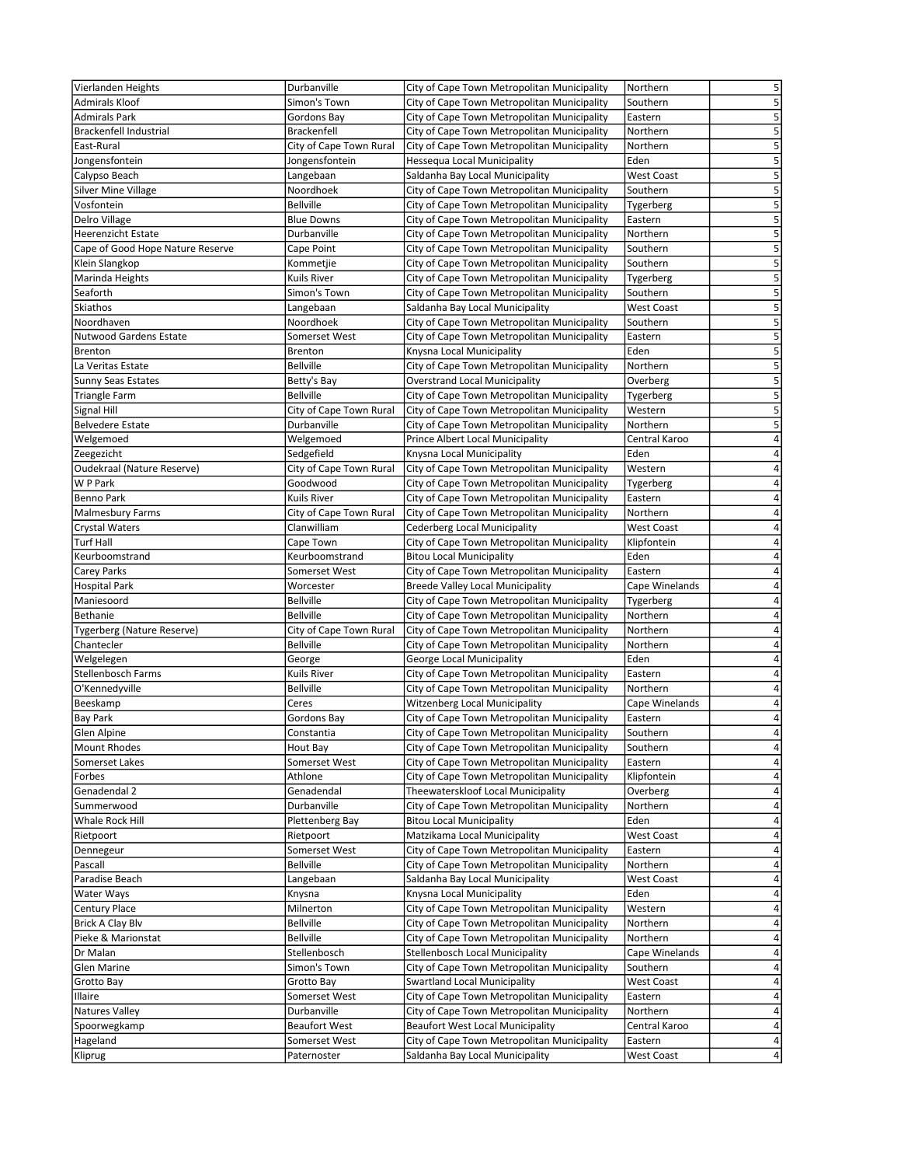| Vierlanden Heights                        | Durbanville                 | City of Cape Town Metropolitan Municipality                                    | Northern                         | 5                       |
|-------------------------------------------|-----------------------------|--------------------------------------------------------------------------------|----------------------------------|-------------------------|
| <b>Admirals Kloof</b>                     | Simon's Town                | City of Cape Town Metropolitan Municipality                                    | Southern                         | 5                       |
| <b>Admirals Park</b>                      | Gordons Bay                 | City of Cape Town Metropolitan Municipality                                    | Eastern                          | 5                       |
| Brackenfell Industrial                    | <b>Brackenfell</b>          | City of Cape Town Metropolitan Municipality                                    | Northern                         | 5                       |
| East-Rural                                | City of Cape Town Rural     | City of Cape Town Metropolitan Municipality                                    | Northern                         | 5                       |
| Jongensfontein                            | Jongensfontein              | Hessequa Local Municipality                                                    | Eden                             | 5                       |
| Calypso Beach                             | Langebaan                   | Saldanha Bay Local Municipality                                                | <b>West Coast</b>                | 5                       |
| <b>Silver Mine Village</b>                | Noordhoek                   | City of Cape Town Metropolitan Municipality                                    | Southern                         | 5                       |
| Vosfontein                                | <b>Bellville</b>            | City of Cape Town Metropolitan Municipality                                    | Tygerberg                        | $\overline{\mathbf{5}}$ |
| Delro Village                             | <b>Blue Downs</b>           | City of Cape Town Metropolitan Municipality                                    | Eastern                          | 5                       |
| <b>Heerenzicht Estate</b>                 | Durbanville                 | City of Cape Town Metropolitan Municipality                                    | Northern                         | 5                       |
| Cape of Good Hope Nature Reserve          | Cape Point                  | City of Cape Town Metropolitan Municipality                                    | Southern                         | 5                       |
| Klein Slangkop                            | Kommetjie                   | City of Cape Town Metropolitan Municipality                                    | Southern                         | 5                       |
| Marinda Heights                           | Kuils River                 | City of Cape Town Metropolitan Municipality                                    | Tygerberg                        | 5                       |
| Seaforth                                  | Simon's Town                | City of Cape Town Metropolitan Municipality                                    | Southern                         | 5                       |
| Skiathos                                  | Langebaan                   | Saldanha Bay Local Municipality                                                | West Coast                       | 5                       |
| Noordhaven                                | Noordhoek                   | City of Cape Town Metropolitan Municipality                                    | Southern                         | 5                       |
| <b>Nutwood Gardens Estate</b>             | Somerset West               | City of Cape Town Metropolitan Municipality                                    | Eastern                          | 5                       |
| Brenton                                   | Brenton                     | Knysna Local Municipality                                                      | Eden                             | 5                       |
| La Veritas Estate                         | <b>Bellville</b>            | City of Cape Town Metropolitan Municipality                                    | Northern                         | 5                       |
| <b>Sunny Seas Estates</b>                 | Betty's Bay                 | <b>Overstrand Local Municipality</b>                                           | Overberg                         | 5                       |
| <b>Triangle Farm</b>                      | <b>Bellville</b>            | City of Cape Town Metropolitan Municipality                                    | Tygerberg                        | 5                       |
| Signal Hill                               | City of Cape Town Rural     | City of Cape Town Metropolitan Municipality                                    | Western                          | 5                       |
| <b>Belvedere Estate</b>                   | Durbanville                 | City of Cape Town Metropolitan Municipality                                    | Northern                         | 5                       |
| Welgemoed                                 | Welgemoed                   | Prince Albert Local Municipality                                               | Central Karoo                    | 4                       |
| Zeegezicht                                | Sedgefield                  | Knysna Local Municipality                                                      | Eden                             | 4                       |
| Oudekraal (Nature Reserve)                | City of Cape Town Rural     | City of Cape Town Metropolitan Municipality                                    | Western                          | 4<br>4                  |
| W P Park                                  | Goodwood                    | City of Cape Town Metropolitan Municipality                                    | Tygerberg                        | 4                       |
| Benno Park                                | Kuils River                 | City of Cape Town Metropolitan Municipality                                    | Eastern                          | 4                       |
| <b>Malmesbury Farms</b>                   | City of Cape Town Rural     | City of Cape Town Metropolitan Municipality                                    | Northern                         | 4                       |
| <b>Crystal Waters</b><br><b>Turf Hall</b> | Clanwilliam                 | Cederberg Local Municipality                                                   | <b>West Coast</b><br>Klipfontein | 4                       |
| Keurboomstrand                            | Cape Town<br>Keurboomstrand | City of Cape Town Metropolitan Municipality<br><b>Bitou Local Municipality</b> | Eden                             | 4                       |
| Carey Parks                               | Somerset West               | City of Cape Town Metropolitan Municipality                                    | Eastern                          | 4                       |
| <b>Hospital Park</b>                      | Worcester                   | Breede Valley Local Municipality                                               | Cape Winelands                   | 4                       |
| Maniesoord                                | <b>Bellville</b>            | City of Cape Town Metropolitan Municipality                                    | Tygerberg                        | 4                       |
| Bethanie                                  | <b>Bellville</b>            | City of Cape Town Metropolitan Municipality                                    | Northern                         | 4                       |
| Tygerberg (Nature Reserve)                | City of Cape Town Rural     | City of Cape Town Metropolitan Municipality                                    | Northern                         | 4                       |
| Chantecler                                | <b>Bellville</b>            | City of Cape Town Metropolitan Municipality                                    | Northern                         | 4                       |
| Welgelegen                                | George                      | George Local Municipality                                                      | Eden                             | 4                       |
| Stellenbosch Farms                        | Kuils River                 | City of Cape Town Metropolitan Municipality                                    | Eastern                          | 4                       |
| O'Kennedyville                            | <b>Bellville</b>            | City of Cape Town Metropolitan Municipality                                    | Northern                         | 4                       |
| Beeskamp                                  | Ceres                       | Witzenberg Local Municipality                                                  | Cape Winelands                   | 4                       |
| <b>Bay Park</b>                           | Gordons Bay                 | City of Cape Town Metropolitan Municipality                                    | Eastern                          | 4                       |
| Glen Alpine                               | Constantia                  | City of Cape Town Metropolitan Municipality                                    | Southern                         | 4                       |
| <b>Mount Rhodes</b>                       | Hout Bay                    | City of Cape Town Metropolitan Municipality                                    | Southern                         | $\vert 4 \vert$         |
| Somerset Lakes                            | Somerset West               | City of Cape Town Metropolitan Municipality                                    | Eastern                          | $\sqrt{4}$              |
| Forbes                                    | Athlone                     | City of Cape Town Metropolitan Municipality                                    | Klipfontein                      | $\sqrt{4}$              |
| Genadendal 2                              | Genadendal                  | Theewaterskloof Local Municipality                                             | Overberg                         | $\overline{4}$          |
| Summerwood                                | Durbanville                 | City of Cape Town Metropolitan Municipality                                    | Northern                         | $\overline{\mathbf{4}}$ |
| Whale Rock Hill                           | Plettenberg Bay             | <b>Bitou Local Municipality</b>                                                | Eden                             | $\sqrt{4}$              |
| Rietpoort                                 | Rietpoort                   | Matzikama Local Municipality                                                   | <b>West Coast</b>                | 4                       |
| Dennegeur                                 | Somerset West               | City of Cape Town Metropolitan Municipality                                    | Eastern                          | $\sqrt{4}$              |
| Pascall                                   | <b>Bellville</b>            | City of Cape Town Metropolitan Municipality                                    | Northern                         | 4                       |
| Paradise Beach                            | Langebaan                   | Saldanha Bay Local Municipality                                                | <b>West Coast</b>                | 4                       |
| Water Ways                                | Knysna                      | Knysna Local Municipality                                                      | Eden                             | $\sqrt{4}$              |
| <b>Century Place</b>                      | Milnerton                   | City of Cape Town Metropolitan Municipality                                    | Western                          | 4                       |
| Brick A Clay Blv                          | <b>Bellville</b>            | City of Cape Town Metropolitan Municipality                                    | Northern                         | 4                       |
| Pieke & Marionstat                        | <b>Bellville</b>            | City of Cape Town Metropolitan Municipality                                    | Northern                         | $\sqrt{4}$              |
| Dr Malan                                  | Stellenbosch                | <b>Stellenbosch Local Municipality</b>                                         | Cape Winelands                   | $\overline{\mathbf{4}}$ |
| Glen Marine                               | Simon's Town                | City of Cape Town Metropolitan Municipality                                    | Southern                         | 4                       |
| Grotto Bay                                | Grotto Bay                  | <b>Swartland Local Municipality</b>                                            | <b>West Coast</b>                | 4                       |
| Illaire                                   | Somerset West               | City of Cape Town Metropolitan Municipality                                    | Eastern                          | $\overline{\mathbf{4}}$ |
| <b>Natures Valley</b>                     | Durbanville                 | City of Cape Town Metropolitan Municipality                                    | Northern                         | 4                       |
| Spoorwegkamp                              | <b>Beaufort West</b>        | <b>Beaufort West Local Municipality</b>                                        | Central Karoo                    | 4                       |
| Hageland                                  | Somerset West               | City of Cape Town Metropolitan Municipality                                    | Eastern                          | 4                       |
| Kliprug                                   | Paternoster                 | Saldanha Bay Local Municipality                                                | <b>West Coast</b>                | $\overline{4}$          |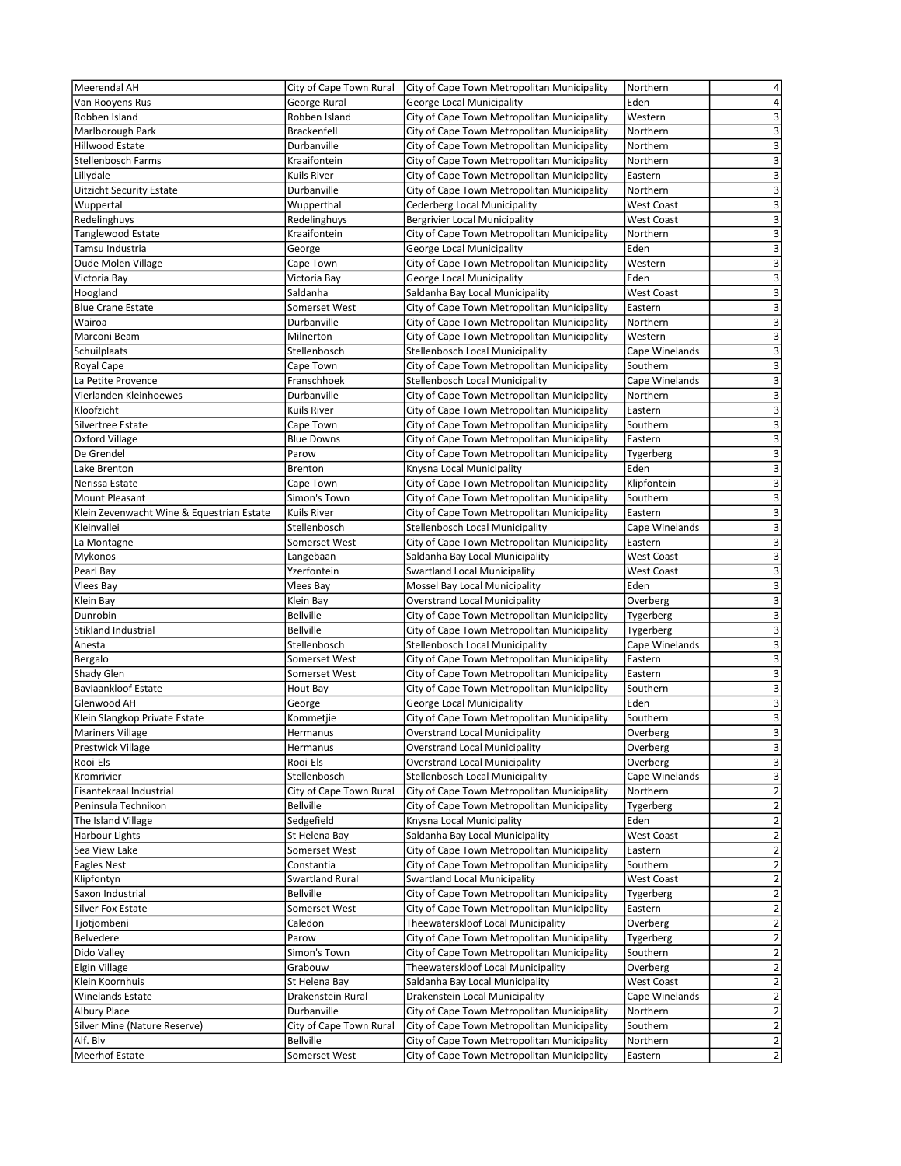| Meerendal AH                              | City of Cape Town Rural  | City of Cape Town Metropolitan Municipality                                    | 4<br>Northern                                |
|-------------------------------------------|--------------------------|--------------------------------------------------------------------------------|----------------------------------------------|
| Van Rooyens Rus                           | George Rural             | George Local Municipality                                                      | 4<br>Eden                                    |
| Robben Island                             | Robben Island            | City of Cape Town Metropolitan Municipality                                    | 3<br>Western                                 |
| Marlborough Park                          | <b>Brackenfell</b>       | City of Cape Town Metropolitan Municipality                                    | 3<br>Northern                                |
| Hillwood Estate                           | Durbanville              | City of Cape Town Metropolitan Municipality                                    | 3<br>Northern                                |
| Stellenbosch Farms                        | Kraaifontein             | City of Cape Town Metropolitan Municipality                                    | 3<br>Northern                                |
| Lillydale                                 | Kuils River              | City of Cape Town Metropolitan Municipality                                    | 3<br>Eastern                                 |
| <b>Uitzicht Security Estate</b>           | Durbanville              | City of Cape Town Metropolitan Municipality                                    | 3<br>Northern                                |
| Wuppertal                                 | Wupperthal               | Cederberg Local Municipality                                                   | 3<br><b>West Coast</b>                       |
| Redelinghuys                              | Redelinghuys             | <b>Bergrivier Local Municipality</b>                                           | 3<br><b>West Coast</b>                       |
| <b>Tanglewood Estate</b>                  | Kraaifontein             | City of Cape Town Metropolitan Municipality                                    | 3<br>Northern                                |
| Tamsu Industria                           | George                   | George Local Municipality                                                      | 3<br>Eden                                    |
| <b>Oude Molen Village</b>                 | Cape Town                | City of Cape Town Metropolitan Municipality                                    | 3<br>Western                                 |
| Victoria Bay                              | Victoria Bay             | George Local Municipality                                                      | 3<br>Eden                                    |
| Hoogland                                  | Saldanha                 | Saldanha Bay Local Municipality                                                | 3<br><b>West Coast</b>                       |
| <b>Blue Crane Estate</b>                  | Somerset West            | City of Cape Town Metropolitan Municipality                                    | $\overline{\mathbf{3}}$<br>Eastern           |
| Wairoa                                    | Durbanville              | City of Cape Town Metropolitan Municipality                                    | 3<br>Northern                                |
| Marconi Beam                              | Milnerton                | City of Cape Town Metropolitan Municipality                                    | $\overline{\mathbf{3}}$<br>Western           |
| Schuilplaats                              | Stellenbosch             | Stellenbosch Local Municipality                                                | 3<br>Cape Winelands                          |
|                                           |                          |                                                                                |                                              |
| Royal Cape<br>La Petite Provence          | Cape Town<br>Franschhoek | City of Cape Town Metropolitan Municipality<br>Stellenbosch Local Municipality | 3<br>Southern<br>$\overline{\mathbf{3}}$     |
|                                           | Durbanville              |                                                                                | Cape Winelands<br>3                          |
| Vierlanden Kleinhoewes                    |                          | City of Cape Town Metropolitan Municipality                                    | Northern                                     |
| Kloofzicht                                | <b>Kuils River</b>       | City of Cape Town Metropolitan Municipality                                    | 3<br>Eastern                                 |
| Silvertree Estate                         | Cape Town                | City of Cape Town Metropolitan Municipality                                    | 3<br>Southern                                |
| Oxford Village                            | <b>Blue Downs</b>        | City of Cape Town Metropolitan Municipality                                    | 3<br>Eastern                                 |
| De Grendel                                | Parow                    | City of Cape Town Metropolitan Municipality                                    | 3<br>Tygerberg                               |
| Lake Brenton                              | <b>Brenton</b>           | Knysna Local Municipality                                                      | 3<br>Eden                                    |
| Nerissa Estate                            | Cape Town                | City of Cape Town Metropolitan Municipality                                    | 3<br>Klipfontein                             |
| <b>Mount Pleasant</b>                     | Simon's Town             | City of Cape Town Metropolitan Municipality                                    | 3<br>Southern                                |
| Klein Zevenwacht Wine & Equestrian Estate | <b>Kuils River</b>       | City of Cape Town Metropolitan Municipality                                    | 3<br>Eastern                                 |
| Kleinvallei                               | Stellenbosch             | Stellenbosch Local Municipality                                                | 3<br>Cape Winelands                          |
| La Montagne                               | Somerset West            | City of Cape Town Metropolitan Municipality                                    | 3<br>Eastern                                 |
| Mykonos                                   | Langebaan                | Saldanha Bay Local Municipality                                                | $\overline{\mathbf{3}}$<br>West Coast        |
| Pearl Bay                                 | Yzerfontein              | Swartland Local Municipality                                                   | $\overline{\mathbf{3}}$<br><b>West Coast</b> |
| <b>Vlees Bay</b>                          | Vlees Bay                | Mossel Bay Local Municipality                                                  | 3<br>Eden                                    |
| Klein Bay                                 | Klein Bay                | <b>Overstrand Local Municipality</b>                                           | $\overline{\mathbf{3}}$<br>Overberg          |
| Dunrobin                                  | <b>Bellville</b>         | City of Cape Town Metropolitan Municipality                                    | $\overline{\mathbf{3}}$<br>Tygerberg         |
| Stikland Industrial                       | <b>Bellville</b>         | City of Cape Town Metropolitan Municipality                                    | 3<br>Tygerberg                               |
| Anesta                                    | Stellenbosch             | Stellenbosch Local Municipality                                                | 3<br>Cape Winelands                          |
| Bergalo                                   | Somerset West            | City of Cape Town Metropolitan Municipality                                    | $\overline{\mathbf{3}}$<br>Eastern           |
| Shady Glen                                | Somerset West            | City of Cape Town Metropolitan Municipality                                    | 3<br>Eastern                                 |
| <b>Baviaankloof Estate</b>                | Hout Bay                 | City of Cape Town Metropolitan Municipality                                    | 3<br>Southern                                |
| Glenwood AH                               | George                   | George Local Municipality                                                      | $\overline{\mathbf{3}}$<br>Eden              |
| Klein Slangkop Private Estate             | Kommetjie                | City of Cape Town Metropolitan Municipality                                    | 3<br>Southern                                |
| <b>Mariners Village</b>                   | Hermanus                 | <b>Overstrand Local Municipality</b>                                           | 3<br>Overberg                                |
|                                           | Hermanus                 | <b>Overstrand Local Municipality</b>                                           | 3<br>Overberg                                |
| <b>Prestwick Village</b><br>Rooi-Els      |                          |                                                                                | Overberg                                     |
|                                           | Rooi-Els                 | <b>Overstrand Local Municipality</b><br>Stellenbosch Local Municipality        | 3                                            |
| Kromrivier                                | Stellenbosch             |                                                                                | 3<br>Cape Winelands                          |
| Fisantekraal Industrial                   | City of Cape Town Rural  | City of Cape Town Metropolitan Municipality                                    | $\overline{\mathbf{c}}$<br>Northern          |
| Peninsula Technikon                       | <b>Bellville</b>         | City of Cape Town Metropolitan Municipality                                    | $\overline{\mathbf{c}}$<br>Tygerberg         |
| The Island Village                        | Sedgefield               | Knysna Local Municipality                                                      | $\overline{\mathbf{c}}$<br>Eden              |
| Harbour Lights                            | St Helena Bay            | Saldanha Bay Local Municipality                                                | $\overline{\mathbf{c}}$<br><b>West Coast</b> |
| Sea View Lake                             | Somerset West            | City of Cape Town Metropolitan Municipality                                    | $\mathbf 2$<br>Eastern                       |
| Eagles Nest                               | Constantia               | City of Cape Town Metropolitan Municipality                                    | $\overline{\mathbf{c}}$<br>Southern          |
| Klipfontyn                                | Swartland Rural          | <b>Swartland Local Municipality</b>                                            | $\mathbf 2$<br><b>West Coast</b>             |
| Saxon Industrial                          | <b>Bellville</b>         | City of Cape Town Metropolitan Municipality                                    | $\mathbf 2$<br>Tygerberg                     |
| Silver Fox Estate                         | Somerset West            | City of Cape Town Metropolitan Municipality                                    | $\overline{2}$<br>Eastern                    |
| Tjotjombeni                               | Caledon                  | Theewaterskloof Local Municipality                                             | $\mathbf 2$<br>Overberg                      |
| Belvedere                                 | Parow                    | City of Cape Town Metropolitan Municipality                                    | $\overline{\mathbf{c}}$<br>Tygerberg         |
| Dido Valley                               | Simon's Town             | City of Cape Town Metropolitan Municipality                                    | $\overline{\mathbf{c}}$<br>Southern          |
| <b>Elgin Village</b>                      | Grabouw                  | Theewaterskloof Local Municipality                                             | $\mathbf 2$<br>Overberg                      |
| Klein Koornhuis                           | St Helena Bay            | Saldanha Bay Local Municipality                                                | $\overline{\mathbf{c}}$<br><b>West Coast</b> |
| Winelands Estate                          | Drakenstein Rural        | Drakenstein Local Municipality                                                 | $\overline{\mathbf{c}}$<br>Cape Winelands    |
| Albury Place                              | Durbanville              | City of Cape Town Metropolitan Municipality                                    | 2<br>Northern                                |
| Silver Mine (Nature Reserve)              | City of Cape Town Rural  | City of Cape Town Metropolitan Municipality                                    | $\overline{2}$<br>Southern                   |
| Alf. Blv                                  | <b>Bellville</b>         | City of Cape Town Metropolitan Municipality                                    | $\overline{\mathbf{c}}$<br>Northern          |
| <b>Meerhof Estate</b>                     | Somerset West            | City of Cape Town Metropolitan Municipality                                    | $\mathbf{2}$<br>Eastern                      |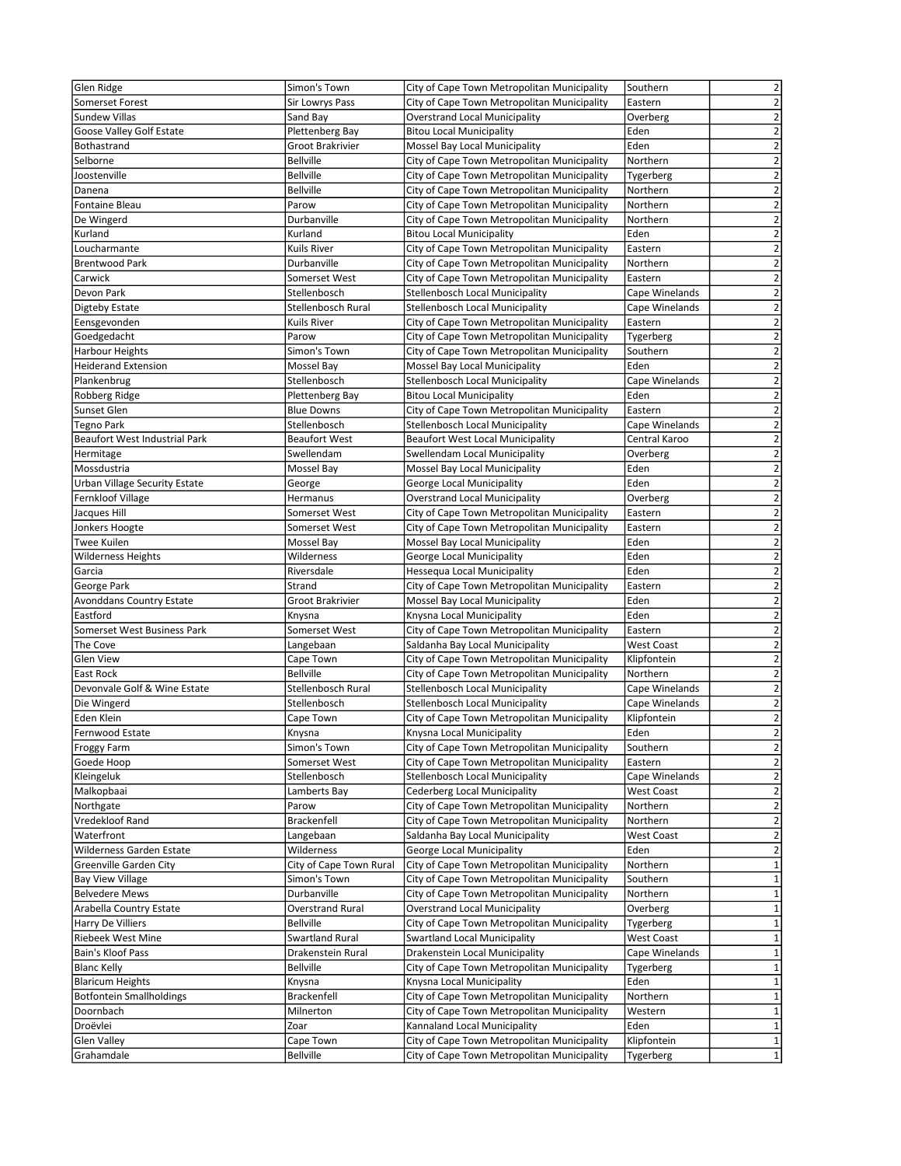| Glen Ridge                      | Simon's Town            | City of Cape Town Metropolitan Municipality | Southern          | 2                       |
|---------------------------------|-------------------------|---------------------------------------------|-------------------|-------------------------|
| Somerset Forest                 | Sir Lowrys Pass         | City of Cape Town Metropolitan Municipality | Eastern           | $\overline{2}$          |
| <b>Sundew Villas</b>            | Sand Bay                | <b>Overstrand Local Municipality</b>        | Overberg          | $\overline{2}$          |
| Goose Valley Golf Estate        | Plettenberg Bay         | <b>Bitou Local Municipality</b>             | Eden              | $\overline{2}$          |
| Bothastrand                     | Groot Brakrivier        | Mossel Bay Local Municipality               | Eden              | $\overline{2}$          |
| Selborne                        | <b>Bellville</b>        | City of Cape Town Metropolitan Municipality | Northern          | $\overline{2}$          |
| Joostenville                    | <b>Bellville</b>        | City of Cape Town Metropolitan Municipality | Tygerberg         | $\overline{2}$          |
| Danena                          | <b>Bellville</b>        | City of Cape Town Metropolitan Municipality | Northern          | $\overline{2}$          |
| <b>Fontaine Bleau</b>           | Parow                   | City of Cape Town Metropolitan Municipality | Northern          | $\overline{2}$          |
| De Wingerd                      | Durbanville             | City of Cape Town Metropolitan Municipality | Northern          | $\overline{2}$          |
| Kurland                         | Kurland                 | <b>Bitou Local Municipality</b>             | Eden              | $\overline{2}$          |
| Loucharmante                    | Kuils River             | City of Cape Town Metropolitan Municipality | Eastern           | $\overline{2}$          |
| <b>Brentwood Park</b>           | Durbanville             | City of Cape Town Metropolitan Municipality | Northern          | $\overline{2}$          |
| Carwick                         | Somerset West           | City of Cape Town Metropolitan Municipality | Eastern           | $\overline{2}$          |
| Devon Park                      |                         |                                             | Cape Winelands    | $\overline{2}$          |
|                                 | Stellenbosch            | <b>Stellenbosch Local Municipality</b>      |                   |                         |
| Digteby Estate                  | Stellenbosch Rural      | <b>Stellenbosch Local Municipality</b>      | Cape Winelands    | $\overline{2}$          |
| Eensgevonden                    | Kuils River             | City of Cape Town Metropolitan Municipality | Eastern           | $\overline{2}$          |
| Goedgedacht                     | Parow                   | City of Cape Town Metropolitan Municipality | Tygerberg         | $\overline{2}$          |
| Harbour Heights                 | Simon's Town            | City of Cape Town Metropolitan Municipality | Southern          | $\overline{2}$          |
| <b>Heiderand Extension</b>      | Mossel Bay              | Mossel Bay Local Municipality               | Eden              | $\overline{2}$          |
| Plankenbrug                     | Stellenbosch            | Stellenbosch Local Municipality             | Cape Winelands    | $\mathbf 2$             |
| Robberg Ridge                   | Plettenberg Bay         | <b>Bitou Local Municipality</b>             | Eden              | $\overline{2}$          |
| Sunset Glen                     | <b>Blue Downs</b>       | City of Cape Town Metropolitan Municipality | Eastern           | $\overline{2}$          |
| <b>Tegno Park</b>               | Stellenbosch            | <b>Stellenbosch Local Municipality</b>      | Cape Winelands    | $\overline{\mathbf{c}}$ |
| Beaufort West Industrial Park   | <b>Beaufort West</b>    | <b>Beaufort West Local Municipality</b>     | Central Karoo     | $\overline{2}$          |
| Hermitage                       | Swellendam              | Swellendam Local Municipality               | Overberg          | $\overline{2}$          |
| Mossdustria                     | Mossel Bay              | Mossel Bay Local Municipality               | Eden              | $\overline{2}$          |
| Urban Village Security Estate   | George                  | George Local Municipality                   | Eden              | $\overline{2}$          |
| Fernkloof Village               | Hermanus                | <b>Overstrand Local Municipality</b>        | Overberg          | $\overline{2}$          |
| Jacques Hill                    | Somerset West           | City of Cape Town Metropolitan Municipality | Eastern           | $\overline{2}$          |
| Jonkers Hoogte                  | Somerset West           | City of Cape Town Metropolitan Municipality | Eastern           | 2                       |
| <b>Twee Kuilen</b>              | Mossel Bay              | Mossel Bay Local Municipality               | Eden              | $\overline{2}$          |
| <b>Wilderness Heights</b>       | Wilderness              | George Local Municipality                   | Eden              | $\overline{2}$          |
| Garcia                          | Riversdale              | Hessequa Local Municipality                 | Eden              | 2                       |
| George Park                     | Strand                  | City of Cape Town Metropolitan Municipality | Eastern           | $\overline{2}$          |
| <b>Avonddans Country Estate</b> | Groot Brakrivier        | Mossel Bay Local Municipality               | Eden              | $\mathbf 2$             |
| Eastford                        | Knysna                  | Knysna Local Municipality                   | Eden              | $\overline{\mathbf{c}}$ |
| Somerset West Business Park     | Somerset West           | City of Cape Town Metropolitan Municipality | Eastern           | $\mathbf 2$             |
| The Cove                        | Langebaan               | Saldanha Bay Local Municipality             | <b>West Coast</b> | $\overline{2}$          |
| <b>Glen View</b>                | Cape Town               | City of Cape Town Metropolitan Municipality | Klipfontein       | $\overline{2}$          |
| <b>East Rock</b>                | <b>Bellville</b>        | City of Cape Town Metropolitan Municipality | Northern          | $\mathbf 2$             |
| Devonvale Golf & Wine Estate    | Stellenbosch Rural      | <b>Stellenbosch Local Municipality</b>      | Cape Winelands    | $\overline{\mathbf{c}}$ |
| Die Wingerd                     | Stellenbosch            | <b>Stellenbosch Local Municipality</b>      | Cape Winelands    | $\overline{2}$          |
| Eden Klein                      | Cape Town               | City of Cape Town Metropolitan Municipality | Klipfontein       | $\overline{2}$          |
| Fernwood Estate                 |                         | Knysna Local Municipality                   | Eden              | 2                       |
|                                 | Knysna                  |                                             |                   |                         |
| <b>Froggy Farm</b>              | Simon's Town            | City of Cape Town Metropolitan Municipality | Southern          | $\overline{2}$          |
| Goede Hoop                      | Somerset West           | City of Cape Town Metropolitan Municipality | Eastern           | $\mathbf 2$             |
| Kleingeluk                      | Stellenbosch            | Stellenbosch Local Municipality             | Cape Winelands    | $\overline{\mathbf{c}}$ |
| Malkopbaai                      | Lamberts Bay            | Cederberg Local Municipality                | <b>West Coast</b> | $\overline{\mathbf{c}}$ |
| Northgate                       | Parow                   | City of Cape Town Metropolitan Municipality | Northern          | $\overline{2}$          |
| Vredekloof Rand                 | Brackenfell             | City of Cape Town Metropolitan Municipality | Northern          | $\overline{2}$          |
| Waterfront                      | Langebaan               | Saldanha Bay Local Municipality             | <b>West Coast</b> | $\mathbf 2$             |
| Wilderness Garden Estate        | Wilderness              | George Local Municipality                   | Eden              | $\overline{\mathbf{c}}$ |
| Greenville Garden City          | City of Cape Town Rural | City of Cape Town Metropolitan Municipality | Northern          | $\mathbf 1$             |
| <b>Bay View Village</b>         | Simon's Town            | City of Cape Town Metropolitan Municipality | Southern          | $\mathbf 1$             |
| <b>Belvedere Mews</b>           | Durbanville             | City of Cape Town Metropolitan Municipality | Northern          | $\mathbf 1$             |
| Arabella Country Estate         | <b>Overstrand Rural</b> | <b>Overstrand Local Municipality</b>        | Overberg          | $\mathbf 1$             |
| Harry De Villiers               | <b>Bellville</b>        | City of Cape Town Metropolitan Municipality | Tygerberg         | $\mathbf 1$             |
| Riebeek West Mine               | Swartland Rural         | <b>Swartland Local Municipality</b>         | <b>West Coast</b> | $\mathbf 1$             |
| Bain's Kloof Pass               | Drakenstein Rural       | Drakenstein Local Municipality              | Cape Winelands    | $\mathbf 1$             |
| <b>Blanc Kelly</b>              | <b>Bellville</b>        | City of Cape Town Metropolitan Municipality | Tygerberg         | $\mathbf 1$             |
| <b>Blaricum Heights</b>         | Knysna                  | Knysna Local Municipality                   | Eden              | $\mathbf 1$             |
| <b>Botfontein Smallholdings</b> | Brackenfell             | City of Cape Town Metropolitan Municipality | Northern          | $\mathbf 1$             |
| Doornbach                       | Milnerton               | City of Cape Town Metropolitan Municipality | Western           | $1\,$                   |
| Droëvlei                        | Zoar                    | Kannaland Local Municipality                | Eden              | $\mathbf 1$             |
| Glen Valley                     | Cape Town               | City of Cape Town Metropolitan Municipality | Klipfontein       | $\mathbf 1$             |
| Grahamdale                      | <b>Bellville</b>        | City of Cape Town Metropolitan Municipality | Tygerberg         | $\mathbf 1$             |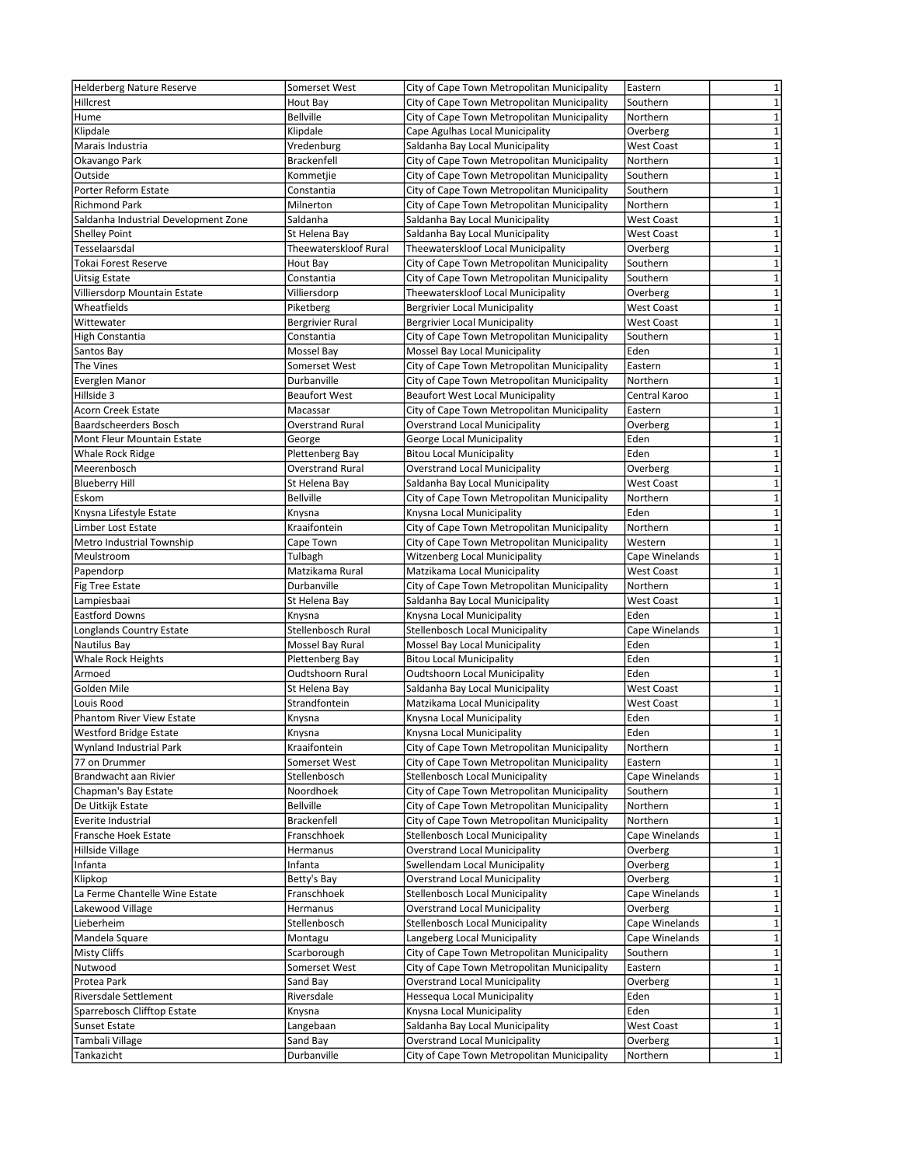| <b>Helderberg Nature Reserve</b>     | Somerset West         | City of Cape Town Metropolitan Municipality | $\mathbf{1}$<br>Eastern           |
|--------------------------------------|-----------------------|---------------------------------------------|-----------------------------------|
| Hillcrest                            | Hout Bay              | City of Cape Town Metropolitan Municipality | Southern<br>1                     |
| Hume                                 | <b>Bellville</b>      | City of Cape Town Metropolitan Municipality | $\mathbf{1}$<br>Northern          |
|                                      |                       |                                             |                                   |
| Klipdale                             | Klipdale              | Cape Agulhas Local Municipality             | $\mathbf{1}$<br>Overberg          |
| Marais Industria                     | Vredenburg            | Saldanha Bay Local Municipality             | $\mathbf{1}$<br><b>West Coast</b> |
| Okavango Park                        | Brackenfell           | City of Cape Town Metropolitan Municipality | Northern<br>1                     |
| Outside                              | Kommetjie             | City of Cape Town Metropolitan Municipality | $\mathbf{1}$<br>Southern          |
| Porter Reform Estate                 | Constantia            | City of Cape Town Metropolitan Municipality | Southern<br>$\mathbf{1}$          |
| <b>Richmond Park</b>                 | Milnerton             | City of Cape Town Metropolitan Municipality | $\mathbf{1}$<br>Northern          |
| Saldanha Industrial Development Zone | Saldanha              | Saldanha Bay Local Municipality             | $\mathbf{1}$<br>West Coast        |
|                                      |                       | Saldanha Bay Local Municipality             | $\mathbf{1}$<br><b>West Coast</b> |
| <b>Shelley Point</b>                 | St Helena Bay         |                                             |                                   |
| Tesselaarsdal                        | Theewaterskloof Rural | Theewaterskloof Local Municipality          | $\mathbf 1$<br>Overberg           |
| Tokai Forest Reserve                 | Hout Bay              | City of Cape Town Metropolitan Municipality | $\overline{1}$<br>Southern        |
| Uitsig Estate                        | Constantia            | City of Cape Town Metropolitan Municipality | $\mathbf 1$<br>Southern           |
| Villiersdorp Mountain Estate         | Villiersdorp          | Theewaterskloof Local Municipality          | $\mathbf{1}$<br>Overberg          |
| Wheatfields                          | Piketberg             | <b>Bergrivier Local Municipality</b>        | $\mathbf{1}$<br>West Coast        |
| Wittewater                           | Bergrivier Rural      | <b>Bergrivier Local Municipality</b>        | $\mathbf{1}$<br><b>West Coast</b> |
| High Constantia                      | Constantia            | City of Cape Town Metropolitan Municipality | $\mathbf{1}$<br>Southern          |
|                                      |                       |                                             | $\mathbf{1}$<br>Eden              |
| Santos Bay                           | Mossel Bay            | Mossel Bay Local Municipality               |                                   |
| The Vines                            | Somerset West         | City of Cape Town Metropolitan Municipality | $\mathbf 1$<br>Eastern            |
| Everglen Manor                       | Durbanville           | City of Cape Town Metropolitan Municipality | $\mathbf 1$<br>Northern           |
| Hillside 3                           | <b>Beaufort West</b>  | <b>Beaufort West Local Municipality</b>     | $\mathbf{1}$<br>Central Karoo     |
| <b>Acorn Creek Estate</b>            | Macassar              | City of Cape Town Metropolitan Municipality | $\mathbf{1}$<br>Eastern           |
| Baardscheerders Bosch                | Overstrand Rural      | <b>Overstrand Local Municipality</b>        | $\mathbf 1$<br>Overberg           |
| Mont Fleur Mountain Estate           | George                | George Local Municipality                   | $\overline{1}$<br>Eden            |
| Whale Rock Ridge                     | Plettenberg Bay       | <b>Bitou Local Municipality</b>             | Eden<br>$\mathbf{1}$              |
|                                      |                       |                                             |                                   |
| Meerenbosch                          | Overstrand Rural      | <b>Overstrand Local Municipality</b>        | 1<br>Overberg                     |
| <b>Blueberry Hill</b>                | St Helena Bay         | Saldanha Bay Local Municipality             | $\mathbf{1}$<br>West Coast        |
| Eskom                                | <b>Bellville</b>      | City of Cape Town Metropolitan Municipality | $\mathbf{1}$<br>Northern          |
| Knysna Lifestyle Estate              | Knysna                | Knysna Local Municipality                   | $\mathbf{1}$<br>Eden              |
| Limber Lost Estate                   | Kraaifontein          | City of Cape Town Metropolitan Municipality | $\mathbf{1}$<br>Northern          |
| Metro Industrial Township            | Cape Town             | City of Cape Town Metropolitan Municipality | $\mathbf{1}$<br>Western           |
| Meulstroom                           | Tulbagh               | <b>Witzenberg Local Municipality</b>        | $\mathbf{1}$<br>Cape Winelands    |
| Papendorp                            | Matzikama Rural       | Matzikama Local Municipality                | $\mathbf{1}$<br><b>West Coast</b> |
|                                      |                       |                                             |                                   |
| Fig Tree Estate                      | Durbanville           | City of Cape Town Metropolitan Municipality | $\mathbf{1}$<br>Northern          |
| Lampiesbaai                          | St Helena Bay         | Saldanha Bay Local Municipality             | $\mathbf{1}$<br>West Coast        |
| <b>Eastford Downs</b>                | Knysna                | Knysna Local Municipality                   | $\mathbf{1}$<br>Eden              |
| Longlands Country Estate             | Stellenbosch Rural    | <b>Stellenbosch Local Municipality</b>      | $\mathbf{1}$<br>Cape Winelands    |
| Nautilus Bay                         | Mossel Bay Rural      | Mossel Bay Local Municipality               | $\mathbf{1}$<br>Eden              |
| <b>Whale Rock Heights</b>            | Plettenberg Bay       | <b>Bitou Local Municipality</b>             | $\mathbf{1}$<br>Eden              |
| Armoed                               | Oudtshoorn Rural      | <b>Oudtshoorn Local Municipality</b>        | $\mathbf{1}$<br>Eden              |
| Golden Mile                          | St Helena Bay         | Saldanha Bay Local Municipality             | $\mathbf{1}$<br><b>West Coast</b> |
|                                      |                       |                                             | $\mathbf{1}$                      |
| Louis Rood                           | Strandfontein         | Matzikama Local Municipality                | <b>West Coast</b>                 |
| <b>Phantom River View Estate</b>     | Knysna                | Knysna Local Municipality                   | $\mathbf{1}$<br>Eden              |
| <b>Westford Bridge Estate</b>        | Knysna                | Knysna Local Municipality                   | Eden<br>$\mathbf{1}$              |
| Wynland Industrial Park              | Kraaifontein          | City of Cape Town Metropolitan Municipality | Northern<br>$\mathbf{1}$          |
| 77 on Drummer                        | Somerset West         | City of Cape Town Metropolitan Municipality | $\mathbf 1$<br>Eastern            |
| Brandwacht aan Rivier                | Stellenbosch          | Stellenbosch Local Municipality             | $\mathbf 1$<br>Cape Winelands     |
| Chapman's Bay Estate                 | Noordhoek             | City of Cape Town Metropolitan Municipality | Southern<br>$\mathbf{1}$          |
| De Uitkijk Estate                    | Bellville             | City of Cape Town Metropolitan Municipality | $\mathbf 1$<br>Northern           |
| Everite Industrial                   | Brackenfell           | City of Cape Town Metropolitan Municipality | $\mathbf 1$<br>Northern           |
|                                      |                       |                                             |                                   |
| Fransche Hoek Estate                 | Franschhoek           | Stellenbosch Local Municipality             | $\mathbf 1$<br>Cape Winelands     |
| Hillside Village                     | Hermanus              | <b>Overstrand Local Municipality</b>        | $\mathbf 1$<br>Overberg           |
| Infanta                              | Infanta               | Swellendam Local Municipality               | $\mathbf 1$<br>Overberg           |
| Klipkop                              | Betty's Bay           | <b>Overstrand Local Municipality</b>        | $\mathbf 1$<br>Overberg           |
| La Ferme Chantelle Wine Estate       | Franschhoek           | Stellenbosch Local Municipality             | Cape Winelands<br>$\mathbf 1$     |
| Lakewood Village                     | Hermanus              | <b>Overstrand Local Municipality</b>        | $\mathbf 1$<br>Overberg           |
| Lieberheim                           | Stellenbosch          | Stellenbosch Local Municipality             | $\mathbf 1$<br>Cape Winelands     |
| Mandela Square                       | Montagu               | Langeberg Local Municipality                | $\mathbf 1$<br>Cape Winelands     |
|                                      |                       |                                             | $\mathbf{1}$                      |
| Misty Cliffs                         | Scarborough           | City of Cape Town Metropolitan Municipality | Southern                          |
| Nutwood                              | Somerset West         | City of Cape Town Metropolitan Municipality | $\mathbf 1$<br>Eastern            |
| Protea Park                          | Sand Bay              | <b>Overstrand Local Municipality</b>        | $\mathbf 1$<br>Overberg           |
| Riversdale Settlement                | Riversdale            | Hessequa Local Municipality                 | $\mathbf 1$<br>Eden               |
| Sparrebosch Clifftop Estate          | Knysna                | Knysna Local Municipality                   | $\mathbf 1$<br>Eden               |
| <b>Sunset Estate</b>                 | Langebaan             | Saldanha Bay Local Municipality             | $\mathbf 1$<br>West Coast         |
| Tambali Village                      | Sand Bay              | <b>Overstrand Local Municipality</b>        | $\mathbf 1$<br>Overberg           |
| Tankazicht                           | Durbanville           | City of Cape Town Metropolitan Municipality | $\mathbf{1}$<br>Northern          |
|                                      |                       |                                             |                                   |